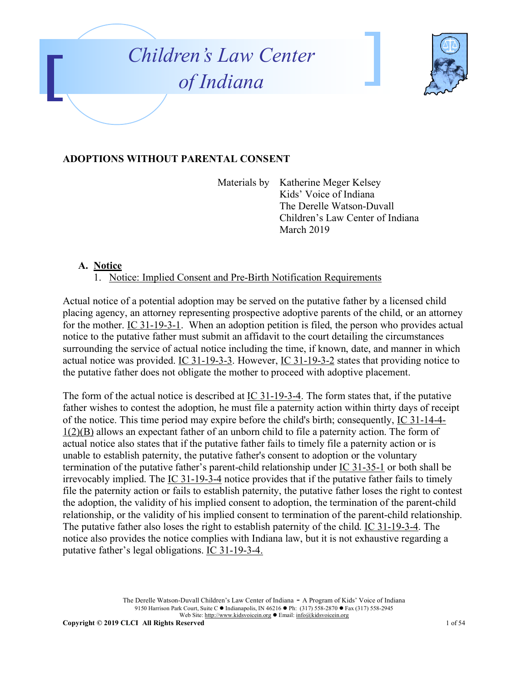



### **ADOPTIONS WITHOUT PARENTAL CONSENT**

Materials by Katherine Meger Kelsey Kids' Voice of Indiana The Derelle Watson-Duvall Children's Law Center of Indiana March 2019

#### **A. Notice**

1. Notice: Implied Consent and Pre-Birth Notification Requirements

Actual notice of a potential adoption may be served on the putative father by a licensed child placing agency, an attorney representing prospective adoptive parents of the child, or an attorney for the mother. IC 31-19-3-1. When an adoption petition is filed, the person who provides actual notice to the putative father must submit an affidavit to the court detailing the circumstances surrounding the service of actual notice including the time, if known, date, and manner in which actual notice was provided. IC 31-19-3-3. However, IC 31-19-3-2 states that providing notice to the putative father does not obligate the mother to proceed with adoptive placement.

The form of the actual notice is described at IC 31-19-3-4. The form states that, if the putative father wishes to contest the adoption, he must file a paternity action within thirty days of receipt of the notice. This time period may expire before the child's birth; consequently, IC 31-14-4- 1(2)(B) allows an expectant father of an unborn child to file a paternity action. The form of actual notice also states that if the putative father fails to timely file a paternity action or is unable to establish paternity, the putative father's consent to adoption or the voluntary termination of the putative father's parent-child relationship under IC 31-35-1 or both shall be irrevocably implied. The IC 31-19-3-4 notice provides that if the putative father fails to timely file the paternity action or fails to establish paternity, the putative father loses the right to contest the adoption, the validity of his implied consent to adoption, the termination of the parent-child relationship, or the validity of his implied consent to termination of the parent-child relationship. The putative father also loses the right to establish paternity of the child. IC 31-19-3-4. The notice also provides the notice complies with Indiana law, but it is not exhaustive regarding a putative father's legal obligations. IC 31-19-3-4.

> The Derelle Watson-Duvall Children's Law Center of Indiana - A Program of Kids' Voice of Indiana 9150 Harrison Park Court, Suite C · Indianapolis, IN 46216 • Ph: (317) 558-2870 • Fax (317) 558-2945 Web Site: http://www.kidsvoicein.org • Email: info@kidsvoicein.org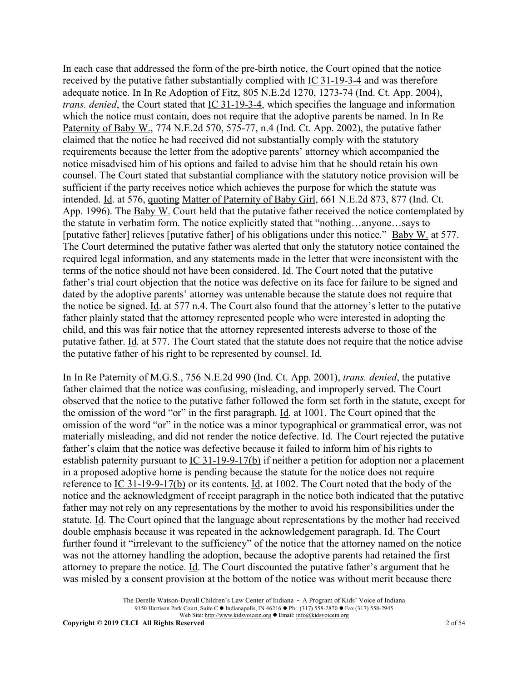In each case that addressed the form of the pre-birth notice, the Court opined that the notice received by the putative father substantially complied with IC 31-19-3-4 and was therefore adequate notice. In In Re Adoption of Fitz, 805 N.E.2d 1270, 1273-74 (Ind. Ct. App. 2004), *trans. denied*, the Court stated that IC 31-19-3-4, which specifies the language and information which the notice must contain, does not require that the adoptive parents be named. In In Re Paternity of Baby W., 774 N.E.2d 570, 575-77, n.4 (Ind. Ct. App. 2002), the putative father claimed that the notice he had received did not substantially comply with the statutory requirements because the letter from the adoptive parents' attorney which accompanied the notice misadvised him of his options and failed to advise him that he should retain his own counsel. The Court stated that substantial compliance with the statutory notice provision will be sufficient if the party receives notice which achieves the purpose for which the statute was intended. Id. at 576, quoting Matter of Paternity of Baby Girl, 661 N.E.2d 873, 877 (Ind. Ct. App. 1996). The Baby W. Court held that the putative father received the notice contemplated by the statute in verbatim form. The notice explicitly stated that "nothing…anyone…says to [putative father] relieves [putative father] of his obligations under this notice." Baby W. at 577. The Court determined the putative father was alerted that only the statutory notice contained the required legal information, and any statements made in the letter that were inconsistent with the terms of the notice should not have been considered. Id. The Court noted that the putative father's trial court objection that the notice was defective on its face for failure to be signed and dated by the adoptive parents' attorney was untenable because the statute does not require that the notice be signed. Id. at 577 n.4. The Court also found that the attorney's letter to the putative father plainly stated that the attorney represented people who were interested in adopting the child, and this was fair notice that the attorney represented interests adverse to those of the putative father. Id. at 577. The Court stated that the statute does not require that the notice advise the putative father of his right to be represented by counsel. Id.

In In Re Paternity of M.G.S., 756 N.E.2d 990 (Ind. Ct. App. 2001), *trans. denied*, the putative father claimed that the notice was confusing, misleading, and improperly served. The Court observed that the notice to the putative father followed the form set forth in the statute, except for the omission of the word "or" in the first paragraph. Id. at 1001. The Court opined that the omission of the word "or" in the notice was a minor typographical or grammatical error, was not materially misleading, and did not render the notice defective. Id. The Court rejected the putative father's claim that the notice was defective because it failed to inform him of his rights to establish paternity pursuant to IC 31-19-9-17(b) if neither a petition for adoption nor a placement in a proposed adoptive home is pending because the statute for the notice does not require reference to IC 31-19-9-17(b) or its contents. Id. at 1002. The Court noted that the body of the notice and the acknowledgment of receipt paragraph in the notice both indicated that the putative father may not rely on any representations by the mother to avoid his responsibilities under the statute. Id. The Court opined that the language about representations by the mother had received double emphasis because it was repeated in the acknowledgement paragraph. Id. The Court further found it "irrelevant to the sufficiency" of the notice that the attorney named on the notice was not the attorney handling the adoption, because the adoptive parents had retained the first attorney to prepare the notice. Id. The Court discounted the putative father's argument that he was misled by a consent provision at the bottom of the notice was without merit because there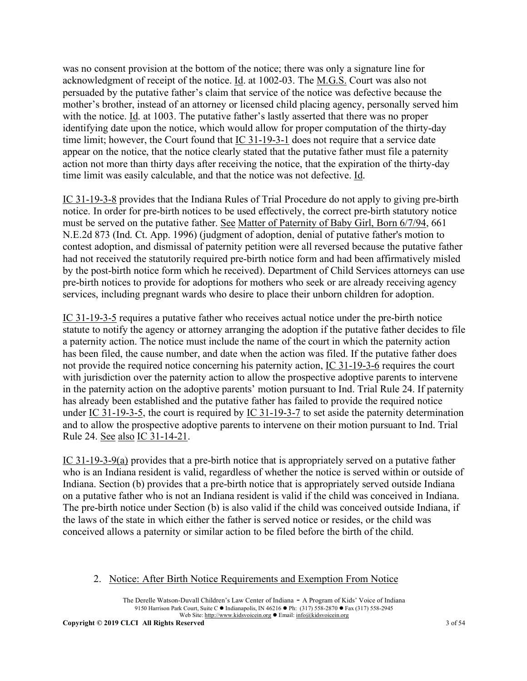was no consent provision at the bottom of the notice; there was only a signature line for acknowledgment of receipt of the notice. Id. at 1002-03. The M.G.S. Court was also not persuaded by the putative father's claim that service of the notice was defective because the mother's brother, instead of an attorney or licensed child placing agency, personally served him with the notice. Id. at 1003. The putative father's lastly asserted that there was no proper identifying date upon the notice, which would allow for proper computation of the thirty-day time limit; however, the Court found that IC 31-19-3-1 does not require that a service date appear on the notice, that the notice clearly stated that the putative father must file a paternity action not more than thirty days after receiving the notice, that the expiration of the thirty-day time limit was easily calculable, and that the notice was not defective. Id.

IC 31-19-3-8 provides that the Indiana Rules of Trial Procedure do not apply to giving pre-birth notice. In order for pre-birth notices to be used effectively, the correct pre-birth statutory notice must be served on the putative father. See Matter of Paternity of Baby Girl, Born 6/7/94, 661 N.E.2d 873 (Ind. Ct. App. 1996) (judgment of adoption, denial of putative father's motion to contest adoption, and dismissal of paternity petition were all reversed because the putative father had not received the statutorily required pre-birth notice form and had been affirmatively misled by the post-birth notice form which he received). Department of Child Services attorneys can use pre-birth notices to provide for adoptions for mothers who seek or are already receiving agency services, including pregnant wards who desire to place their unborn children for adoption.

IC 31-19-3-5 requires a putative father who receives actual notice under the pre-birth notice statute to notify the agency or attorney arranging the adoption if the putative father decides to file a paternity action. The notice must include the name of the court in which the paternity action has been filed, the cause number, and date when the action was filed. If the putative father does not provide the required notice concerning his paternity action, IC 31-19-3-6 requires the court with jurisdiction over the paternity action to allow the prospective adoptive parents to intervene in the paternity action on the adoptive parents' motion pursuant to Ind. Trial Rule 24. If paternity has already been established and the putative father has failed to provide the required notice under IC 31-19-3-5, the court is required by IC 31-19-3-7 to set aside the paternity determination and to allow the prospective adoptive parents to intervene on their motion pursuant to Ind. Trial Rule 24. See also IC 31-14-21.

IC 31-19-3-9(a) provides that a pre-birth notice that is appropriately served on a putative father who is an Indiana resident is valid, regardless of whether the notice is served within or outside of Indiana. Section (b) provides that a pre-birth notice that is appropriately served outside Indiana on a putative father who is not an Indiana resident is valid if the child was conceived in Indiana. The pre-birth notice under Section (b) is also valid if the child was conceived outside Indiana, if the laws of the state in which either the father is served notice or resides, or the child was conceived allows a paternity or similar action to be filed before the birth of the child.

### 2. Notice: After Birth Notice Requirements and Exemption From Notice

The Derelle Watson-Duvall Children's Law Center of Indiana - A Program of Kids' Voice of Indiana 9150 Harrison Park Court, Suite C · Indianapolis, IN 46216 • Ph: (317) 558-2870 • Fax (317) 558-2945 Web Site: http://www.kidsvoicein.org • Email: info@kidsvoicein.org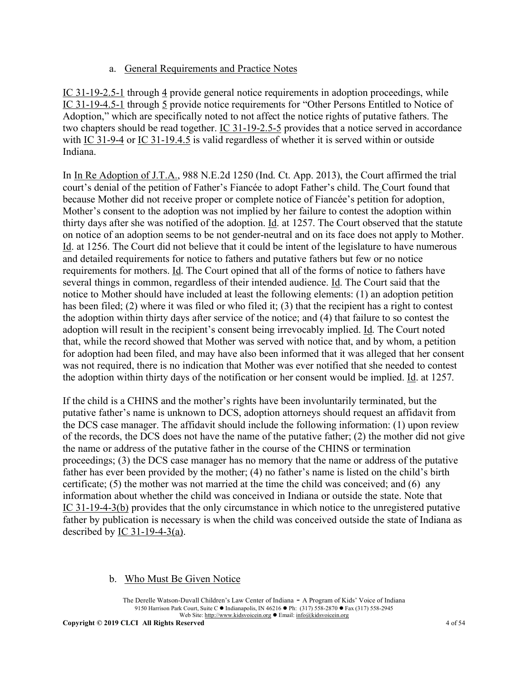### a. General Requirements and Practice Notes

IC 31-19-2.5-1 through 4 provide general notice requirements in adoption proceedings, while IC 31-19-4.5-1 through 5 provide notice requirements for "Other Persons Entitled to Notice of Adoption," which are specifically noted to not affect the notice rights of putative fathers. The two chapters should be read together. IC 31-19-2.5-5 provides that a notice served in accordance with IC 31-9-4 or IC 31-19.4.5 is valid regardless of whether it is served within or outside Indiana.

In In Re Adoption of J.T.A., 988 N.E.2d 1250 (Ind. Ct. App. 2013), the Court affirmed the trial court's denial of the petition of Father's Fiancée to adopt Father's child. The Court found that because Mother did not receive proper or complete notice of Fiancée's petition for adoption, Mother's consent to the adoption was not implied by her failure to contest the adoption within thirty days after she was notified of the adoption. Id. at 1257. The Court observed that the statute on notice of an adoption seems to be not gender-neutral and on its face does not apply to Mother. Id. at 1256. The Court did not believe that it could be intent of the legislature to have numerous and detailed requirements for notice to fathers and putative fathers but few or no notice requirements for mothers. Id. The Court opined that all of the forms of notice to fathers have several things in common, regardless of their intended audience. Id. The Court said that the notice to Mother should have included at least the following elements: (1) an adoption petition has been filed; (2) where it was filed or who filed it; (3) that the recipient has a right to contest the adoption within thirty days after service of the notice; and (4) that failure to so contest the adoption will result in the recipient's consent being irrevocably implied. Id. The Court noted that, while the record showed that Mother was served with notice that, and by whom, a petition for adoption had been filed, and may have also been informed that it was alleged that her consent was not required, there is no indication that Mother was ever notified that she needed to contest the adoption within thirty days of the notification or her consent would be implied. Id. at 1257.

If the child is a CHINS and the mother's rights have been involuntarily terminated, but the putative father's name is unknown to DCS, adoption attorneys should request an affidavit from the DCS case manager. The affidavit should include the following information: (1) upon review of the records, the DCS does not have the name of the putative father; (2) the mother did not give the name or address of the putative father in the course of the CHINS or termination proceedings; (3) the DCS case manager has no memory that the name or address of the putative father has ever been provided by the mother; (4) no father's name is listed on the child's birth certificate; (5) the mother was not married at the time the child was conceived; and (6) any information about whether the child was conceived in Indiana or outside the state. Note that IC 31-19-4-3(b) provides that the only circumstance in which notice to the unregistered putative father by publication is necessary is when the child was conceived outside the state of Indiana as described by  $IC$  31-19-4-3(a).

### b. Who Must Be Given Notice

The Derelle Watson-Duvall Children's Law Center of Indiana - A Program of Kids' Voice of Indiana 9150 Harrison Park Court, Suite C · Indianapolis, IN 46216 • Ph: (317) 558-2870 • Fax (317) 558-2945 Web Site: http://www.kidsvoicein.org • Email: info@kidsvoicein.org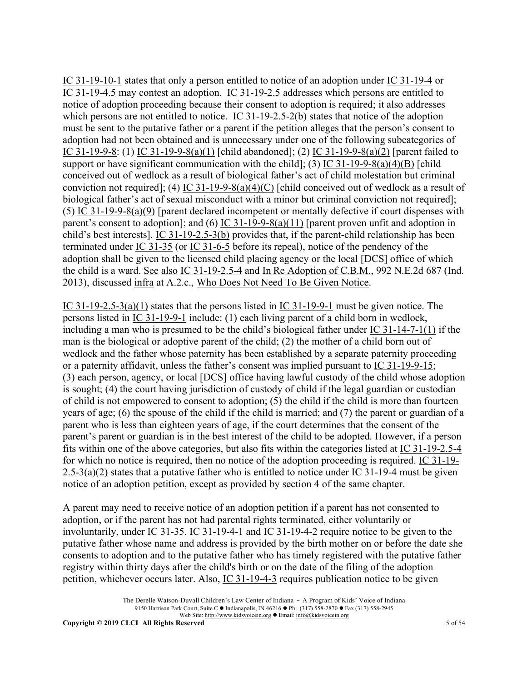IC 31-19-10-1 states that only a person entitled to notice of an adoption under IC 31-19-4 or IC 31-19-4.5 may contest an adoption. IC 31-19-2.5 addresses which persons are entitled to notice of adoption proceeding because their consent to adoption is required; it also addresses which persons are not entitled to notice. IC 31-19-2.5-2(b) states that notice of the adoption must be sent to the putative father or a parent if the petition alleges that the person's consent to adoption had not been obtained and is unnecessary under one of the following subcategories of IC 31-19-9-8: (1) IC 31-19-9-8(a)(1) [child abandoned]; (2) IC 31-19-9-8(a)(2) [parent failed to support or have significant communication with the child]; (3) IC 31-19-9-8(a)(4)(B) [child conceived out of wedlock as a result of biological father's act of child molestation but criminal conviction not required]; (4) IC 31-19-9-8(a)(4)(C) [child conceived out of wedlock as a result of biological father's act of sexual misconduct with a minor but criminal conviction not required]; (5) IC 31-19-9-8(a)(9) [parent declared incompetent or mentally defective if court dispenses with parent's consent to adoption]; and (6) IC 31-19-9-8(a)(11) [parent proven unfit and adoption in child's best interests]. IC 31-19-2.5-3(b) provides that, if the parent-child relationship has been terminated under IC 31-35 (or IC 31-6-5 before its repeal), notice of the pendency of the adoption shall be given to the licensed child placing agency or the local [DCS] office of which the child is a ward. See also IC 31-19-2.5-4 and In Re Adoption of C.B.M., 992 N.E.2d 687 (Ind. 2013), discussed infra at A.2.c., Who Does Not Need To Be Given Notice.

IC 31-19-2.5-3(a)(1) states that the persons listed in IC 31-19-9-1 must be given notice. The persons listed in IC 31-19-9-1 include: (1) each living parent of a child born in wedlock, including a man who is presumed to be the child's biological father under IC 31-14-7-1(1) if the man is the biological or adoptive parent of the child; (2) the mother of a child born out of wedlock and the father whose paternity has been established by a separate paternity proceeding or a paternity affidavit, unless the father's consent was implied pursuant to IC 31-19-9-15; (3) each person, agency, or local [DCS] office having lawful custody of the child whose adoption is sought; (4) the court having jurisdiction of custody of child if the legal guardian or custodian of child is not empowered to consent to adoption; (5) the child if the child is more than fourteen years of age; (6) the spouse of the child if the child is married; and (7) the parent or guardian of a parent who is less than eighteen years of age, if the court determines that the consent of the parent's parent or guardian is in the best interest of the child to be adopted. However, if a person fits within one of the above categories, but also fits within the categories listed at IC 31-19-2.5-4 for which no notice is required, then no notice of the adoption proceeding is required. IC 31-19- 2.5-3(a)(2) states that a putative father who is entitled to notice under IC 31-19-4 must be given notice of an adoption petition, except as provided by section 4 of the same chapter.

A parent may need to receive notice of an adoption petition if a parent has not consented to adoption, or if the parent has not had parental rights terminated, either voluntarily or involuntarily, under IC 31-35. IC 31-19-4-1 and IC 31-19-4-2 require notice to be given to the putative father whose name and address is provided by the birth mother on or before the date she consents to adoption and to the putative father who has timely registered with the putative father registry within thirty days after the child's birth or on the date of the filing of the adoption petition, whichever occurs later. Also, IC 31-19-4-3 requires publication notice to be given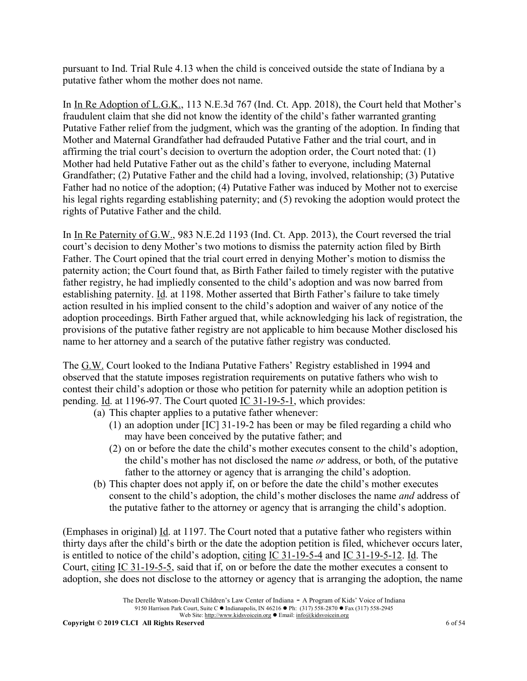pursuant to Ind. Trial Rule 4.13 when the child is conceived outside the state of Indiana by a putative father whom the mother does not name.

In In Re Adoption of L.G.K., 113 N.E.3d 767 (Ind. Ct. App. 2018), the Court held that Mother's fraudulent claim that she did not know the identity of the child's father warranted granting Putative Father relief from the judgment, which was the granting of the adoption. In finding that Mother and Maternal Grandfather had defrauded Putative Father and the trial court, and in affirming the trial court's decision to overturn the adoption order, the Court noted that: (1) Mother had held Putative Father out as the child's father to everyone, including Maternal Grandfather; (2) Putative Father and the child had a loving, involved, relationship; (3) Putative Father had no notice of the adoption; (4) Putative Father was induced by Mother not to exercise his legal rights regarding establishing paternity; and (5) revoking the adoption would protect the rights of Putative Father and the child.

In In Re Paternity of G.W., 983 N.E.2d 1193 (Ind. Ct. App. 2013), the Court reversed the trial court's decision to deny Mother's two motions to dismiss the paternity action filed by Birth Father. The Court opined that the trial court erred in denying Mother's motion to dismiss the paternity action; the Court found that, as Birth Father failed to timely register with the putative father registry, he had impliedly consented to the child's adoption and was now barred from establishing paternity. Id. at 1198. Mother asserted that Birth Father's failure to take timely action resulted in his implied consent to the child's adoption and waiver of any notice of the adoption proceedings. Birth Father argued that, while acknowledging his lack of registration, the provisions of the putative father registry are not applicable to him because Mother disclosed his name to her attorney and a search of the putative father registry was conducted.

The G.W. Court looked to the Indiana Putative Fathers' Registry established in 1994 and observed that the statute imposes registration requirements on putative fathers who wish to contest their child's adoption or those who petition for paternity while an adoption petition is pending. Id. at 1196-97. The Court quoted IC 31-19-5-1, which provides:

- (a) This chapter applies to a putative father whenever:
	- (1) an adoption under [IC] 31-19-2 has been or may be filed regarding a child who may have been conceived by the putative father; and
	- (2) on or before the date the child's mother executes consent to the child's adoption, the child's mother has not disclosed the name *or* address, or both, of the putative father to the attorney or agency that is arranging the child's adoption.
- (b) This chapter does not apply if, on or before the date the child's mother executes consent to the child's adoption, the child's mother discloses the name *and* address of the putative father to the attorney or agency that is arranging the child's adoption.

(Emphases in original) Id. at 1197. The Court noted that a putative father who registers within thirty days after the child's birth or the date the adoption petition is filed, whichever occurs later, is entitled to notice of the child's adoption, citing IC 31-19-5-4 and IC 31-19-5-12. Id. The Court, citing IC 31-19-5-5, said that if, on or before the date the mother executes a consent to adoption, she does not disclose to the attorney or agency that is arranging the adoption, the name

The Derelle Watson-Duvall Children's Law Center of Indiana - A Program of Kids' Voice of Indiana 9150 Harrison Park Court, Suite C · Indianapolis, IN 46216 • Ph: (317) 558-2870 • Fax (317) 558-2945 Web Site: http://www.kidsvoicein.org <br>
• Email: info@kidsvoicein.org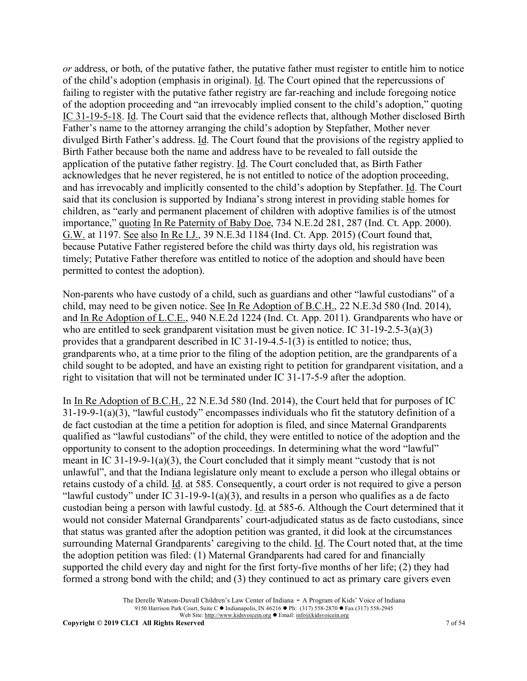*or* address, or both, of the putative father, the putative father must register to entitle him to notice of the child's adoption (emphasis in original). Id. The Court opined that the repercussions of failing to register with the putative father registry are far-reaching and include foregoing notice of the adoption proceeding and "an irrevocably implied consent to the child's adoption," quoting IC 31-19-5-18. Id. The Court said that the evidence reflects that, although Mother disclosed Birth Father's name to the attorney arranging the child's adoption by Stepfather, Mother never divulged Birth Father's address. <u>Id</u>. The Court found that the provisions of the registry applied to Birth Father because both the name and address have to be revealed to fall outside the application of the putative father registry. Id. The Court concluded that, as Birth Father acknowledges that he never registered, he is not entitled to notice of the adoption proceeding, and has irrevocably and implicitly consented to the child's adoption by Stepfather. Id. The Court said that its conclusion is supported by Indiana's strong interest in providing stable homes for children, as "early and permanent placement of children with adoptive families is of the utmost importance," quoting In Re Paternity of Baby Doe, 734 N.E.2d 281, 287 (Ind. Ct. App. 2000). G.W. at 1197. See also In Re I.J., 39 N.E.3d 1184 (Ind. Ct. App. 2015) (Court found that, because Putative Father registered before the child was thirty days old, his registration was timely; Putative Father therefore was entitled to notice of the adoption and should have been permitted to contest the adoption).

Non-parents who have custody of a child, such as guardians and other "lawful custodians" of a child, may need to be given notice. See In Re Adoption of B.C.H., 22 N.E.3d 580 (Ind. 2014), and In Re Adoption of L.C.E., 940 N.E.2d 1224 (Ind. Ct. App. 2011). Grandparents who have or who are entitled to seek grandparent visitation must be given notice. IC 31-19-2.5-3(a)(3) provides that a grandparent described in IC 31-19-4.5-1(3) is entitled to notice; thus, grandparents who, at a time prior to the filing of the adoption petition, are the grandparents of a child sought to be adopted, and have an existing right to petition for grandparent visitation, and a right to visitation that will not be terminated under IC 31-17-5-9 after the adoption.

In In Re Adoption of B.C.H., 22 N.E.3d 580 (Ind. 2014), the Court held that for purposes of IC 31-19-9-1(a)(3), "lawful custody" encompasses individuals who fit the statutory definition of a de fact custodian at the time a petition for adoption is filed, and since Maternal Grandparents qualified as "lawful custodians" of the child, they were entitled to notice of the adoption and the opportunity to consent to the adoption proceedings. In determining what the word "lawful" meant in IC 31-19-9-1(a)(3), the Court concluded that it simply meant "custody that is not unlawful", and that the Indiana legislature only meant to exclude a person who illegal obtains or retains custody of a child. Id. at 585. Consequently, a court order is not required to give a person "lawful custody" under IC 31-19-9-1(a)(3), and results in a person who qualifies as a de facto custodian being a person with lawful custody. Id. at 585-6. Although the Court determined that it would not consider Maternal Grandparents' court-adjudicated status as de facto custodians, since that status was granted after the adoption petition was granted, it did look at the circumstances surrounding Maternal Grandparents' caregiving to the child. Id. The Court noted that, at the time the adoption petition was filed: (1) Maternal Grandparents had cared for and financially supported the child every day and night for the first forty-five months of her life; (2) they had formed a strong bond with the child; and (3) they continued to act as primary care givers even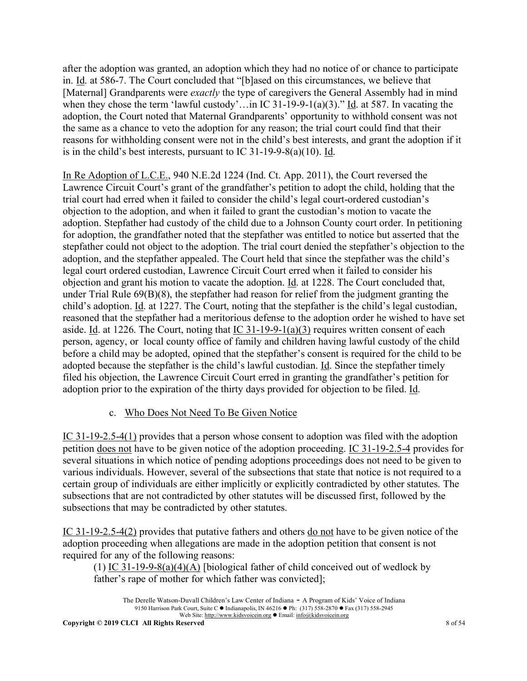after the adoption was granted, an adoption which they had no notice of or chance to participate in. Id. at 586-7. The Court concluded that "[b]ased on this circumstances, we believe that [Maternal] Grandparents were *exactly* the type of caregivers the General Assembly had in mind when they chose the term 'lawful custody'...in IC 31-19-9-1(a)(3)." Id. at 587. In vacating the adoption, the Court noted that Maternal Grandparents' opportunity to withhold consent was not the same as a chance to veto the adoption for any reason; the trial court could find that their reasons for withholding consent were not in the child's best interests, and grant the adoption if it is in the child's best interests, pursuant to IC 31-19-9-8(a)(10). Id.

In Re Adoption of L.C.E., 940 N.E.2d 1224 (Ind. Ct. App. 2011), the Court reversed the Lawrence Circuit Court's grant of the grandfather's petition to adopt the child, holding that the trial court had erred when it failed to consider the child's legal court-ordered custodian's objection to the adoption, and when it failed to grant the custodian's motion to vacate the adoption. Stepfather had custody of the child due to a Johnson County court order. In petitioning for adoption, the grandfather noted that the stepfather was entitled to notice but asserted that the stepfather could not object to the adoption. The trial court denied the stepfather's objection to the adoption, and the stepfather appealed. The Court held that since the stepfather was the child's legal court ordered custodian, Lawrence Circuit Court erred when it failed to consider his objection and grant his motion to vacate the adoption. Id. at 1228. The Court concluded that, under Trial Rule 69(B)(8), the stepfather had reason for relief from the judgment granting the child's adoption. Id. at 1227. The Court, noting that the stepfather is the child's legal custodian, reasoned that the stepfather had a meritorious defense to the adoption order he wished to have set aside. Id. at 1226. The Court, noting that IC  $31-19-9-1(a)(3)$  requires written consent of each person, agency, or local county office of family and children having lawful custody of the child before a child may be adopted, opined that the stepfather's consent is required for the child to be adopted because the stepfather is the child's lawful custodian. Id. Since the stepfather timely filed his objection, the Lawrence Circuit Court erred in granting the grandfather's petition for adoption prior to the expiration of the thirty days provided for objection to be filed. Id.

# c. Who Does Not Need To Be Given Notice

IC 31-19-2.5-4(1) provides that a person whose consent to adoption was filed with the adoption petition does not have to be given notice of the adoption proceeding. IC 31-19-2.5-4 provides for several situations in which notice of pending adoptions proceedings does not need to be given to various individuals. However, several of the subsections that state that notice is not required to a certain group of individuals are either implicitly or explicitly contradicted by other statutes. The subsections that are not contradicted by other statutes will be discussed first, followed by the subsections that may be contradicted by other statutes.

IC 31-19-2.5-4(2) provides that putative fathers and others do not have to be given notice of the adoption proceeding when allegations are made in the adoption petition that consent is not required for any of the following reasons:

(1) IC 31-19-9-8(a)(4)(A) [biological father of child conceived out of wedlock by father's rape of mother for which father was convicted];

The Derelle Watson-Duvall Children's Law Center of Indiana - A Program of Kids' Voice of Indiana 9150 Harrison Park Court, Suite C · Indianapolis, IN 46216 • Ph: (317) 558-2870 • Fax (317) 558-2945 Web Site: http://www.kidsvoicein.org <br>
• Email: info@kidsvoicein.org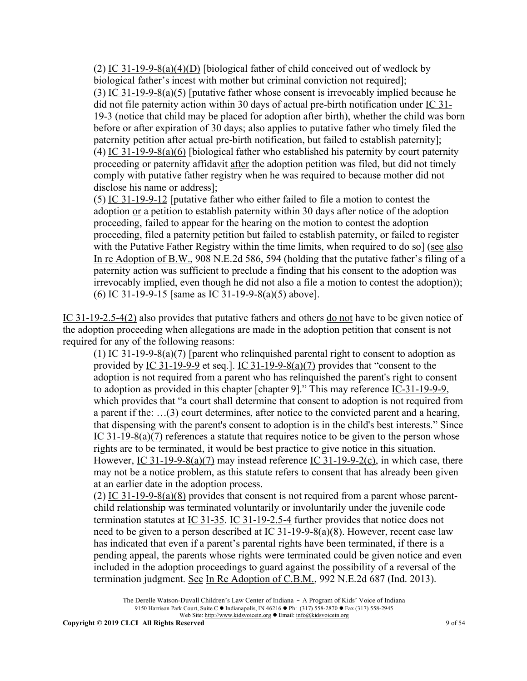(2) IC 31-19-9-8(a)(4)(D) [biological father of child conceived out of wedlock by biological father's incest with mother but criminal conviction not required]; (3) IC 31-19-9-8(a)(5) [putative father whose consent is irrevocably implied because he did not file paternity action within 30 days of actual pre-birth notification under IC 31- 19-3 (notice that child may be placed for adoption after birth), whether the child was born before or after expiration of 30 days; also applies to putative father who timely filed the paternity petition after actual pre-birth notification, but failed to establish paternity]; (4) IC 31-19-9-8(a)(6) [biological father who established his paternity by court paternity proceeding or paternity affidavit after the adoption petition was filed, but did not timely comply with putative father registry when he was required to because mother did not disclose his name or address];

(5) IC 31-19-9-12 [putative father who either failed to file a motion to contest the adoption or a petition to establish paternity within 30 days after notice of the adoption proceeding, failed to appear for the hearing on the motion to contest the adoption proceeding, filed a paternity petition but failed to establish paternity, or failed to register with the Putative Father Registry within the time limits, when required to do sol (see also In re Adoption of B.W., 908 N.E.2d 586, 594 (holding that the putative father's filing of a paternity action was sufficient to preclude a finding that his consent to the adoption was irrevocably implied, even though he did not also a file a motion to contest the adoption)); (6) IC 31-19-9-15 [same as IC 31-19-9-8(a)(5) above].

IC 31-19-2.5-4(2) also provides that putative fathers and others do not have to be given notice of the adoption proceeding when allegations are made in the adoption petition that consent is not required for any of the following reasons:

(1) IC 31-19-9-8(a)(7) [parent who relinquished parental right to consent to adoption as provided by IC 31-19-9-9 et seq.]. IC 31-19-9-8(a)(7) provides that "consent to the adoption is not required from a parent who has relinquished the parent's right to consent to adoption as provided in this chapter [chapter 9]." This may reference IC-31-19-9-9, which provides that "a court shall determine that consent to adoption is not required from a parent if the: …(3) court determines, after notice to the convicted parent and a hearing, that dispensing with the parent's consent to adoption is in the child's best interests." Since IC 31-19-8(a)(7) references a statute that requires notice to be given to the person whose rights are to be terminated, it would be best practice to give notice in this situation. However, IC 31-19-9-8(a)(7) may instead reference IC 31-19-9-2(c), in which case, there may not be a notice problem, as this statute refers to consent that has already been given at an earlier date in the adoption process.

(2) IC 31-19-9-8(a)(8) provides that consent is not required from a parent whose parentchild relationship was terminated voluntarily or involuntarily under the juvenile code termination statutes at IC 31-35. IC 31-19-2.5-4 further provides that notice does not need to be given to a person described at  $\underline{IC}$  31-19-9-8(a)(8). However, recent case law has indicated that even if a parent's parental rights have been terminated, if there is a pending appeal, the parents whose rights were terminated could be given notice and even included in the adoption proceedings to guard against the possibility of a reversal of the termination judgment. See In Re Adoption of C.B.M., 992 N.E.2d 687 (Ind. 2013).

The Derelle Watson-Duvall Children's Law Center of Indiana - A Program of Kids' Voice of Indiana 9150 Harrison Park Court, Suite C • Indianapolis, IN 46216 • Ph: (317) 558-2870 • Fax (317) 558-2945 Web Site: http://www.kidsvoicein.org • Email: info@kidsvoicein.org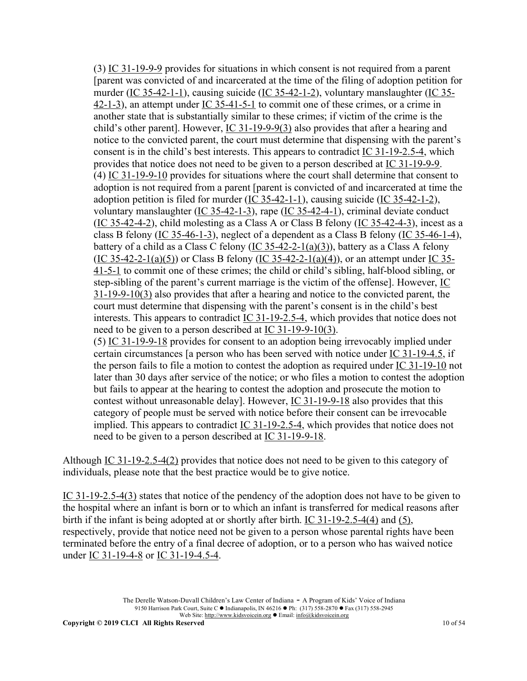(3) IC 31-19-9-9 provides for situations in which consent is not required from a parent [parent was convicted of and incarcerated at the time of the filing of adoption petition for murder (IC 35-42-1-1), causing suicide (IC 35-42-1-2), voluntary manslaughter (IC 35- 42-1-3), an attempt under IC 35-41-5-1 to commit one of these crimes, or a crime in another state that is substantially similar to these crimes; if victim of the crime is the child's other parent]. However, IC 31-19-9-9(3) also provides that after a hearing and notice to the convicted parent, the court must determine that dispensing with the parent's consent is in the child's best interests. This appears to contradict IC 31-19-2.5-4, which provides that notice does not need to be given to a person described at IC 31-19-9-9. (4) IC 31-19-9-10 provides for situations where the court shall determine that consent to adoption is not required from a parent [parent is convicted of and incarcerated at time the adoption petition is filed for murder (IC  $35-42-1-1$ ), causing suicide (IC  $35-42-1-2$ ), voluntary manslaughter (IC 35-42-1-3), rape (IC 35-42-4-1), criminal deviate conduct (IC 35-42-4-2), child molesting as a Class A or Class B felony (IC 35-42-4-3), incest as a class B felony (IC 35-46-1-3), neglect of a dependent as a Class B felony (IC 35-46-1-4), battery of a child as a Class C felony (IC 35-42-2-1(a)(3)), battery as a Class A felony  $(IC 35-42-2-1(a)(5))$  or Class B felony  $(IC 35-42-2-1(a)(4))$ , or an attempt under IC 35-41-5-1 to commit one of these crimes; the child or child's sibling, half-blood sibling, or step-sibling of the parent's current marriage is the victim of the offense]. However, IC 31-19-9-10(3) also provides that after a hearing and notice to the convicted parent, the court must determine that dispensing with the parent's consent is in the child's best interests. This appears to contradict IC 31-19-2.5-4, which provides that notice does not need to be given to a person described at IC 31-19-9-10(3). (5) IC 31-19-9-18 provides for consent to an adoption being irrevocably implied under certain circumstances [a person who has been served with notice under IC 31-19-4.5, if the person fails to file a motion to contest the adoption as required under IC 31-19-10 not later than 30 days after service of the notice; or who files a motion to contest the adoption but fails to appear at the hearing to contest the adoption and prosecute the motion to contest without unreasonable delay]. However, IC 31-19-9-18 also provides that this category of people must be served with notice before their consent can be irrevocable implied. This appears to contradict  $\underline{IC}$  31-19-2.5-4, which provides that notice does not need to be given to a person described at IC 31-19-9-18.

Although IC 31-19-2.5-4(2) provides that notice does not need to be given to this category of individuals, please note that the best practice would be to give notice.

IC 31-19-2.5-4(3) states that notice of the pendency of the adoption does not have to be given to the hospital where an infant is born or to which an infant is transferred for medical reasons after birth if the infant is being adopted at or shortly after birth. IC 31-19-2.5-4(4) and (5), respectively, provide that notice need not be given to a person whose parental rights have been terminated before the entry of a final decree of adoption, or to a person who has waived notice under IC 31-19-4-8 or IC 31-19-4.5-4.

> The Derelle Watson-Duvall Children's Law Center of Indiana - A Program of Kids' Voice of Indiana 9150 Harrison Park Court, Suite C · Indianapolis, IN 46216 • Ph: (317) 558-2870 • Fax (317) 558-2945 Web Site: http://www.kidsvoicein.org <br>
> • Email: info@kidsvoicein.org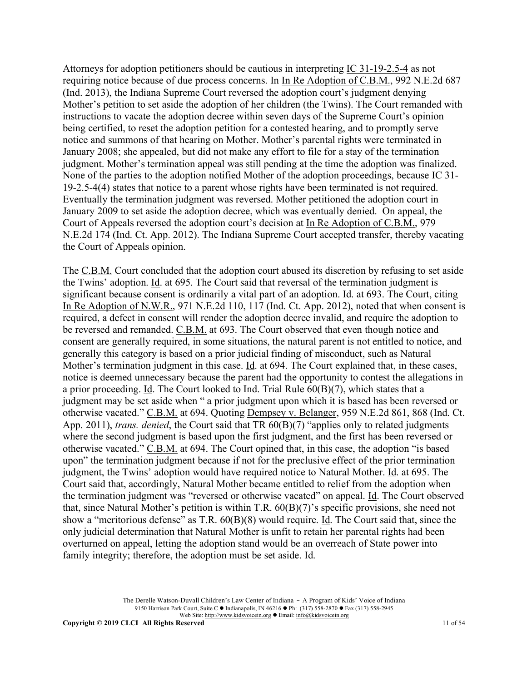Attorneys for adoption petitioners should be cautious in interpreting IC 31-19-2.5-4 as not requiring notice because of due process concerns. In In Re Adoption of C.B.M., 992 N.E.2d 687 (Ind. 2013), the Indiana Supreme Court reversed the adoption court's judgment denying Mother's petition to set aside the adoption of her children (the Twins). The Court remanded with instructions to vacate the adoption decree within seven days of the Supreme Court's opinion being certified, to reset the adoption petition for a contested hearing, and to promptly serve notice and summons of that hearing on Mother. Mother's parental rights were terminated in January 2008; she appealed, but did not make any effort to file for a stay of the termination judgment. Mother's termination appeal was still pending at the time the adoption was finalized. None of the parties to the adoption notified Mother of the adoption proceedings, because IC 31- 19-2.5-4(4) states that notice to a parent whose rights have been terminated is not required. Eventually the termination judgment was reversed. Mother petitioned the adoption court in January 2009 to set aside the adoption decree, which was eventually denied. On appeal, the Court of Appeals reversed the adoption court's decision at In Re Adoption of C.B.M., 979 N.E.2d 174 (Ind. Ct. App. 2012). The Indiana Supreme Court accepted transfer, thereby vacating the Court of Appeals opinion.

The C.B.M. Court concluded that the adoption court abused its discretion by refusing to set aside the Twins' adoption. Id. at 695. The Court said that reversal of the termination judgment is significant because consent is ordinarily a vital part of an adoption. Id. at 693. The Court, citing In Re Adoption of N.W.R., 971 N.E.2d 110, 117 (Ind. Ct. App. 2012), noted that when consent is required, a defect in consent will render the adoption decree invalid, and require the adoption to be reversed and remanded. C.B.M. at 693. The Court observed that even though notice and consent are generally required, in some situations, the natural parent is not entitled to notice, and generally this category is based on a prior judicial finding of misconduct, such as Natural Mother's termination judgment in this case. Id. at 694. The Court explained that, in these cases, notice is deemed unnecessary because the parent had the opportunity to contest the allegations in a prior proceeding. Id. The Court looked to Ind. Trial Rule 60(B)(7), which states that a judgment may be set aside when " a prior judgment upon which it is based has been reversed or otherwise vacated." C.B.M. at 694. Quoting Dempsey v. Belanger, 959 N.E.2d 861, 868 (Ind. Ct. App. 2011), *trans. denied*, the Court said that TR 60(B)(7) "applies only to related judgments where the second judgment is based upon the first judgment, and the first has been reversed or otherwise vacated." C.B.M. at 694. The Court opined that, in this case, the adoption "is based upon" the termination judgment because if not for the preclusive effect of the prior termination judgment, the Twins' adoption would have required notice to Natural Mother. Id. at 695. The Court said that, accordingly, Natural Mother became entitled to relief from the adoption when the termination judgment was "reversed or otherwise vacated" on appeal. Id. The Court observed that, since Natural Mother's petition is within T.R. 60(B)(7)'s specific provisions, she need not show a "meritorious defense" as T.R. 60(B)(8) would require. Id. The Court said that, since the only judicial determination that Natural Mother is unfit to retain her parental rights had been overturned on appeal, letting the adoption stand would be an overreach of State power into family integrity; therefore, the adoption must be set aside. Id.

> The Derelle Watson-Duvall Children's Law Center of Indiana - A Program of Kids' Voice of Indiana 9150 Harrison Park Court, Suite C · Indianapolis, IN 46216 • Ph: (317) 558-2870 • Fax (317) 558-2945 Web Site: http://www.kidsvoicein.org <br>
> • Email: info@kidsvoicein.org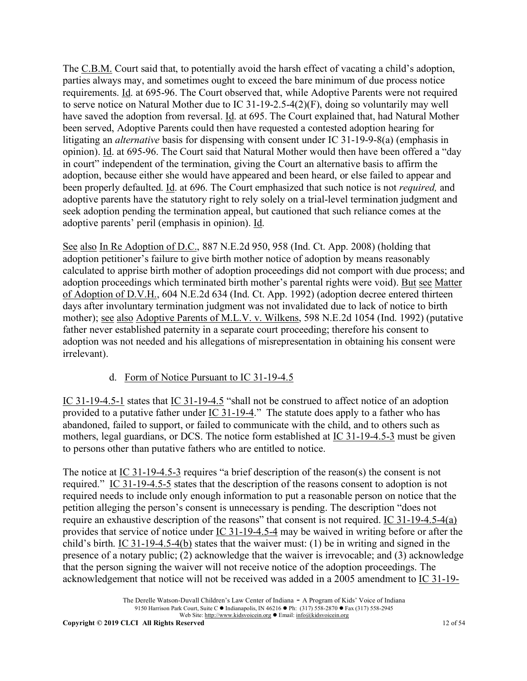The C.B.M. Court said that, to potentially avoid the harsh effect of vacating a child's adoption, parties always may, and sometimes ought to exceed the bare minimum of due process notice requirements. Id. at 695-96. The Court observed that, while Adoptive Parents were not required to serve notice on Natural Mother due to IC 31-19-2.5-4(2)(F), doing so voluntarily may well have saved the adoption from reversal. Id. at 695. The Court explained that, had Natural Mother been served, Adoptive Parents could then have requested a contested adoption hearing for litigating an *alternative* basis for dispensing with consent under IC 31-19-9-8(a) (emphasis in opinion). Id. at 695-96. The Court said that Natural Mother would then have been offered a "day in court" independent of the termination, giving the Court an alternative basis to affirm the adoption, because either she would have appeared and been heard, or else failed to appear and been properly defaulted. Id. at 696. The Court emphasized that such notice is not *required,* and adoptive parents have the statutory right to rely solely on a trial-level termination judgment and seek adoption pending the termination appeal, but cautioned that such reliance comes at the adoptive parents' peril (emphasis in opinion). Id.

See also In Re Adoption of D.C., 887 N.E.2d 950, 958 (Ind. Ct. App. 2008) (holding that adoption petitioner's failure to give birth mother notice of adoption by means reasonably calculated to apprise birth mother of adoption proceedings did not comport with due process; and adoption proceedings which terminated birth mother's parental rights were void). But see Matter of Adoption of D.V.H., 604 N.E.2d 634 (Ind. Ct. App. 1992) (adoption decree entered thirteen days after involuntary termination judgment was not invalidated due to lack of notice to birth mother); see also Adoptive Parents of M.L.V. v. Wilkens, 598 N.E.2d 1054 (Ind. 1992) (putative father never established paternity in a separate court proceeding; therefore his consent to adoption was not needed and his allegations of misrepresentation in obtaining his consent were irrelevant).

# d. Form of Notice Pursuant to IC 31-19-4.5

IC 31-19-4.5-1 states that IC 31-19-4.5 "shall not be construed to affect notice of an adoption provided to a putative father under  $\underline{IC}$  31-19-4." The statute does apply to a father who has abandoned, failed to support, or failed to communicate with the child, and to others such as mothers, legal guardians, or DCS. The notice form established at <u>IC 31-19-4.5-3</u> must be given to persons other than putative fathers who are entitled to notice.

The notice at IC 31-19-4.5-3 requires "a brief description of the reason(s) the consent is not required." IC 31-19-4.5-5 states that the description of the reasons consent to adoption is not required needs to include only enough information to put a reasonable person on notice that the petition alleging the person's consent is unnecessary is pending. The description "does not require an exhaustive description of the reasons" that consent is not required. IC 31-19-4.5-4(a) provides that service of notice under IC 31-19-4.5-4 may be waived in writing before or after the child's birth. IC 31-19-4.5-4(b) states that the waiver must: (1) be in writing and signed in the presence of a notary public; (2) acknowledge that the waiver is irrevocable; and (3) acknowledge that the person signing the waiver will not receive notice of the adoption proceedings. The acknowledgement that notice will not be received was added in a 2005 amendment to IC 31-19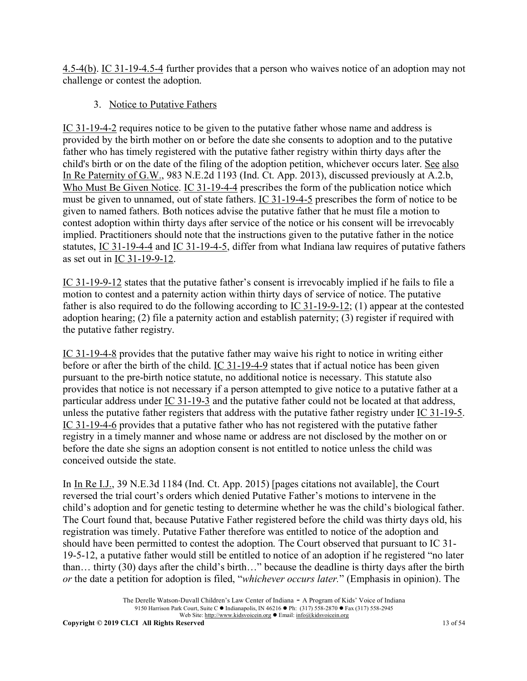4.5-4(b). IC 31-19-4.5-4 further provides that a person who waives notice of an adoption may not challenge or contest the adoption.

# 3. Notice to Putative Fathers

IC 31-19-4-2 requires notice to be given to the putative father whose name and address is provided by the birth mother on or before the date she consents to adoption and to the putative father who has timely registered with the putative father registry within thirty days after the child's birth or on the date of the filing of the adoption petition, whichever occurs later. See also In Re Paternity of G.W., 983 N.E.2d 1193 (Ind. Ct. App. 2013), discussed previously at A.2.b, Who Must Be Given Notice. IC 31-19-4-4 prescribes the form of the publication notice which must be given to unnamed, out of state fathers. IC 31-19-4-5 prescribes the form of notice to be given to named fathers. Both notices advise the putative father that he must file a motion to contest adoption within thirty days after service of the notice or his consent will be irrevocably implied. Practitioners should note that the instructions given to the putative father in the notice statutes, IC 31-19-4-4 and IC 31-19-4-5, differ from what Indiana law requires of putative fathers as set out in IC 31-19-9-12.

IC 31-19-9-12 states that the putative father's consent is irrevocably implied if he fails to file a motion to contest and a paternity action within thirty days of service of notice. The putative father is also required to do the following according to IC 31-19-9-12; (1) appear at the contested adoption hearing; (2) file a paternity action and establish paternity; (3) register if required with the putative father registry.

IC 31-19-4-8 provides that the putative father may waive his right to notice in writing either before or after the birth of the child. IC 31-19-4-9 states that if actual notice has been given pursuant to the pre-birth notice statute, no additional notice is necessary. This statute also provides that notice is not necessary if a person attempted to give notice to a putative father at a particular address under IC 31-19-3 and the putative father could not be located at that address, unless the putative father registers that address with the putative father registry under IC 31-19-5. IC 31-19-4-6 provides that a putative father who has not registered with the putative father registry in a timely manner and whose name or address are not disclosed by the mother on or before the date she signs an adoption consent is not entitled to notice unless the child was conceived outside the state.

In In Re I.J., 39 N.E.3d 1184 (Ind. Ct. App. 2015) [pages citations not available], the Court reversed the trial court's orders which denied Putative Father's motions to intervene in the child's adoption and for genetic testing to determine whether he was the child's biological father. The Court found that, because Putative Father registered before the child was thirty days old, his registration was timely. Putative Father therefore was entitled to notice of the adoption and should have been permitted to contest the adoption. The Court observed that pursuant to IC 31- 19-5-12, a putative father would still be entitled to notice of an adoption if he registered "no later than… thirty (30) days after the child's birth…" because the deadline is thirty days after the birth *or* the date a petition for adoption is filed, "*whichever occurs later.*" (Emphasis in opinion). The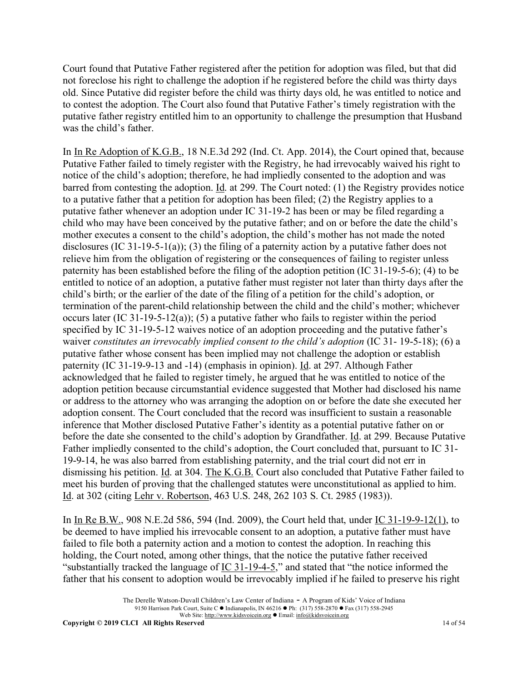Court found that Putative Father registered after the petition for adoption was filed, but that did not foreclose his right to challenge the adoption if he registered before the child was thirty days old. Since Putative did register before the child was thirty days old, he was entitled to notice and to contest the adoption. The Court also found that Putative Father's timely registration with the putative father registry entitled him to an opportunity to challenge the presumption that Husband was the child's father.

In In Re Adoption of K.G.B., 18 N.E.3d 292 (Ind. Ct. App. 2014), the Court opined that, because Putative Father failed to timely register with the Registry, he had irrevocably waived his right to notice of the child's adoption; therefore, he had impliedly consented to the adoption and was barred from contesting the adoption. Id. at 299. The Court noted: (1) the Registry provides notice to a putative father that a petition for adoption has been filed; (2) the Registry applies to a putative father whenever an adoption under IC 31-19-2 has been or may be filed regarding a child who may have been conceived by the putative father; and on or before the date the child's mother executes a consent to the child's adoption, the child's mother has not made the noted disclosures (IC 31-19-5-1(a)); (3) the filing of a paternity action by a putative father does not relieve him from the obligation of registering or the consequences of failing to register unless paternity has been established before the filing of the adoption petition (IC 31-19-5-6); (4) to be entitled to notice of an adoption, a putative father must register not later than thirty days after the child's birth; or the earlier of the date of the filing of a petition for the child's adoption, or termination of the parent-child relationship between the child and the child's mother; whichever occurs later (IC 31-19-5-12(a)); (5) a putative father who fails to register within the period specified by IC 31-19-5-12 waives notice of an adoption proceeding and the putative father's waiver *constitutes an irrevocably implied consent to the child's adoption* (IC 31- 19-5-18); (6) a putative father whose consent has been implied may not challenge the adoption or establish paternity (IC 31-19-9-13 and -14) (emphasis in opinion). Id. at 297. Although Father acknowledged that he failed to register timely, he argued that he was entitled to notice of the adoption petition because circumstantial evidence suggested that Mother had disclosed his name or address to the attorney who was arranging the adoption on or before the date she executed her adoption consent. The Court concluded that the record was insufficient to sustain a reasonable inference that Mother disclosed Putative Father's identity as a potential putative father on or before the date she consented to the child's adoption by Grandfather. Id. at 299. Because Putative Father impliedly consented to the child's adoption, the Court concluded that, pursuant to IC 31- 19-9-14, he was also barred from establishing paternity, and the trial court did not err in dismissing his petition. Id. at 304. The K.G.B. Court also concluded that Putative Father failed to meet his burden of proving that the challenged statutes were unconstitutional as applied to him. Id. at 302 (citing Lehr v. Robertson, 463 U.S. 248, 262 103 S. Ct. 2985 (1983)).

In In Re B.W., 908 N.E.2d 586, 594 (Ind. 2009), the Court held that, under IC 31-19-9-12(1), to be deemed to have implied his irrevocable consent to an adoption, a putative father must have failed to file both a paternity action and a motion to contest the adoption. In reaching this holding, the Court noted, among other things, that the notice the putative father received "substantially tracked the language of  $\underline{IC}$  31-19-4-5," and stated that "the notice informed the father that his consent to adoption would be irrevocably implied if he failed to preserve his right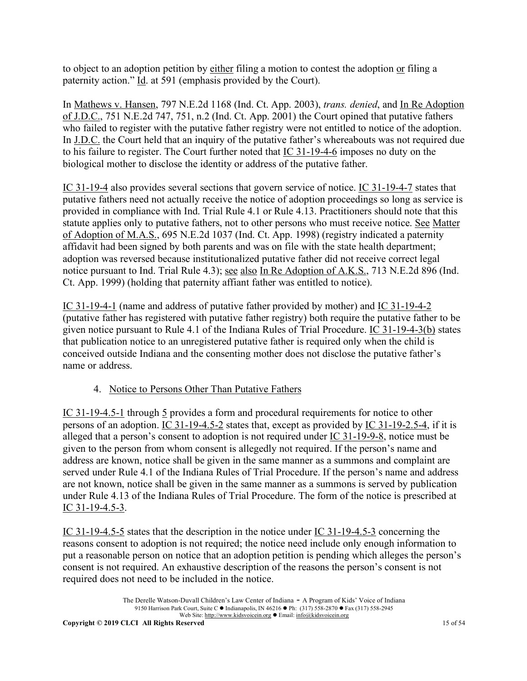to object to an adoption petition by either filing a motion to contest the adoption or filing a paternity action." Id. at 591 (emphasis provided by the Court).

In Mathews v. Hansen, 797 N.E.2d 1168 (Ind. Ct. App. 2003), *trans. denied*, and In Re Adoption of J.D.C., 751 N.E.2d 747, 751, n.2 (Ind. Ct. App. 2001) the Court opined that putative fathers who failed to register with the putative father registry were not entitled to notice of the adoption. In J.D.C. the Court held that an inquiry of the putative father's whereabouts was not required due to his failure to register. The Court further noted that IC 31-19-4-6 imposes no duty on the biological mother to disclose the identity or address of the putative father.

IC 31-19-4 also provides several sections that govern service of notice. IC 31-19-4-7 states that putative fathers need not actually receive the notice of adoption proceedings so long as service is provided in compliance with Ind. Trial Rule 4.1 or Rule 4.13. Practitioners should note that this statute applies only to putative fathers, not to other persons who must receive notice. See Matter of Adoption of M.A.S., 695 N.E.2d 1037 (Ind. Ct. App. 1998) (registry indicated a paternity affidavit had been signed by both parents and was on file with the state health department; adoption was reversed because institutionalized putative father did not receive correct legal notice pursuant to Ind. Trial Rule 4.3); see also In Re Adoption of A.K.S., 713 N.E.2d 896 (Ind. Ct. App. 1999) (holding that paternity affiant father was entitled to notice).

IC 31-19-4-1 (name and address of putative father provided by mother) and IC 31-19-4-2 (putative father has registered with putative father registry) both require the putative father to be given notice pursuant to Rule 4.1 of the Indiana Rules of Trial Procedure. IC 31-19-4-3(b) states that publication notice to an unregistered putative father is required only when the child is conceived outside Indiana and the consenting mother does not disclose the putative father's name or address.

# 4. Notice to Persons Other Than Putative Fathers

IC 31-19-4.5-1 through 5 provides a form and procedural requirements for notice to other persons of an adoption. IC 31-19-4.5-2 states that, except as provided by IC 31-19-2.5-4, if it is alleged that a person's consent to adoption is not required under IC 31-19-9-8, notice must be given to the person from whom consent is allegedly not required. If the person's name and address are known, notice shall be given in the same manner as a summons and complaint are served under Rule 4.1 of the Indiana Rules of Trial Procedure. If the person's name and address are not known, notice shall be given in the same manner as a summons is served by publication under Rule 4.13 of the Indiana Rules of Trial Procedure. The form of the notice is prescribed at IC 31-19-4.5-3.

IC 31-19-4.5-5 states that the description in the notice under IC 31-19-4.5-3 concerning the reasons consent to adoption is not required; the notice need include only enough information to put a reasonable person on notice that an adoption petition is pending which alleges the person's consent is not required. An exhaustive description of the reasons the person's consent is not required does not need to be included in the notice.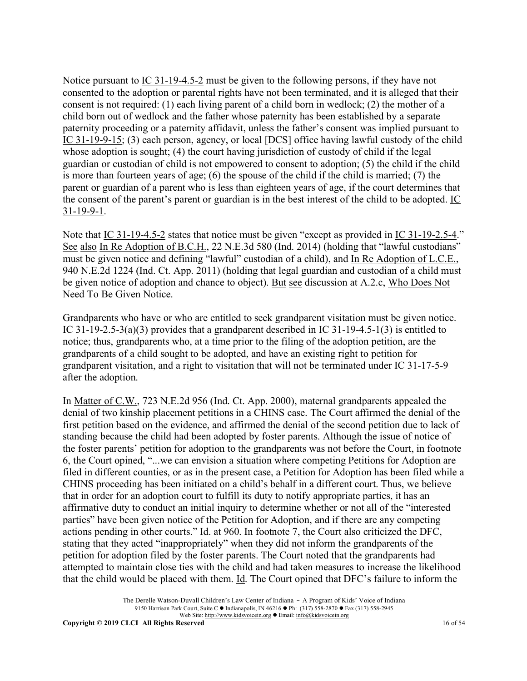Notice pursuant to IC 31-19-4.5-2 must be given to the following persons, if they have not consented to the adoption or parental rights have not been terminated, and it is alleged that their consent is not required: (1) each living parent of a child born in wedlock; (2) the mother of a child born out of wedlock and the father whose paternity has been established by a separate paternity proceeding or a paternity affidavit, unless the father's consent was implied pursuant to IC 31-19-9-15; (3) each person, agency, or local [DCS] office having lawful custody of the child whose adoption is sought; (4) the court having jurisdiction of custody of child if the legal guardian or custodian of child is not empowered to consent to adoption; (5) the child if the child is more than fourteen years of age; (6) the spouse of the child if the child is married; (7) the parent or guardian of a parent who is less than eighteen years of age, if the court determines that the consent of the parent's parent or guardian is in the best interest of the child to be adopted. IC 31-19-9-1.

Note that IC 31-19-4.5-2 states that notice must be given "except as provided in IC 31-19-2.5-4." See also In Re Adoption of B.C.H., 22 N.E.3d 580 (Ind. 2014) (holding that "lawful custodians" must be given notice and defining "lawful" custodian of a child), and In Re Adoption of L.C.E., 940 N.E.2d 1224 (Ind. Ct. App. 2011) (holding that legal guardian and custodian of a child must be given notice of adoption and chance to object). But see discussion at A.2.c, Who Does Not Need To Be Given Notice.

Grandparents who have or who are entitled to seek grandparent visitation must be given notice. IC 31-19-2.5-3(a)(3) provides that a grandparent described in IC 31-19-4.5-1(3) is entitled to notice; thus, grandparents who, at a time prior to the filing of the adoption petition, are the grandparents of a child sought to be adopted, and have an existing right to petition for grandparent visitation, and a right to visitation that will not be terminated under IC 31-17-5-9 after the adoption.

In Matter of C.W., 723 N.E.2d 956 (Ind. Ct. App. 2000), maternal grandparents appealed the denial of two kinship placement petitions in a CHINS case. The Court affirmed the denial of the first petition based on the evidence, and affirmed the denial of the second petition due to lack of standing because the child had been adopted by foster parents. Although the issue of notice of the foster parents' petition for adoption to the grandparents was not before the Court, in footnote 6, the Court opined, "...we can envision a situation where competing Petitions for Adoption are filed in different counties, or as in the present case, a Petition for Adoption has been filed while a CHINS proceeding has been initiated on a child's behalf in a different court. Thus, we believe that in order for an adoption court to fulfill its duty to notify appropriate parties, it has an affirmative duty to conduct an initial inquiry to determine whether or not all of the "interested parties" have been given notice of the Petition for Adoption, and if there are any competing actions pending in other courts." Id. at 960. In footnote 7, the Court also criticized the DFC, stating that they acted "inappropriately" when they did not inform the grandparents of the petition for adoption filed by the foster parents. The Court noted that the grandparents had attempted to maintain close ties with the child and had taken measures to increase the likelihood that the child would be placed with them. Id. The Court opined that DFC's failure to inform the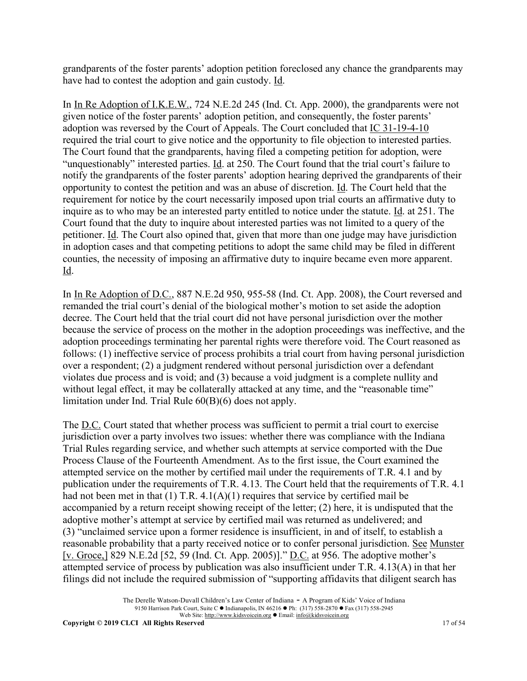grandparents of the foster parents' adoption petition foreclosed any chance the grandparents may have had to contest the adoption and gain custody. Id.

In In Re Adoption of I.K.E.W., 724 N.E.2d 245 (Ind. Ct. App. 2000), the grandparents were not given notice of the foster parents' adoption petition, and consequently, the foster parents' adoption was reversed by the Court of Appeals. The Court concluded that IC 31-19-4-10 required the trial court to give notice and the opportunity to file objection to interested parties. The Court found that the grandparents, having filed a competing petition for adoption, were "unquestionably" interested parties. Id. at 250. The Court found that the trial court's failure to notify the grandparents of the foster parents' adoption hearing deprived the grandparents of their opportunity to contest the petition and was an abuse of discretion. Id. The Court held that the requirement for notice by the court necessarily imposed upon trial courts an affirmative duty to inquire as to who may be an interested party entitled to notice under the statute. Id. at 251. The Court found that the duty to inquire about interested parties was not limited to a query of the petitioner. Id. The Court also opined that, given that more than one judge may have jurisdiction in adoption cases and that competing petitions to adopt the same child may be filed in different counties, the necessity of imposing an affirmative duty to inquire became even more apparent. Id.

In In Re Adoption of D.C., 887 N.E.2d 950, 955-58 (Ind. Ct. App. 2008), the Court reversed and remanded the trial court's denial of the biological mother's motion to set aside the adoption decree. The Court held that the trial court did not have personal jurisdiction over the mother because the service of process on the mother in the adoption proceedings was ineffective, and the adoption proceedings terminating her parental rights were therefore void. The Court reasoned as follows: (1) ineffective service of process prohibits a trial court from having personal jurisdiction over a respondent; (2) a judgment rendered without personal jurisdiction over a defendant violates due process and is void; and (3) because a void judgment is a complete nullity and without legal effect, it may be collaterally attacked at any time, and the "reasonable time" limitation under Ind. Trial Rule 60(B)(6) does not apply.

The D.C. Court stated that whether process was sufficient to permit a trial court to exercise jurisdiction over a party involves two issues: whether there was compliance with the Indiana Trial Rules regarding service, and whether such attempts at service comported with the Due Process Clause of the Fourteenth Amendment. As to the first issue, the Court examined the attempted service on the mother by certified mail under the requirements of T.R. 4.1 and by publication under the requirements of T.R. 4.13. The Court held that the requirements of T.R. 4.1 had not been met in that (1) T.R. 4.1(A)(1) requires that service by certified mail be accompanied by a return receipt showing receipt of the letter; (2) here, it is undisputed that the adoptive mother's attempt at service by certified mail was returned as undelivered; and (3) "unclaimed service upon a former residence is insufficient, in and of itself, to establish a reasonable probability that a party received notice or to confer personal jurisdiction. See Munster [v. Groce,] 829 N.E.2d [52, 59 (Ind. Ct. App. 2005)]." <u>D.C.</u> at 956. The adoptive mother's attempted service of process by publication was also insufficient under T.R. 4.13(A) in that her filings did not include the required submission of "supporting affidavits that diligent search has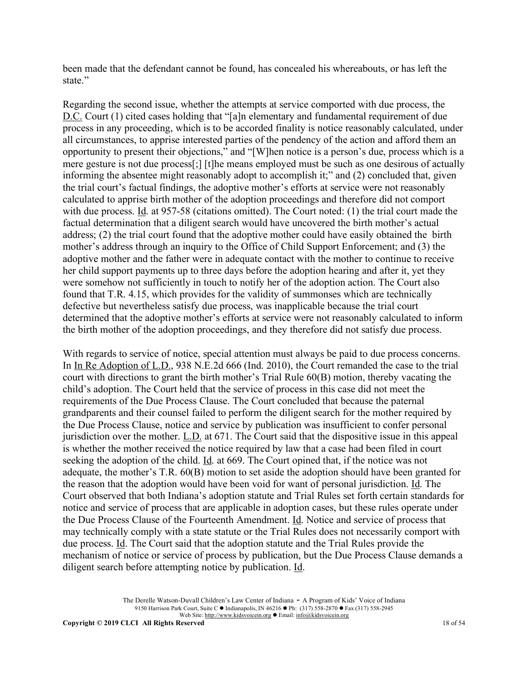been made that the defendant cannot be found, has concealed his whereabouts, or has left the state"

Regarding the second issue, whether the attempts at service comported with due process, the D.C. Court (1) cited cases holding that "[a]n elementary and fundamental requirement of due process in any proceeding, which is to be accorded finality is notice reasonably calculated, under all circumstances, to apprise interested parties of the pendency of the action and afford them an opportunity to present their objections," and "[W]hen notice is a person's due, process which is a mere gesture is not due process[;] [t]he means employed must be such as one desirous of actually informing the absentee might reasonably adopt to accomplish it;" and (2) concluded that, given the trial court's factual findings, the adoptive mother's efforts at service were not reasonably calculated to apprise birth mother of the adoption proceedings and therefore did not comport with due process. Id. at 957-58 (citations omitted). The Court noted: (1) the trial court made the factual determination that a diligent search would have uncovered the birth mother's actual address; (2) the trial court found that the adoptive mother could have easily obtained the birth mother's address through an inquiry to the Office of Child Support Enforcement; and (3) the adoptive mother and the father were in adequate contact with the mother to continue to receive her child support payments up to three days before the adoption hearing and after it, yet they were somehow not sufficiently in touch to notify her of the adoption action. The Court also found that T.R. 4.15, which provides for the validity of summonses which are technically defective but nevertheless satisfy due process, was inapplicable because the trial court determined that the adoptive mother's efforts at service were not reasonably calculated to inform the birth mother of the adoption proceedings, and they therefore did not satisfy due process.

With regards to service of notice, special attention must always be paid to due process concerns. In In Re Adoption of L.D., 938 N.E.2d 666 (Ind. 2010), the Court remanded the case to the trial court with directions to grant the birth mother's Trial Rule 60(B) motion, thereby vacating the child's adoption. The Court held that the service of process in this case did not meet the requirements of the Due Process Clause. The Court concluded that because the paternal grandparents and their counsel failed to perform the diligent search for the mother required by the Due Process Clause, notice and service by publication was insufficient to confer personal jurisdiction over the mother. L.D. at 671. The Court said that the dispositive issue in this appeal is whether the mother received the notice required by law that a case had been filed in court seeking the adoption of the child. Id. at 669. The Court opined that, if the notice was not adequate, the mother's T.R. 60(B) motion to set aside the adoption should have been granted for the reason that the adoption would have been void for want of personal jurisdiction. Id. The Court observed that both Indiana's adoption statute and Trial Rules set forth certain standards for notice and service of process that are applicable in adoption cases, but these rules operate under the Due Process Clause of the Fourteenth Amendment. Id. Notice and service of process that may technically comply with a state statute or the Trial Rules does not necessarily comport with due process. Id. The Court said that the adoption statute and the Trial Rules provide the mechanism of notice or service of process by publication, but the Due Process Clause demands a diligent search before attempting notice by publication. Id.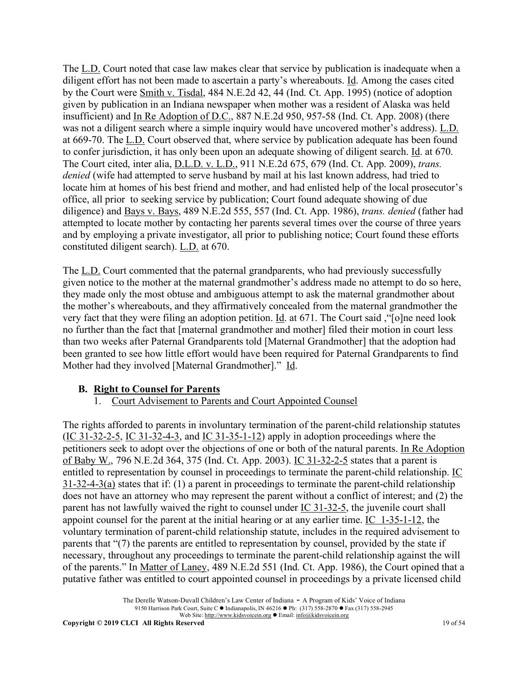The L.D. Court noted that case law makes clear that service by publication is inadequate when a diligent effort has not been made to ascertain a party's whereabouts. Id. Among the cases cited by the Court were Smith v. Tisdal, 484 N.E.2d 42, 44 (Ind. Ct. App. 1995) (notice of adoption given by publication in an Indiana newspaper when mother was a resident of Alaska was held insufficient) and In Re Adoption of D.C., 887 N.E.2d 950, 957-58 (Ind. Ct. App. 2008) (there was not a diligent search where a simple inquiry would have uncovered mother's address). L.D. at 669-70. The L.D. Court observed that, where service by publication adequate has been found to confer jurisdiction, it has only been upon an adequate showing of diligent search. Id. at 670. The Court cited, inter alia, D.L.D. v. L.D., 911 N.E.2d 675, 679 (Ind. Ct. App. 2009), *trans. denied* (wife had attempted to serve husband by mail at his last known address, had tried to locate him at homes of his best friend and mother, and had enlisted help of the local prosecutor's office, all prior to seeking service by publication; Court found adequate showing of due diligence) and Bays v. Bays, 489 N.E.2d 555, 557 (Ind. Ct. App. 1986), *trans. denied* (father had attempted to locate mother by contacting her parents several times over the course of three years and by employing a private investigator, all prior to publishing notice; Court found these efforts constituted diligent search). L.D. at 670.

The L.D. Court commented that the paternal grandparents, who had previously successfully given notice to the mother at the maternal grandmother's address made no attempt to do so here, they made only the most obtuse and ambiguous attempt to ask the maternal grandmother about the mother's whereabouts, and they affirmatively concealed from the maternal grandmother the very fact that they were filing an adoption petition. Id. at 671. The Court said ,"[o]ne need look no further than the fact that [maternal grandmother and mother] filed their motion in court less than two weeks after Paternal Grandparents told [Maternal Grandmother] that the adoption had been granted to see how little effort would have been required for Paternal Grandparents to find Mother had they involved [Maternal Grandmother]." Id.

### **B. Right to Counsel for Parents**

1. Court Advisement to Parents and Court Appointed Counsel

The rights afforded to parents in involuntary termination of the parent-child relationship statutes  $(IC 31-32-2-5, IC 31-32-4-3, and IC 31-35-1-12)$  apply in adoption proceedings where the petitioners seek to adopt over the objections of one or both of the natural parents. In Re Adoption of Baby W., 796 N.E.2d 364, 375 (Ind. Ct. App. 2003). IC 31-32-2-5 states that a parent is entitled to representation by counsel in proceedings to terminate the parent-child relationship. IC 31-32-4-3(a) states that if: (1) a parent in proceedings to terminate the parent-child relationship does not have an attorney who may represent the parent without a conflict of interest; and (2) the parent has not lawfully waived the right to counsel under IC 31-32-5, the juvenile court shall appoint counsel for the parent at the initial hearing or at any earlier time. IC 1-35-1-12, the voluntary termination of parent-child relationship statute, includes in the required advisement to parents that "(7) the parents are entitled to representation by counsel, provided by the state if necessary, throughout any proceedings to terminate the parent-child relationship against the will of the parents." In Matter of Laney, 489 N.E.2d 551 (Ind. Ct. App. 1986), the Court opined that a putative father was entitled to court appointed counsel in proceedings by a private licensed child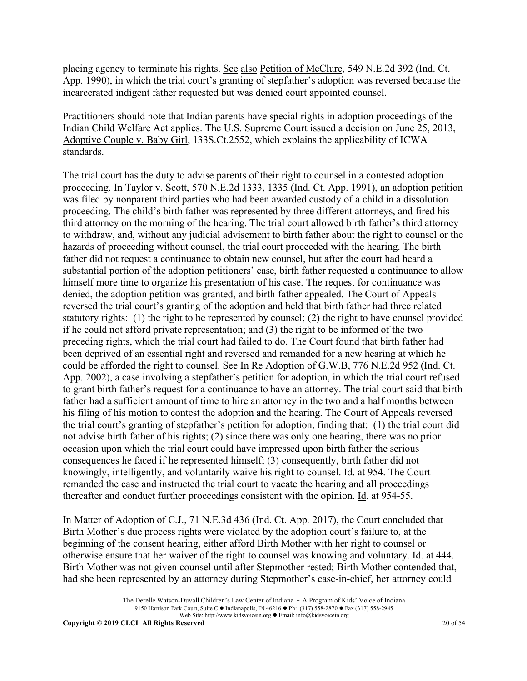placing agency to terminate his rights. See also Petition of McClure, 549 N.E.2d 392 (Ind. Ct. App. 1990), in which the trial court's granting of stepfather's adoption was reversed because the incarcerated indigent father requested but was denied court appointed counsel.

Practitioners should note that Indian parents have special rights in adoption proceedings of the Indian Child Welfare Act applies. The U.S. Supreme Court issued a decision on June 25, 2013, Adoptive Couple v. Baby Girl, 133S.Ct.2552, which explains the applicability of ICWA standards.

The trial court has the duty to advise parents of their right to counsel in a contested adoption proceeding. In Taylor v. Scott, 570 N.E.2d 1333, 1335 (Ind. Ct. App. 1991), an adoption petition was filed by nonparent third parties who had been awarded custody of a child in a dissolution proceeding. The child's birth father was represented by three different attorneys, and fired his third attorney on the morning of the hearing. The trial court allowed birth father's third attorney to withdraw, and, without any judicial advisement to birth father about the right to counsel or the hazards of proceeding without counsel, the trial court proceeded with the hearing. The birth father did not request a continuance to obtain new counsel, but after the court had heard a substantial portion of the adoption petitioners' case, birth father requested a continuance to allow himself more time to organize his presentation of his case. The request for continuance was denied, the adoption petition was granted, and birth father appealed. The Court of Appeals reversed the trial court's granting of the adoption and held that birth father had three related statutory rights: (1) the right to be represented by counsel; (2) the right to have counsel provided if he could not afford private representation; and (3) the right to be informed of the two preceding rights, which the trial court had failed to do. The Court found that birth father had been deprived of an essential right and reversed and remanded for a new hearing at which he could be afforded the right to counsel. See In Re Adoption of G.W.B, 776 N.E.2d 952 (Ind. Ct. App. 2002), a case involving a stepfather's petition for adoption, in which the trial court refused to grant birth father's request for a continuance to have an attorney. The trial court said that birth father had a sufficient amount of time to hire an attorney in the two and a half months between his filing of his motion to contest the adoption and the hearing. The Court of Appeals reversed the trial court's granting of stepfather's petition for adoption, finding that: (1) the trial court did not advise birth father of his rights; (2) since there was only one hearing, there was no prior occasion upon which the trial court could have impressed upon birth father the serious consequences he faced if he represented himself; (3) consequently, birth father did not knowingly, intelligently, and voluntarily waive his right to counsel. Id. at 954. The Court remanded the case and instructed the trial court to vacate the hearing and all proceedings thereafter and conduct further proceedings consistent with the opinion. Id. at 954-55.

In Matter of Adoption of C.J., 71 N.E.3d 436 (Ind. Ct. App. 2017), the Court concluded that Birth Mother's due process rights were violated by the adoption court's failure to, at the beginning of the consent hearing, either afford Birth Mother with her right to counsel or otherwise ensure that her waiver of the right to counsel was knowing and voluntary. Id. at 444. Birth Mother was not given counsel until after Stepmother rested; Birth Mother contended that, had she been represented by an attorney during Stepmother's case-in-chief, her attorney could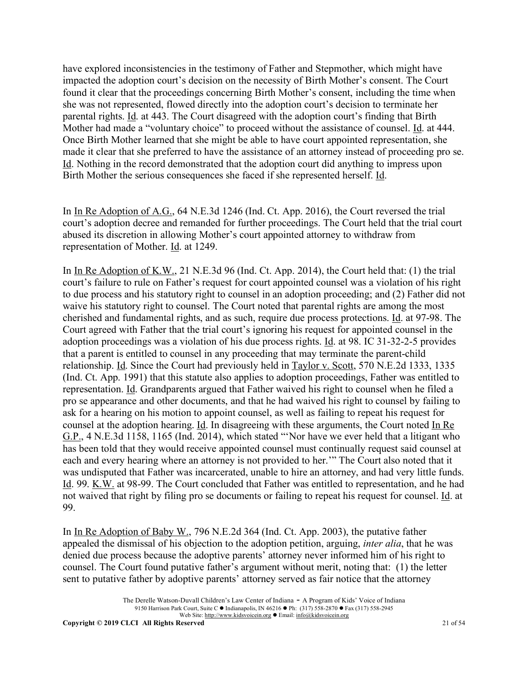have explored inconsistencies in the testimony of Father and Stepmother, which might have impacted the adoption court's decision on the necessity of Birth Mother's consent. The Court found it clear that the proceedings concerning Birth Mother's consent, including the time when she was not represented, flowed directly into the adoption court's decision to terminate her parental rights. Id. at 443. The Court disagreed with the adoption court's finding that Birth Mother had made a "voluntary choice" to proceed without the assistance of counsel. Id. at 444. Once Birth Mother learned that she might be able to have court appointed representation, she made it clear that she preferred to have the assistance of an attorney instead of proceeding pro se. Id. Nothing in the record demonstrated that the adoption court did anything to impress upon Birth Mother the serious consequences she faced if she represented herself. Id.

In In Re Adoption of A.G., 64 N.E.3d 1246 (Ind. Ct. App. 2016), the Court reversed the trial court's adoption decree and remanded for further proceedings. The Court held that the trial court abused its discretion in allowing Mother's court appointed attorney to withdraw from representation of Mother. Id. at 1249.

In In Re Adoption of K.W., 21 N.E.3d 96 (Ind. Ct. App. 2014), the Court held that: (1) the trial court's failure to rule on Father's request for court appointed counsel was a violation of his right to due process and his statutory right to counsel in an adoption proceeding; and (2) Father did not waive his statutory right to counsel. The Court noted that parental rights are among the most cherished and fundamental rights, and as such, require due process protections. Id. at 97-98. The Court agreed with Father that the trial court's ignoring his request for appointed counsel in the adoption proceedings was a violation of his due process rights. Id. at 98. IC 31-32-2-5 provides that a parent is entitled to counsel in any proceeding that may terminate the parent-child relationship. Id. Since the Court had previously held in Taylor v. Scott, 570 N.E.2d 1333, 1335 (Ind. Ct. App. 1991) that this statute also applies to adoption proceedings, Father was entitled to representation. Id. Grandparents argued that Father waived his right to counsel when he filed a pro se appearance and other documents, and that he had waived his right to counsel by failing to ask for a hearing on his motion to appoint counsel, as well as failing to repeat his request for counsel at the adoption hearing. Id. In disagreeing with these arguments, the Court noted In Re G.P., 4 N.E.3d 1158, 1165 (Ind. 2014), which stated "'Nor have we ever held that a litigant who has been told that they would receive appointed counsel must continually request said counsel at each and every hearing where an attorney is not provided to her.'" The Court also noted that it was undisputed that Father was incarcerated, unable to hire an attorney, and had very little funds. Id. 99. K.W. at 98-99. The Court concluded that Father was entitled to representation, and he had not waived that right by filing pro se documents or failing to repeat his request for counsel. Id. at 99.

In In Re Adoption of Baby W., 796 N.E.2d 364 (Ind. Ct. App. 2003), the putative father appealed the dismissal of his objection to the adoption petition, arguing, *inter alia*, that he was denied due process because the adoptive parents' attorney never informed him of his right to counsel. The Court found putative father's argument without merit, noting that: (1) the letter sent to putative father by adoptive parents' attorney served as fair notice that the attorney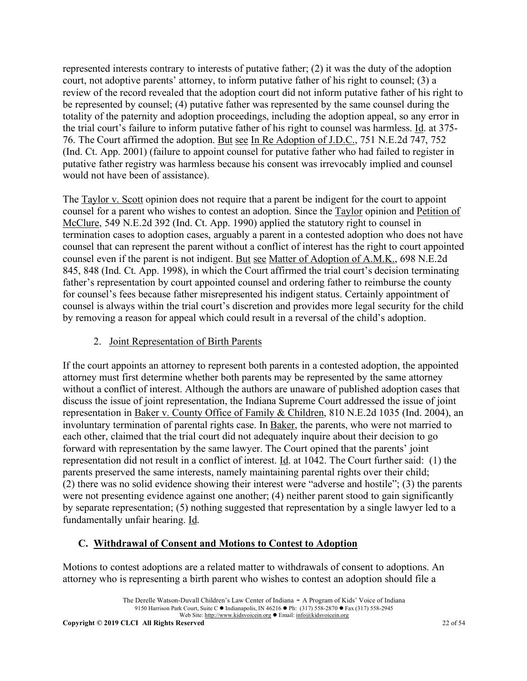represented interests contrary to interests of putative father; (2) it was the duty of the adoption court, not adoptive parents' attorney, to inform putative father of his right to counsel; (3) a review of the record revealed that the adoption court did not inform putative father of his right to be represented by counsel; (4) putative father was represented by the same counsel during the totality of the paternity and adoption proceedings, including the adoption appeal, so any error in the trial court's failure to inform putative father of his right to counsel was harmless. Id. at 375- 76. The Court affirmed the adoption. But see In Re Adoption of J.D.C., 751 N.E.2d 747, 752 (Ind. Ct. App. 2001) (failure to appoint counsel for putative father who had failed to register in putative father registry was harmless because his consent was irrevocably implied and counsel would not have been of assistance).

The Taylor v. Scott opinion does not require that a parent be indigent for the court to appoint counsel for a parent who wishes to contest an adoption. Since the Taylor opinion and Petition of McClure, 549 N.E.2d 392 (Ind. Ct. App. 1990) applied the statutory right to counsel in termination cases to adoption cases, arguably a parent in a contested adoption who does not have counsel that can represent the parent without a conflict of interest has the right to court appointed counsel even if the parent is not indigent. But see Matter of Adoption of A.M.K., 698 N.E.2d 845, 848 (Ind. Ct. App. 1998), in which the Court affirmed the trial court's decision terminating father's representation by court appointed counsel and ordering father to reimburse the county for counsel's fees because father misrepresented his indigent status. Certainly appointment of counsel is always within the trial court's discretion and provides more legal security for the child by removing a reason for appeal which could result in a reversal of the child's adoption.

### 2. Joint Representation of Birth Parents

If the court appoints an attorney to represent both parents in a contested adoption, the appointed attorney must first determine whether both parents may be represented by the same attorney without a conflict of interest. Although the authors are unaware of published adoption cases that discuss the issue of joint representation, the Indiana Supreme Court addressed the issue of joint representation in Baker v. County Office of Family & Children, 810 N.E.2d 1035 (Ind. 2004), an involuntary termination of parental rights case. In Baker, the parents, who were not married to each other, claimed that the trial court did not adequately inquire about their decision to go forward with representation by the same lawyer. The Court opined that the parents' joint representation did not result in a conflict of interest. Id. at 1042. The Court further said: (1) the parents preserved the same interests, namely maintaining parental rights over their child; (2) there was no solid evidence showing their interest were "adverse and hostile"; (3) the parents were not presenting evidence against one another; (4) neither parent stood to gain significantly by separate representation; (5) nothing suggested that representation by a single lawyer led to a fundamentally unfair hearing. Id.

# **C. Withdrawal of Consent and Motions to Contest to Adoption**

Motions to contest adoptions are a related matter to withdrawals of consent to adoptions. An attorney who is representing a birth parent who wishes to contest an adoption should file a

The Derelle Watson-Duvall Children's Law Center of Indiana - A Program of Kids' Voice of Indiana 9150 Harrison Park Court, Suite C · Indianapolis, IN 46216 • Ph: (317) 558-2870 • Fax (317) 558-2945 Web Site: http://www.kidsvoicein.org <br>
• Email: info@kidsvoicein.org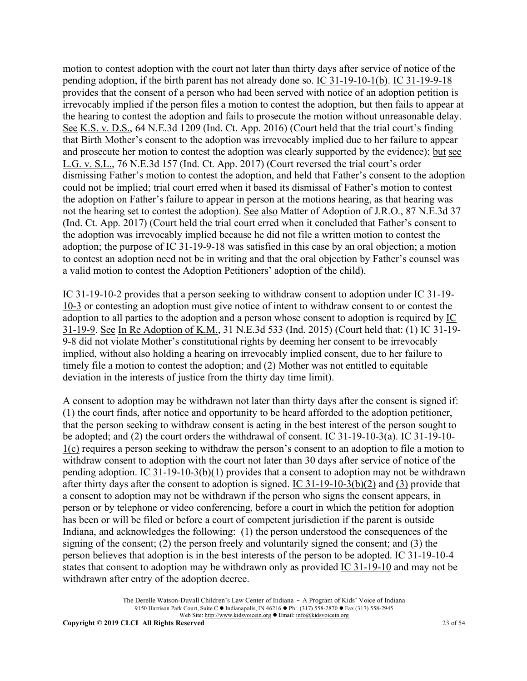motion to contest adoption with the court not later than thirty days after service of notice of the pending adoption, if the birth parent has not already done so. IC 31-19-10-1(b). IC 31-19-9-18 provides that the consent of a person who had been served with notice of an adoption petition is irrevocably implied if the person files a motion to contest the adoption, but then fails to appear at the hearing to contest the adoption and fails to prosecute the motion without unreasonable delay. See K.S. v. D.S., 64 N.E.3d 1209 (Ind. Ct. App. 2016) (Court held that the trial court's finding that Birth Mother's consent to the adoption was irrevocably implied due to her failure to appear and prosecute her motion to contest the adoption was clearly supported by the evidence); but see L.G. v. S.L., 76 N.E.3d 157 (Ind. Ct. App. 2017) (Court reversed the trial court's order dismissing Father's motion to contest the adoption, and held that Father's consent to the adoption could not be implied; trial court erred when it based its dismissal of Father's motion to contest the adoption on Father's failure to appear in person at the motions hearing, as that hearing was not the hearing set to contest the adoption). See also Matter of Adoption of J.R.O., 87 N.E.3d 37 (Ind. Ct. App. 2017) (Court held the trial court erred when it concluded that Father's consent to the adoption was irrevocably implied because he did not file a written motion to contest the adoption; the purpose of IC 31-19-9-18 was satisfied in this case by an oral objection; a motion to contest an adoption need not be in writing and that the oral objection by Father's counsel was a valid motion to contest the Adoption Petitioners' adoption of the child).

IC 31-19-10-2 provides that a person seeking to withdraw consent to adoption under IC 31-19- 10-3 or contesting an adoption must give notice of intent to withdraw consent to or contest the adoption to all parties to the adoption and a person whose consent to adoption is required by  $\underline{IC}$ 31-19-9. See In Re Adoption of K.M., 31 N.E.3d 533 (Ind. 2015) (Court held that: (1) IC 31-19- 9-8 did not violate Mother's constitutional rights by deeming her consent to be irrevocably implied, without also holding a hearing on irrevocably implied consent, due to her failure to timely file a motion to contest the adoption; and (2) Mother was not entitled to equitable deviation in the interests of justice from the thirty day time limit).

A consent to adoption may be withdrawn not later than thirty days after the consent is signed if: (1) the court finds, after notice and opportunity to be heard afforded to the adoption petitioner, that the person seeking to withdraw consent is acting in the best interest of the person sought to be adopted; and (2) the court orders the withdrawal of consent. IC 31-19-10-3(a). IC 31-19-10- 1(c) requires a person seeking to withdraw the person's consent to an adoption to file a motion to withdraw consent to adoption with the court not later than 30 days after service of notice of the pending adoption. IC 31-19-10-3(b)(1) provides that a consent to adoption may not be withdrawn after thirty days after the consent to adoption is signed. IC 31-19-10-3(b)(2) and (3) provide that a consent to adoption may not be withdrawn if the person who signs the consent appears, in person or by telephone or video conferencing, before a court in which the petition for adoption has been or will be filed or before a court of competent jurisdiction if the parent is outside Indiana, and acknowledges the following: (1) the person understood the consequences of the signing of the consent; (2) the person freely and voluntarily signed the consent; and (3) the person believes that adoption is in the best interests of the person to be adopted. IC 31-19-10-4 states that consent to adoption may be withdrawn only as provided IC 31-19-10 and may not be withdrawn after entry of the adoption decree.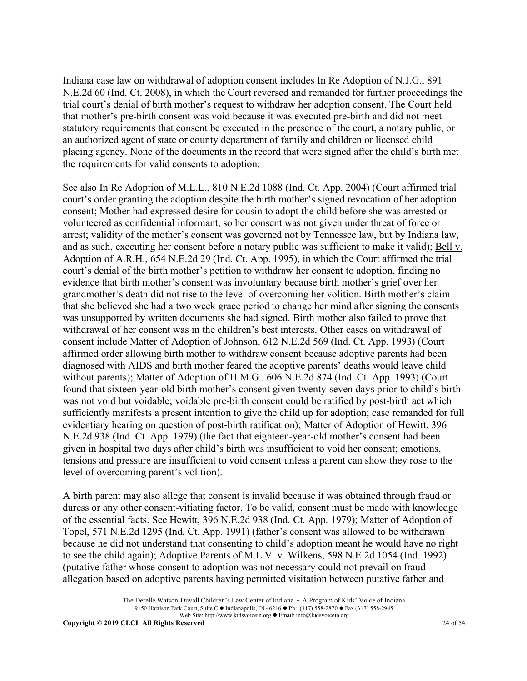Indiana case law on withdrawal of adoption consent includes In Re Adoption of N.J.G., 891 N.E.2d 60 (Ind. Ct. 2008), in which the Court reversed and remanded for further proceedings the trial court's denial of birth mother's request to withdraw her adoption consent. The Court held that mother's pre-birth consent was void because it was executed pre-birth and did not meet statutory requirements that consent be executed in the presence of the court, a notary public, or an authorized agent of state or county department of family and children or licensed child placing agency. None of the documents in the record that were signed after the child's birth met the requirements for valid consents to adoption.

See also In Re Adoption of M.L.L., 810 N.E.2d 1088 (Ind. Ct. App. 2004) (Court affirmed trial court's order granting the adoption despite the birth mother's signed revocation of her adoption consent; Mother had expressed desire for cousin to adopt the child before she was arrested or volunteered as confidential informant, so her consent was not given under threat of force or arrest; validity of the mother's consent was governed not by Tennessee law, but by Indiana law, and as such, executing her consent before a notary public was sufficient to make it valid); Bell v. Adoption of A.R.H., 654 N.E.2d 29 (Ind. Ct. App. 1995), in which the Court affirmed the trial court's denial of the birth mother's petition to withdraw her consent to adoption, finding no evidence that birth mother's consent was involuntary because birth mother's grief over her grandmother's death did not rise to the level of overcoming her volition. Birth mother's claim that she believed she had a two week grace period to change her mind after signing the consents was unsupported by written documents she had signed. Birth mother also failed to prove that withdrawal of her consent was in the children's best interests. Other cases on withdrawal of consent include Matter of Adoption of Johnson, 612 N.E.2d 569 (Ind. Ct. App. 1993) (Court affirmed order allowing birth mother to withdraw consent because adoptive parents had been diagnosed with AIDS and birth mother feared the adoptive parents' deaths would leave child without parents); Matter of Adoption of H.M.G., 606 N.E.2d 874 (Ind. Ct. App. 1993) (Court found that sixteen-year-old birth mother's consent given twenty-seven days prior to child's birth was not void but voidable; voidable pre-birth consent could be ratified by post-birth act which sufficiently manifests a present intention to give the child up for adoption; case remanded for full evidentiary hearing on question of post-birth ratification); Matter of Adoption of Hewitt, 396 N.E.2d 938 (Ind. Ct. App. 1979) (the fact that eighteen-year-old mother's consent had been given in hospital two days after child's birth was insufficient to void her consent; emotions, tensions and pressure are insufficient to void consent unless a parent can show they rose to the level of overcoming parent's volition).

A birth parent may also allege that consent is invalid because it was obtained through fraud or duress or any other consent-vitiating factor. To be valid, consent must be made with knowledge of the essential facts. See Hewitt, 396 N.E.2d 938 (Ind. Ct. App. 1979); Matter of Adoption of Topel, 571 N.E.2d 1295 (Ind. Ct. App. 1991) (father's consent was allowed to be withdrawn because he did not understand that consenting to child's adoption meant he would have no right to see the child again); Adoptive Parents of M.L.V. v. Wilkens, 598 N.E.2d 1054 (Ind. 1992) (putative father whose consent to adoption was not necessary could not prevail on fraud allegation based on adoptive parents having permitted visitation between putative father and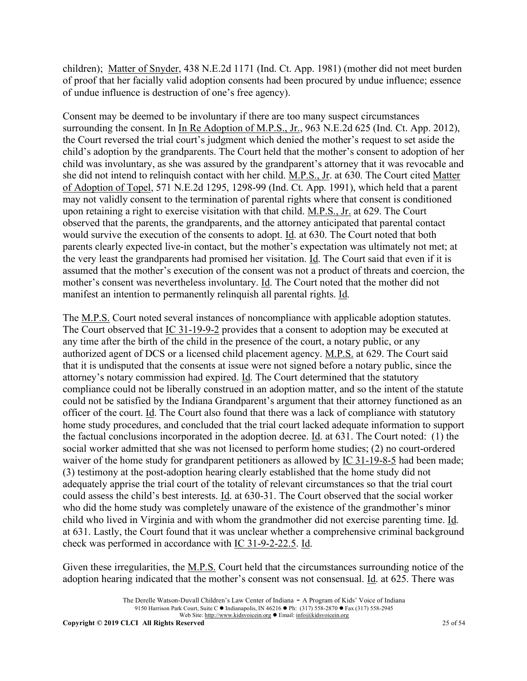children); Matter of Snyder, 438 N.E.2d 1171 (Ind. Ct. App. 1981) (mother did not meet burden of proof that her facially valid adoption consents had been procured by undue influence; essence of undue influence is destruction of one's free agency).

Consent may be deemed to be involuntary if there are too many suspect circumstances surrounding the consent. In In Re Adoption of M.P.S., Jr., 963 N.E.2d 625 (Ind. Ct. App. 2012), the Court reversed the trial court's judgment which denied the mother's request to set aside the child's adoption by the grandparents. The Court held that the mother's consent to adoption of her child was involuntary, as she was assured by the grandparent's attorney that it was revocable and she did not intend to relinquish contact with her child. M.P.S., Jr. at 630. The Court cited Matter of Adoption of Topel, 571 N.E.2d 1295, 1298-99 (Ind. Ct. App. 1991), which held that a parent may not validly consent to the termination of parental rights where that consent is conditioned upon retaining a right to exercise visitation with that child. M.P.S., Jr. at 629. The Court observed that the parents, the grandparents, and the attorney anticipated that parental contact would survive the execution of the consents to adopt. Id. at 630. The Court noted that both parents clearly expected live-in contact, but the mother's expectation was ultimately not met; at the very least the grandparents had promised her visitation. Id. The Court said that even if it is assumed that the mother's execution of the consent was not a product of threats and coercion, the mother's consent was nevertheless involuntary. Id. The Court noted that the mother did not manifest an intention to permanently relinquish all parental rights. Id.

The M.P.S. Court noted several instances of noncompliance with applicable adoption statutes. The Court observed that IC 31-19-9-2 provides that a consent to adoption may be executed at any time after the birth of the child in the presence of the court, a notary public, or any authorized agent of DCS or a licensed child placement agency. M.P.S. at 629. The Court said that it is undisputed that the consents at issue were not signed before a notary public, since the attorney's notary commission had expired. Id. The Court determined that the statutory compliance could not be liberally construed in an adoption matter, and so the intent of the statute could not be satisfied by the Indiana Grandparent's argument that their attorney functioned as an officer of the court. Id. The Court also found that there was a lack of compliance with statutory home study procedures, and concluded that the trial court lacked adequate information to support the factual conclusions incorporated in the adoption decree. Id. at 631. The Court noted: (1) the social worker admitted that she was not licensed to perform home studies; (2) no court-ordered waiver of the home study for grandparent petitioners as allowed by IC 31-19-8-5 had been made; (3) testimony at the post-adoption hearing clearly established that the home study did not adequately apprise the trial court of the totality of relevant circumstances so that the trial court could assess the child's best interests. Id. at 630-31. The Court observed that the social worker who did the home study was completely unaware of the existence of the grandmother's minor child who lived in Virginia and with whom the grandmother did not exercise parenting time. Id. at 631. Lastly, the Court found that it was unclear whether a comprehensive criminal background check was performed in accordance with IC 31-9-2-22.5. Id.

Given these irregularities, the <u>M.P.S.</u> Court held that the circumstances surrounding notice of the adoption hearing indicated that the mother's consent was not consensual. Id. at 625. There was

The Derelle Watson-Duvall Children's Law Center of Indiana - A Program of Kids' Voice of Indiana 9150 Harrison Park Court, Suite C • Indianapolis, IN 46216 • Ph: (317) 558-2870 • Fax (317) 558-2945 Web Site: http://www.kidsvoicein.org • Email: info@kidsvoicein.org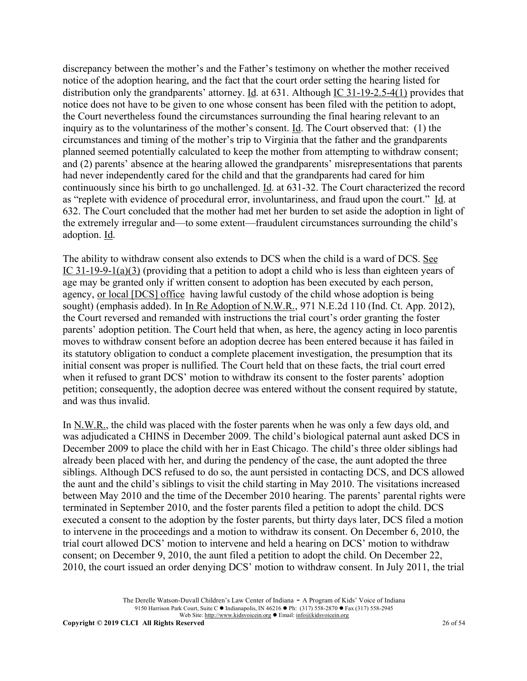discrepancy between the mother's and the Father's testimony on whether the mother received notice of the adoption hearing, and the fact that the court order setting the hearing listed for distribution only the grandparents' attorney. Id. at 631. Although IC 31-19-2.5-4(1) provides that notice does not have to be given to one whose consent has been filed with the petition to adopt, the Court nevertheless found the circumstances surrounding the final hearing relevant to an inquiry as to the voluntariness of the mother's consent. Id. The Court observed that: (1) the circumstances and timing of the mother's trip to Virginia that the father and the grandparents planned seemed potentially calculated to keep the mother from attempting to withdraw consent; and (2) parents' absence at the hearing allowed the grandparents' misrepresentations that parents had never independently cared for the child and that the grandparents had cared for him continuously since his birth to go unchallenged. Id. at 631-32. The Court characterized the record as "replete with evidence of procedural error, involuntariness, and fraud upon the court." Id. at 632. The Court concluded that the mother had met her burden to set aside the adoption in light of the extremely irregular and—to some extent—fraudulent circumstances surrounding the child's adoption. Id.

The ability to withdraw consent also extends to DCS when the child is a ward of DCS. See IC 31-19-9-1(a)(3) (providing that a petition to adopt a child who is less than eighteen years of age may be granted only if written consent to adoption has been executed by each person, agency, or local [DCS] office having lawful custody of the child whose adoption is being sought) (emphasis added). In In Re Adoption of N.W.R., 971 N.E.2d 110 (Ind. Ct. App. 2012), the Court reversed and remanded with instructions the trial court's order granting the foster parents' adoption petition. The Court held that when, as here, the agency acting in loco parentis moves to withdraw consent before an adoption decree has been entered because it has failed in its statutory obligation to conduct a complete placement investigation, the presumption that its initial consent was proper is nullified. The Court held that on these facts, the trial court erred when it refused to grant DCS' motion to withdraw its consent to the foster parents' adoption petition; consequently, the adoption decree was entered without the consent required by statute, and was thus invalid.

In N.W.R., the child was placed with the foster parents when he was only a few days old, and was adjudicated a CHINS in December 2009. The child's biological paternal aunt asked DCS in December 2009 to place the child with her in East Chicago. The child's three older siblings had already been placed with her, and during the pendency of the case, the aunt adopted the three siblings. Although DCS refused to do so, the aunt persisted in contacting DCS, and DCS allowed the aunt and the child's siblings to visit the child starting in May 2010. The visitations increased between May 2010 and the time of the December 2010 hearing. The parents' parental rights were terminated in September 2010, and the foster parents filed a petition to adopt the child. DCS executed a consent to the adoption by the foster parents, but thirty days later, DCS filed a motion to intervene in the proceedings and a motion to withdraw its consent. On December 6, 2010, the trial court allowed DCS' motion to intervene and held a hearing on DCS' motion to withdraw consent; on December 9, 2010, the aunt filed a petition to adopt the child. On December 22, 2010, the court issued an order denying DCS' motion to withdraw consent. In July 2011, the trial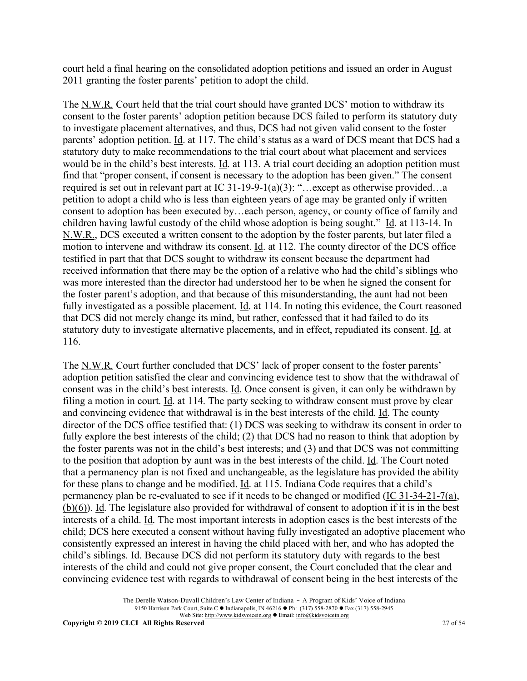court held a final hearing on the consolidated adoption petitions and issued an order in August 2011 granting the foster parents' petition to adopt the child.

The N.W.R. Court held that the trial court should have granted DCS' motion to withdraw its consent to the foster parents' adoption petition because DCS failed to perform its statutory duty to investigate placement alternatives, and thus, DCS had not given valid consent to the foster parents' adoption petition. Id. at 117. The child's status as a ward of DCS meant that DCS had a statutory duty to make recommendations to the trial court about what placement and services would be in the child's best interests. Id. at 113. A trial court deciding an adoption petition must find that "proper consent, if consent is necessary to the adoption has been given." The consent required is set out in relevant part at IC 31-19-9-1(a)(3): "…except as otherwise provided…a petition to adopt a child who is less than eighteen years of age may be granted only if written consent to adoption has been executed by…each person, agency, or county office of family and children having lawful custody of the child whose adoption is being sought." Id. at 113-14. In N.W.R., DCS executed a written consent to the adoption by the foster parents, but later filed a motion to intervene and withdraw its consent. Id. at 112. The county director of the DCS office testified in part that that DCS sought to withdraw its consent because the department had received information that there may be the option of a relative who had the child's siblings who was more interested than the director had understood her to be when he signed the consent for the foster parent's adoption, and that because of this misunderstanding, the aunt had not been fully investigated as a possible placement. Id. at 114. In noting this evidence, the Court reasoned that DCS did not merely change its mind, but rather, confessed that it had failed to do its statutory duty to investigate alternative placements, and in effect, repudiated its consent. Id. at 116.

The N.W.R. Court further concluded that DCS' lack of proper consent to the foster parents' adoption petition satisfied the clear and convincing evidence test to show that the withdrawal of consent was in the child's best interests. Id. Once consent is given, it can only be withdrawn by filing a motion in court. Id. at 114. The party seeking to withdraw consent must prove by clear and convincing evidence that withdrawal is in the best interests of the child. Id. The county director of the DCS office testified that: (1) DCS was seeking to withdraw its consent in order to fully explore the best interests of the child; (2) that DCS had no reason to think that adoption by the foster parents was not in the child's best interests; and (3) and that DCS was not committing to the position that adoption by aunt was in the best interests of the child. Id. The Court noted that a permanency plan is not fixed and unchangeable, as the legislature has provided the ability for these plans to change and be modified. Id. at 115. Indiana Code requires that a child's permanency plan be re-evaluated to see if it needs to be changed or modified (IC 31-34-21-7(a), (b)(6)). Id. The legislature also provided for withdrawal of consent to adoption if it is in the best interests of a child. Id. The most important interests in adoption cases is the best interests of the child; DCS here executed a consent without having fully investigated an adoptive placement who consistently expressed an interest in having the child placed with her, and who has adopted the child's siblings. Id. Because DCS did not perform its statutory duty with regards to the best interests of the child and could not give proper consent, the Court concluded that the clear and convincing evidence test with regards to withdrawal of consent being in the best interests of the

> The Derelle Watson-Duvall Children's Law Center of Indiana - A Program of Kids' Voice of Indiana 9150 Harrison Park Court, Suite C • Indianapolis, IN 46216 • Ph: (317) 558-2870 • Fax (317) 558-2945 Web Site: http://www.kidsvoicein.org <br>
> • Email: info@kidsvoicein.org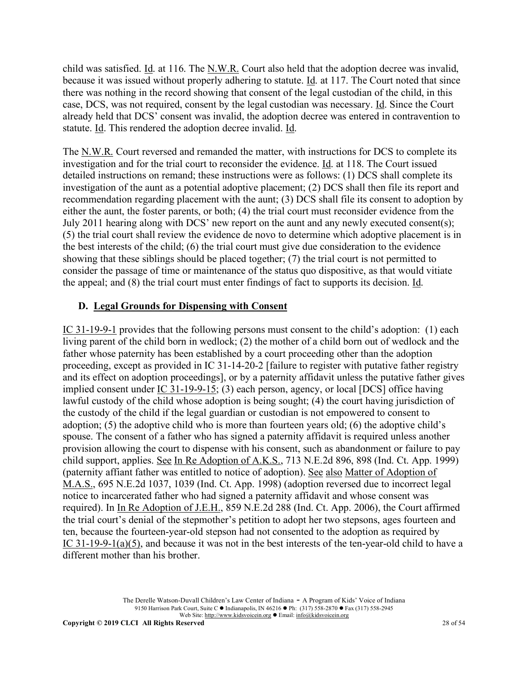child was satisfied. Id. at 116. The N.W.R. Court also held that the adoption decree was invalid, because it was issued without properly adhering to statute. Id. at 117. The Court noted that since there was nothing in the record showing that consent of the legal custodian of the child, in this case, DCS, was not required, consent by the legal custodian was necessary. Id. Since the Court already held that DCS' consent was invalid, the adoption decree was entered in contravention to statute. Id. This rendered the adoption decree invalid. Id.

The N.W.R. Court reversed and remanded the matter, with instructions for DCS to complete its investigation and for the trial court to reconsider the evidence. Id. at 118. The Court issued detailed instructions on remand; these instructions were as follows: (1) DCS shall complete its investigation of the aunt as a potential adoptive placement; (2) DCS shall then file its report and recommendation regarding placement with the aunt; (3) DCS shall file its consent to adoption by either the aunt, the foster parents, or both; (4) the trial court must reconsider evidence from the July 2011 hearing along with DCS' new report on the aunt and any newly executed consent(s); (5) the trial court shall review the evidence de novo to determine which adoptive placement is in the best interests of the child; (6) the trial court must give due consideration to the evidence showing that these siblings should be placed together; (7) the trial court is not permitted to consider the passage of time or maintenance of the status quo dispositive, as that would vitiate the appeal; and  $(8)$  the trial court must enter findings of fact to supports its decision. Id.

#### **D. Legal Grounds for Dispensing with Consent**

IC 31-19-9-1 provides that the following persons must consent to the child's adoption: (1) each living parent of the child born in wedlock; (2) the mother of a child born out of wedlock and the father whose paternity has been established by a court proceeding other than the adoption proceeding, except as provided in IC 31-14-20-2 [failure to register with putative father registry and its effect on adoption proceedings], or by a paternity affidavit unless the putative father gives implied consent under IC 31-19-9-15; (3) each person, agency, or local [DCS] office having lawful custody of the child whose adoption is being sought; (4) the court having jurisdiction of the custody of the child if the legal guardian or custodian is not empowered to consent to adoption; (5) the adoptive child who is more than fourteen years old; (6) the adoptive child's spouse. The consent of a father who has signed a paternity affidavit is required unless another provision allowing the court to dispense with his consent, such as abandonment or failure to pay child support, applies. See In Re Adoption of A.K.S., 713 N.E.2d 896, 898 (Ind. Ct. App. 1999) (paternity affiant father was entitled to notice of adoption). See also Matter of Adoption of M.A.S., 695 N.E.2d 1037, 1039 (Ind. Ct. App. 1998) (adoption reversed due to incorrect legal notice to incarcerated father who had signed a paternity affidavit and whose consent was required). In In Re Adoption of J.E.H., 859 N.E.2d 288 (Ind. Ct. App. 2006), the Court affirmed the trial court's denial of the stepmother's petition to adopt her two stepsons, ages fourteen and ten, because the fourteen-year-old stepson had not consented to the adoption as required by IC 31-19-9-1(a)(5), and because it was not in the best interests of the ten-year-old child to have a different mother than his brother.

> The Derelle Watson-Duvall Children's Law Center of Indiana - A Program of Kids' Voice of Indiana 9150 Harrison Park Court, Suite C · Indianapolis, IN 46216 • Ph: (317) 558-2870 • Fax (317) 558-2945 Web Site: http://www.kidsvoicein.org • Email: info@kidsvoicein.org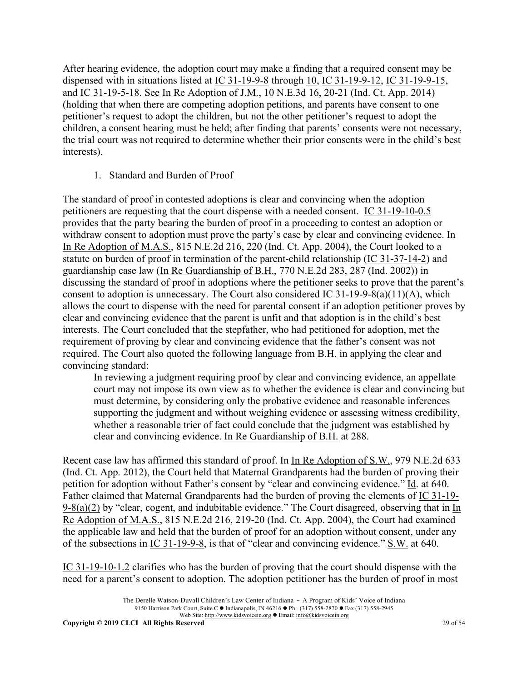After hearing evidence, the adoption court may make a finding that a required consent may be dispensed with in situations listed at IC 31-19-9-8 through 10, IC 31-19-9-12, IC 31-19-9-15, and IC 31-19-5-18. See In Re Adoption of J.M., 10 N.E.3d 16, 20-21 (Ind. Ct. App. 2014) (holding that when there are competing adoption petitions, and parents have consent to one petitioner's request to adopt the children, but not the other petitioner's request to adopt the children, a consent hearing must be held; after finding that parents' consents were not necessary, the trial court was not required to determine whether their prior consents were in the child's best interests).

# 1. Standard and Burden of Proof

The standard of proof in contested adoptions is clear and convincing when the adoption petitioners are requesting that the court dispense with a needed consent. IC 31-19-10-0.5 provides that the party bearing the burden of proof in a proceeding to contest an adoption or withdraw consent to adoption must prove the party's case by clear and convincing evidence. In In Re Adoption of M.A.S., 815 N.E.2d 216, 220 (Ind. Ct. App. 2004), the Court looked to a statute on burden of proof in termination of the parent-child relationship (IC 31-37-14-2) and guardianship case law (In Re Guardianship of B.H., 770 N.E.2d 283, 287 (Ind. 2002)) in discussing the standard of proof in adoptions where the petitioner seeks to prove that the parent's consent to adoption is unnecessary. The Court also considered IC 31-19-9-8(a)(11)(A), which allows the court to dispense with the need for parental consent if an adoption petitioner proves by clear and convincing evidence that the parent is unfit and that adoption is in the child's best interests. The Court concluded that the stepfather, who had petitioned for adoption, met the requirement of proving by clear and convincing evidence that the father's consent was not required. The Court also quoted the following language from B.H. in applying the clear and convincing standard:

In reviewing a judgment requiring proof by clear and convincing evidence, an appellate court may not impose its own view as to whether the evidence is clear and convincing but must determine, by considering only the probative evidence and reasonable inferences supporting the judgment and without weighing evidence or assessing witness credibility, whether a reasonable trier of fact could conclude that the judgment was established by clear and convincing evidence. In Re Guardianship of B.H. at 288.

Recent case law has affirmed this standard of proof. In In Re Adoption of S.W., 979 N.E.2d 633 (Ind. Ct. App. 2012), the Court held that Maternal Grandparents had the burden of proving their petition for adoption without Father's consent by "clear and convincing evidence." Id. at 640. Father claimed that Maternal Grandparents had the burden of proving the elements of IC 31-19-  $9-8(a)(2)$  by "clear, cogent, and indubitable evidence." The Court disagreed, observing that in  $\underline{In}$ Re Adoption of M.A.S., 815 N.E.2d 216, 219-20 (Ind. Ct. App. 2004), the Court had examined the applicable law and held that the burden of proof for an adoption without consent, under any of the subsections in  $\underline{IC}$  31-19-9-8, is that of "clear and convincing evidence."  $\underline{S}$ .W. at 640.

IC 31-19-10-1.2 clarifies who has the burden of proving that the court should dispense with the need for a parent's consent to adoption. The adoption petitioner has the burden of proof in most

The Derelle Watson-Duvall Children's Law Center of Indiana - A Program of Kids' Voice of Indiana 9150 Harrison Park Court, Suite C • Indianapolis, IN 46216 • Ph: (317) 558-2870 • Fax (317) 558-2945 Web Site: http://www.kidsvoicein.org <br>
• Email: info@kidsvoicein.org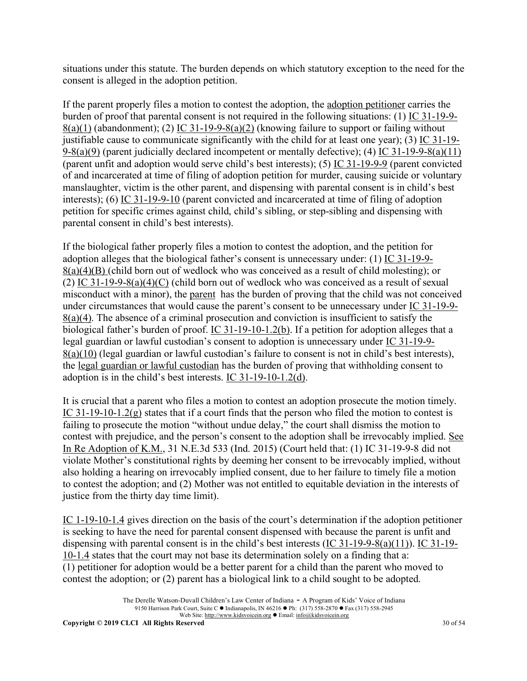situations under this statute. The burden depends on which statutory exception to the need for the consent is alleged in the adoption petition.

If the parent properly files a motion to contest the adoption, the adoption petitioner carries the burden of proof that parental consent is not required in the following situations: (1) IC 31-19-9-  $8(a)(1)$  (abandonment); (2) IC 31-19-9-8(a)(2) (knowing failure to support or failing without justifiable cause to communicate significantly with the child for at least one year); (3) IC 31-19- 9-8(a)(9) (parent judicially declared incompetent or mentally defective); (4) IC 31-19-9-8(a)(11) (parent unfit and adoption would serve child's best interests); (5) IC 31-19-9-9 (parent convicted of and incarcerated at time of filing of adoption petition for murder, causing suicide or voluntary manslaughter, victim is the other parent, and dispensing with parental consent is in child's best interests); (6) IC 31-19-9-10 (parent convicted and incarcerated at time of filing of adoption petition for specific crimes against child, child's sibling, or step-sibling and dispensing with parental consent in child's best interests).

If the biological father properly files a motion to contest the adoption, and the petition for adoption alleges that the biological father's consent is unnecessary under: (1) IC 31-19-9-  $8(a)(4)(B)$  (child born out of wedlock who was conceived as a result of child molesting); or (2) IC 31-19-9-8(a)(4)(C) (child born out of wedlock who was conceived as a result of sexual misconduct with a minor), the parent has the burden of proving that the child was not conceived under circumstances that would cause the parent's consent to be unnecessary under IC 31-19-9- 8(a)(4). The absence of a criminal prosecution and conviction is insufficient to satisfy the biological father's burden of proof. IC 31-19-10-1.2(b). If a petition for adoption alleges that a legal guardian or lawful custodian's consent to adoption is unnecessary under IC 31-19-9- 8(a)(10) (legal guardian or lawful custodian's failure to consent is not in child's best interests), the legal guardian or lawful custodian has the burden of proving that withholding consent to adoption is in the child's best interests. IC 31-19-10-1.2(d).

It is crucial that a parent who files a motion to contest an adoption prosecute the motion timely. IC 31-19-10-1.2( $g$ ) states that if a court finds that the person who filed the motion to contest is failing to prosecute the motion "without undue delay," the court shall dismiss the motion to contest with prejudice, and the person's consent to the adoption shall be irrevocably implied. See In Re Adoption of K.M., 31 N.E.3d 533 (Ind. 2015) (Court held that: (1) IC 31-19-9-8 did not violate Mother's constitutional rights by deeming her consent to be irrevocably implied, without also holding a hearing on irrevocably implied consent, due to her failure to timely file a motion to contest the adoption; and (2) Mother was not entitled to equitable deviation in the interests of justice from the thirty day time limit).

IC 1-19-10-1.4 gives direction on the basis of the court's determination if the adoption petitioner is seeking to have the need for parental consent dispensed with because the parent is unfit and dispensing with parental consent is in the child's best interests (IC 31-19-9-8(a)(11)). IC 31-19- 10-1.4 states that the court may not base its determination solely on a finding that a: (1) petitioner for adoption would be a better parent for a child than the parent who moved to contest the adoption; or (2) parent has a biological link to a child sought to be adopted.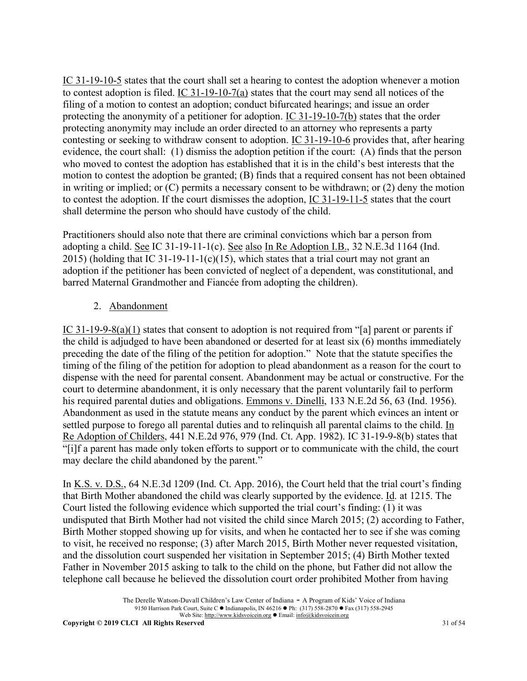IC 31-19-10-5 states that the court shall set a hearing to contest the adoption whenever a motion to contest adoption is filed. IC 31-19-10-7(a) states that the court may send all notices of the filing of a motion to contest an adoption; conduct bifurcated hearings; and issue an order protecting the anonymity of a petitioner for adoption. IC 31-19-10-7(b) states that the order protecting anonymity may include an order directed to an attorney who represents a party contesting or seeking to withdraw consent to adoption. IC 31-19-10-6 provides that, after hearing evidence, the court shall: (1) dismiss the adoption petition if the court: (A) finds that the person who moved to contest the adoption has established that it is in the child's best interests that the motion to contest the adoption be granted; (B) finds that a required consent has not been obtained in writing or implied; or (C) permits a necessary consent to be withdrawn; or (2) deny the motion to contest the adoption. If the court dismisses the adoption, IC 31-19-11-5 states that the court shall determine the person who should have custody of the child.

Practitioners should also note that there are criminal convictions which bar a person from adopting a child. See IC 31-19-11-1(c). See also In Re Adoption I.B., 32 N.E.3d 1164 (Ind. 2015) (holding that IC 31-19-11-1(c)(15), which states that a trial court may not grant an adoption if the petitioner has been convicted of neglect of a dependent, was constitutional, and barred Maternal Grandmother and Fiancée from adopting the children).

# 2. Abandonment

IC 31-19-9-8(a)(1) states that consent to adoption is not required from "[a] parent or parents if the child is adjudged to have been abandoned or deserted for at least six (6) months immediately preceding the date of the filing of the petition for adoption." Note that the statute specifies the timing of the filing of the petition for adoption to plead abandonment as a reason for the court to dispense with the need for parental consent. Abandonment may be actual or constructive. For the court to determine abandonment, it is only necessary that the parent voluntarily fail to perform his required parental duties and obligations. Emmons v. Dinelli, 133 N.E.2d 56, 63 (Ind. 1956). Abandonment as used in the statute means any conduct by the parent which evinces an intent or settled purpose to forego all parental duties and to relinquish all parental claims to the child. In Re Adoption of Childers, 441 N.E.2d 976, 979 (Ind. Ct. App. 1982). IC 31-19-9-8(b) states that "[i]f a parent has made only token efforts to support or to communicate with the child, the court may declare the child abandoned by the parent."

In K.S. v. D.S., 64 N.E.3d 1209 (Ind. Ct. App. 2016), the Court held that the trial court's finding that Birth Mother abandoned the child was clearly supported by the evidence. Id. at 1215. The Court listed the following evidence which supported the trial court's finding: (1) it was undisputed that Birth Mother had not visited the child since March 2015; (2) according to Father, Birth Mother stopped showing up for visits, and when he contacted her to see if she was coming to visit, he received no response; (3) after March 2015, Birth Mother never requested visitation, and the dissolution court suspended her visitation in September 2015; (4) Birth Mother texted Father in November 2015 asking to talk to the child on the phone, but Father did not allow the telephone call because he believed the dissolution court order prohibited Mother from having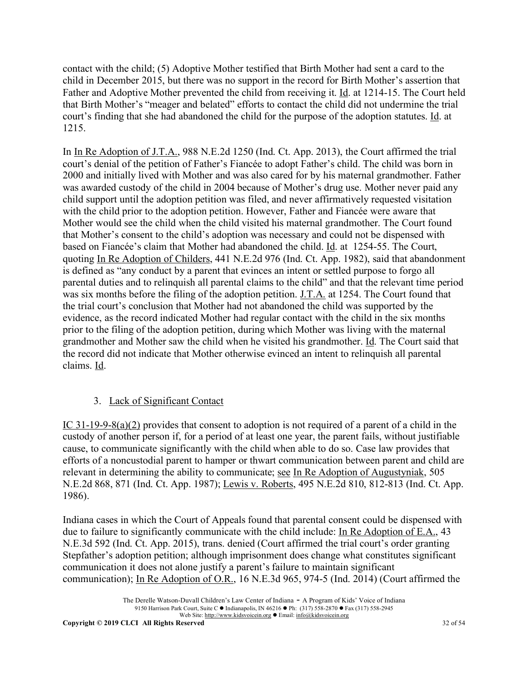contact with the child; (5) Adoptive Mother testified that Birth Mother had sent a card to the child in December 2015, but there was no support in the record for Birth Mother's assertion that Father and Adoptive Mother prevented the child from receiving it. Id. at 1214-15. The Court held that Birth Mother's "meager and belated" efforts to contact the child did not undermine the trial court's finding that she had abandoned the child for the purpose of the adoption statutes. Id. at 1215.

In In Re Adoption of J.T.A., 988 N.E.2d 1250 (Ind. Ct. App. 2013), the Court affirmed the trial court's denial of the petition of Father's Fiancée to adopt Father's child. The child was born in 2000 and initially lived with Mother and was also cared for by his maternal grandmother. Father was awarded custody of the child in 2004 because of Mother's drug use. Mother never paid any child support until the adoption petition was filed, and never affirmatively requested visitation with the child prior to the adoption petition. However, Father and Fiancée were aware that Mother would see the child when the child visited his maternal grandmother. The Court found that Mother's consent to the child's adoption was necessary and could not be dispensed with based on Fiancée's claim that Mother had abandoned the child. Id. at 1254-55. The Court, quoting In Re Adoption of Childers, 441 N.E.2d 976 (Ind. Ct. App. 1982), said that abandonment is defined as "any conduct by a parent that evinces an intent or settled purpose to forgo all parental duties and to relinquish all parental claims to the child" and that the relevant time period was six months before the filing of the adoption petition. J.T.A. at 1254. The Court found that the trial court's conclusion that Mother had not abandoned the child was supported by the evidence, as the record indicated Mother had regular contact with the child in the six months prior to the filing of the adoption petition, during which Mother was living with the maternal grandmother and Mother saw the child when he visited his grandmother. Id. The Court said that the record did not indicate that Mother otherwise evinced an intent to relinquish all parental claims. Id.

# 3. Lack of Significant Contact

IC 31-19-9-8(a)(2) provides that consent to adoption is not required of a parent of a child in the custody of another person if, for a period of at least one year, the parent fails, without justifiable cause, to communicate significantly with the child when able to do so. Case law provides that efforts of a noncustodial parent to hamper or thwart communication between parent and child are relevant in determining the ability to communicate; see In Re Adoption of Augustyniak, 505 N.E.2d 868, 871 (Ind. Ct. App. 1987); Lewis v. Roberts, 495 N.E.2d 810, 812-813 (Ind. Ct. App. 1986).

Indiana cases in which the Court of Appeals found that parental consent could be dispensed with due to failure to significantly communicate with the child include: In Re Adoption of E.A., 43 N.E.3d 592 (Ind. Ct. App. 2015), trans. denied (Court affirmed the trial court's order granting Stepfather's adoption petition; although imprisonment does change what constitutes significant communication it does not alone justify a parent's failure to maintain significant communication); In Re Adoption of O.R., 16 N.E.3d 965, 974-5 (Ind. 2014) (Court affirmed the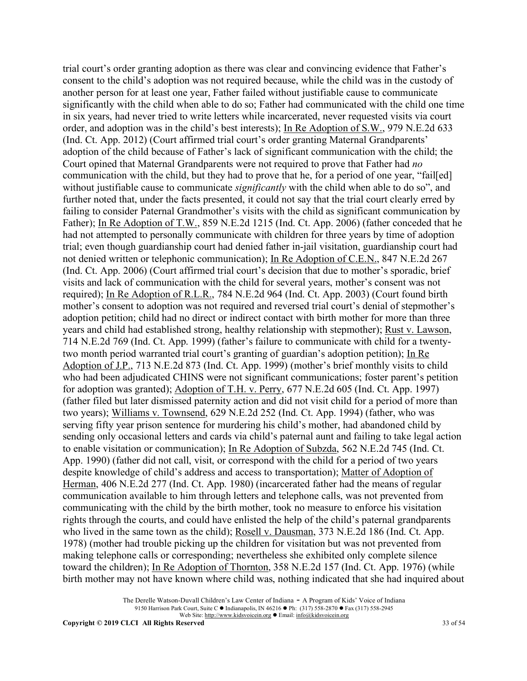trial court's order granting adoption as there was clear and convincing evidence that Father's consent to the child's adoption was not required because, while the child was in the custody of another person for at least one year, Father failed without justifiable cause to communicate significantly with the child when able to do so; Father had communicated with the child one time in six years, had never tried to write letters while incarcerated, never requested visits via court order, and adoption was in the child's best interests); In Re Adoption of S.W., 979 N.E.2d 633 (Ind. Ct. App. 2012) (Court affirmed trial court's order granting Maternal Grandparents' adoption of the child because of Father's lack of significant communication with the child; the Court opined that Maternal Grandparents were not required to prove that Father had *no* communication with the child, but they had to prove that he, for a period of one year, "fail[ed] without justifiable cause to communicate *significantly* with the child when able to do so", and further noted that, under the facts presented, it could not say that the trial court clearly erred by failing to consider Paternal Grandmother's visits with the child as significant communication by Father); In Re Adoption of T.W., 859 N.E.2d 1215 (Ind. Ct. App. 2006) (father conceded that he had not attempted to personally communicate with children for three years by time of adoption trial; even though guardianship court had denied father in-jail visitation, guardianship court had not denied written or telephonic communication); In Re Adoption of C.E.N., 847 N.E.2d 267 (Ind. Ct. App. 2006) (Court affirmed trial court's decision that due to mother's sporadic, brief visits and lack of communication with the child for several years, mother's consent was not required); In Re Adoption of R.L.R., 784 N.E.2d 964 (Ind. Ct. App. 2003) (Court found birth mother's consent to adoption was not required and reversed trial court's denial of stepmother's adoption petition; child had no direct or indirect contact with birth mother for more than three years and child had established strong, healthy relationship with stepmother); Rust v. Lawson, 714 N.E.2d 769 (Ind. Ct. App. 1999) (father's failure to communicate with child for a twentytwo month period warranted trial court's granting of guardian's adoption petition); In Re Adoption of J.P., 713 N.E.2d 873 (Ind. Ct. App. 1999) (mother's brief monthly visits to child who had been adjudicated CHINS were not significant communications; foster parent's petition for adoption was granted); Adoption of T.H. v. Perry, 677 N.E.2d 605 (Ind. Ct. App. 1997) (father filed but later dismissed paternity action and did not visit child for a period of more than two years); Williams v. Townsend, 629 N.E.2d 252 (Ind. Ct. App. 1994) (father, who was serving fifty year prison sentence for murdering his child's mother, had abandoned child by sending only occasional letters and cards via child's paternal aunt and failing to take legal action to enable visitation or communication); In Re Adoption of Subzda, 562 N.E.2d 745 (Ind. Ct. App. 1990) (father did not call, visit, or correspond with the child for a period of two years despite knowledge of child's address and access to transportation); Matter of Adoption of Herman, 406 N.E.2d 277 (Ind. Ct. App. 1980) (incarcerated father had the means of regular communication available to him through letters and telephone calls, was not prevented from communicating with the child by the birth mother, took no measure to enforce his visitation rights through the courts, and could have enlisted the help of the child's paternal grandparents who lived in the same town as the child); <u>Rosell v. Dausman</u>, 373 N.E.2d 186 (Ind. Ct. App. 1978) (mother had trouble picking up the children for visitation but was not prevented from making telephone calls or corresponding; nevertheless she exhibited only complete silence toward the children); In Re Adoption of Thornton, 358 N.E.2d 157 (Ind. Ct. App. 1976) (while birth mother may not have known where child was, nothing indicated that she had inquired about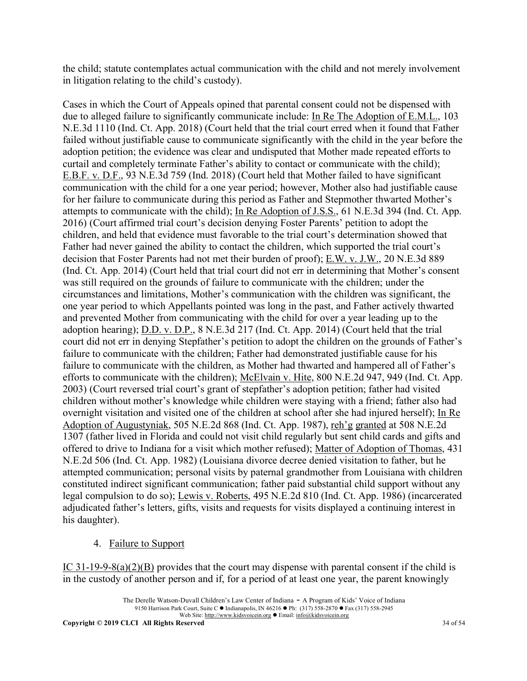the child; statute contemplates actual communication with the child and not merely involvement in litigation relating to the child's custody).

Cases in which the Court of Appeals opined that parental consent could not be dispensed with due to alleged failure to significantly communicate include: In Re The Adoption of E.M.L., 103 N.E.3d 1110 (Ind. Ct. App. 2018) (Court held that the trial court erred when it found that Father failed without justifiable cause to communicate significantly with the child in the year before the adoption petition; the evidence was clear and undisputed that Mother made repeated efforts to curtail and completely terminate Father's ability to contact or communicate with the child); E.B.F. v. D.F., 93 N.E.3d 759 (Ind. 2018) (Court held that Mother failed to have significant communication with the child for a one year period; however, Mother also had justifiable cause for her failure to communicate during this period as Father and Stepmother thwarted Mother's attempts to communicate with the child); In Re Adoption of J.S.S., 61 N.E.3d 394 (Ind. Ct. App. 2016) (Court affirmed trial court's decision denying Foster Parents' petition to adopt the children, and held that evidence must favorable to the trial court's determination showed that Father had never gained the ability to contact the children, which supported the trial court's decision that Foster Parents had not met their burden of proof);  $E.W. v. J.W., 20 N.E.3d 889$ (Ind. Ct. App. 2014) (Court held that trial court did not err in determining that Mother's consent was still required on the grounds of failure to communicate with the children; under the circumstances and limitations, Mother's communication with the children was significant, the one year period to which Appellants pointed was long in the past, and Father actively thwarted and prevented Mother from communicating with the child for over a year leading up to the adoption hearing); D.D. v. D.P., 8 N.E.3d 217 (Ind. Ct. App. 2014) (Court held that the trial court did not err in denying Stepfather's petition to adopt the children on the grounds of Father's failure to communicate with the children; Father had demonstrated justifiable cause for his failure to communicate with the children, as Mother had thwarted and hampered all of Father's efforts to communicate with the children); McElvain v. Hite, 800 N.E.2d 947, 949 (Ind. Ct. App. 2003) (Court reversed trial court's grant of stepfather's adoption petition; father had visited children without mother's knowledge while children were staying with a friend; father also had overnight visitation and visited one of the children at school after she had injured herself); In Re Adoption of Augustyniak, 505 N.E.2d 868 (Ind. Ct. App. 1987), reh'g granted at 508 N.E.2d 1307 (father lived in Florida and could not visit child regularly but sent child cards and gifts and offered to drive to Indiana for a visit which mother refused); Matter of Adoption of Thomas, 431 N.E.2d 506 (Ind. Ct. App. 1982) (Louisiana divorce decree denied visitation to father, but he attempted communication; personal visits by paternal grandmother from Louisiana with children constituted indirect significant communication; father paid substantial child support without any legal compulsion to do so); Lewis v. Roberts, 495 N.E.2d 810 (Ind. Ct. App. 1986) (incarcerated adjudicated father's letters, gifts, visits and requests for visits displayed a continuing interest in his daughter).

4. Failure to Support

IC 31-19-9-8(a)(2)(B) provides that the court may dispense with parental consent if the child is in the custody of another person and if, for a period of at least one year, the parent knowingly

The Derelle Watson-Duvall Children's Law Center of Indiana - A Program of Kids' Voice of Indiana 9150 Harrison Park Court, Suite C · Indianapolis, IN 46216 • Ph: (317) 558-2870 • Fax (317) 558-2945 Web Site: http://www.kidsvoicein.org • Email: info@kidsvoicein.org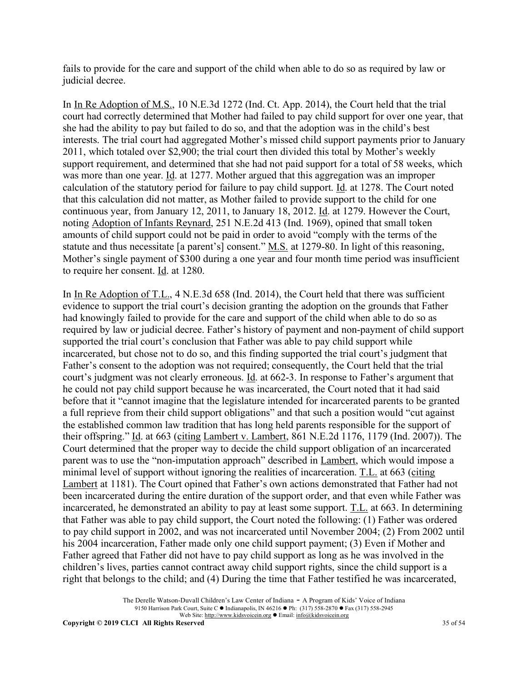fails to provide for the care and support of the child when able to do so as required by law or judicial decree.

In In Re Adoption of M.S., 10 N.E.3d 1272 (Ind. Ct. App. 2014), the Court held that the trial court had correctly determined that Mother had failed to pay child support for over one year, that she had the ability to pay but failed to do so, and that the adoption was in the child's best interests. The trial court had aggregated Mother's missed child support payments prior to January 2011, which totaled over \$2,900; the trial court then divided this total by Mother's weekly support requirement, and determined that she had not paid support for a total of 58 weeks, which was more than one year. Id. at 1277. Mother argued that this aggregation was an improper calculation of the statutory period for failure to pay child support. Id. at 1278. The Court noted that this calculation did not matter, as Mother failed to provide support to the child for one continuous year, from January 12, 2011, to January 18, 2012. Id. at 1279. However the Court, noting Adoption of Infants Reynard, 251 N.E.2d 413 (Ind. 1969), opined that small token amounts of child support could not be paid in order to avoid "comply with the terms of the statute and thus necessitate [a parent's] consent." M.S. at 1279-80. In light of this reasoning, Mother's single payment of \$300 during a one year and four month time period was insufficient to require her consent. Id. at 1280.

In In Re Adoption of T.L., 4 N.E.3d 658 (Ind. 2014), the Court held that there was sufficient evidence to support the trial court's decision granting the adoption on the grounds that Father had knowingly failed to provide for the care and support of the child when able to do so as required by law or judicial decree. Father's history of payment and non-payment of child support supported the trial court's conclusion that Father was able to pay child support while incarcerated, but chose not to do so, and this finding supported the trial court's judgment that Father's consent to the adoption was not required; consequently, the Court held that the trial court's judgment was not clearly erroneous. Id. at 662-3. In response to Father's argument that he could not pay child support because he was incarcerated, the Court noted that it had said before that it "cannot imagine that the legislature intended for incarcerated parents to be granted a full reprieve from their child support obligations" and that such a position would "cut against the established common law tradition that has long held parents responsible for the support of their offspring." Id. at 663 (citing Lambert v. Lambert, 861 N.E.2d 1176, 1179 (Ind. 2007)). The Court determined that the proper way to decide the child support obligation of an incarcerated parent was to use the "non-imputation approach" described in Lambert, which would impose a minimal level of support without ignoring the realities of incarceration. T.L. at 663 (citing Lambert at 1181). The Court opined that Father's own actions demonstrated that Father had not been incarcerated during the entire duration of the support order, and that even while Father was incarcerated, he demonstrated an ability to pay at least some support. T.L. at 663. In determining that Father was able to pay child support, the Court noted the following: (1) Father was ordered to pay child support in 2002, and was not incarcerated until November 2004; (2) From 2002 until his 2004 incarceration, Father made only one child support payment; (3) Even if Mother and Father agreed that Father did not have to pay child support as long as he was involved in the children's lives, parties cannot contract away child support rights, since the child support is a right that belongs to the child; and (4) During the time that Father testified he was incarcerated,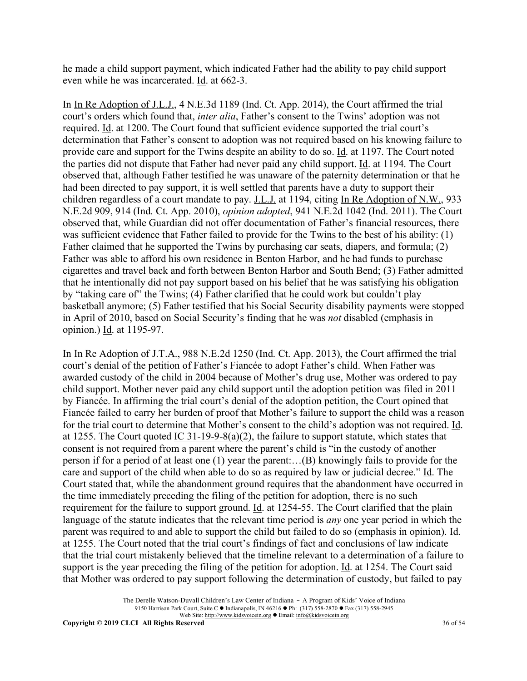he made a child support payment, which indicated Father had the ability to pay child support even while he was incarcerated. Id. at 662-3.

In In Re Adoption of J.L.J., 4 N.E.3d 1189 (Ind. Ct. App. 2014), the Court affirmed the trial court's orders which found that, *inter alia*, Father's consent to the Twins' adoption was not required. Id. at 1200. The Court found that sufficient evidence supported the trial court's determination that Father's consent to adoption was not required based on his knowing failure to provide care and support for the Twins despite an ability to do so. Id. at 1197. The Court noted the parties did not dispute that Father had never paid any child support. Id. at 1194. The Court observed that, although Father testified he was unaware of the paternity determination or that he had been directed to pay support, it is well settled that parents have a duty to support their children regardless of a court mandate to pay. J.L.J. at 1194, citing In Re Adoption of N.W., 933 N.E.2d 909, 914 (Ind. Ct. App. 2010), *opinion adopted*, 941 N.E.2d 1042 (Ind. 2011). The Court observed that, while Guardian did not offer documentation of Father's financial resources, there was sufficient evidence that Father failed to provide for the Twins to the best of his ability: (1) Father claimed that he supported the Twins by purchasing car seats, diapers, and formula; (2) Father was able to afford his own residence in Benton Harbor, and he had funds to purchase cigarettes and travel back and forth between Benton Harbor and South Bend; (3) Father admitted that he intentionally did not pay support based on his belief that he was satisfying his obligation by "taking care of" the Twins; (4) Father clarified that he could work but couldn't play basketball anymore; (5) Father testified that his Social Security disability payments were stopped in April of 2010, based on Social Security's finding that he was *not* disabled (emphasis in opinion.) Id. at 1195-97.

In In Re Adoption of J.T.A., 988 N.E.2d 1250 (Ind. Ct. App. 2013), the Court affirmed the trial court's denial of the petition of Father's Fiancée to adopt Father's child. When Father was awarded custody of the child in 2004 because of Mother's drug use, Mother was ordered to pay child support. Mother never paid any child support until the adoption petition was filed in 2011 by Fiancée. In affirming the trial court's denial of the adoption petition, the Court opined that Fiancée failed to carry her burden of proof that Mother's failure to support the child was a reason for the trial court to determine that Mother's consent to the child's adoption was not required. Id. at 1255. The Court quoted IC  $31-19-9-8(a)(2)$ , the failure to support statute, which states that consent is not required from a parent where the parent's child is "in the custody of another person if for a period of at least one (1) year the parent:…(B) knowingly fails to provide for the care and support of the child when able to do so as required by law or judicial decree." Id. The Court stated that, while the abandonment ground requires that the abandonment have occurred in the time immediately preceding the filing of the petition for adoption, there is no such requirement for the failure to support ground. Id. at 1254-55. The Court clarified that the plain language of the statute indicates that the relevant time period is *any* one year period in which the parent was required to and able to support the child but failed to do so (emphasis in opinion). Id. at 1255. The Court noted that the trial court's findings of fact and conclusions of law indicate that the trial court mistakenly believed that the timeline relevant to a determination of a failure to support is the year preceding the filing of the petition for adoption. Id. at 1254. The Court said that Mother was ordered to pay support following the determination of custody, but failed to pay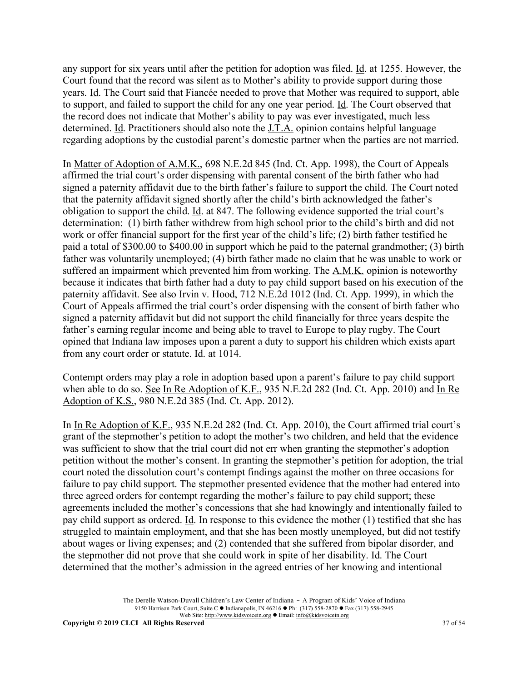any support for six years until after the petition for adoption was filed. Id. at 1255. However, the Court found that the record was silent as to Mother's ability to provide support during those years. Id. The Court said that Fiancée needed to prove that Mother was required to support, able to support, and failed to support the child for any one year period. Id. The Court observed that the record does not indicate that Mother's ability to pay was ever investigated, much less determined. Id. Practitioners should also note the J.T.A. opinion contains helpful language regarding adoptions by the custodial parent's domestic partner when the parties are not married.

In Matter of Adoption of A.M.K., 698 N.E.2d 845 (Ind. Ct. App. 1998), the Court of Appeals affirmed the trial court's order dispensing with parental consent of the birth father who had signed a paternity affidavit due to the birth father's failure to support the child. The Court noted that the paternity affidavit signed shortly after the child's birth acknowledged the father's obligation to support the child. Id. at 847. The following evidence supported the trial court's determination: (1) birth father withdrew from high school prior to the child's birth and did not work or offer financial support for the first year of the child's life; (2) birth father testified he paid a total of \$300.00 to \$400.00 in support which he paid to the paternal grandmother; (3) birth father was voluntarily unemployed; (4) birth father made no claim that he was unable to work or suffered an impairment which prevented him from working. The A.M.K. opinion is noteworthy because it indicates that birth father had a duty to pay child support based on his execution of the paternity affidavit. See also Irvin v. Hood, 712 N.E.2d 1012 (Ind. Ct. App. 1999), in which the Court of Appeals affirmed the trial court's order dispensing with the consent of birth father who signed a paternity affidavit but did not support the child financially for three years despite the father's earning regular income and being able to travel to Europe to play rugby. The Court opined that Indiana law imposes upon a parent a duty to support his children which exists apart from any court order or statute. Id. at 1014.

Contempt orders may play a role in adoption based upon a parent's failure to pay child support when able to do so. See In Re Adoption of K.F., 935 N.E.2d 282 (Ind. Ct. App. 2010) and In Re Adoption of K.S., 980 N.E.2d 385 (Ind. Ct. App. 2012).

In In Re Adoption of K.F., 935 N.E.2d 282 (Ind. Ct. App. 2010), the Court affirmed trial court's grant of the stepmother's petition to adopt the mother's two children, and held that the evidence was sufficient to show that the trial court did not err when granting the stepmother's adoption petition without the mother's consent. In granting the stepmother's petition for adoption, the trial court noted the dissolution court's contempt findings against the mother on three occasions for failure to pay child support. The stepmother presented evidence that the mother had entered into three agreed orders for contempt regarding the mother's failure to pay child support; these agreements included the mother's concessions that she had knowingly and intentionally failed to pay child support as ordered. Id. In response to this evidence the mother (1) testified that she has struggled to maintain employment, and that she has been mostly unemployed, but did not testify about wages or living expenses; and (2) contended that she suffered from bipolar disorder, and the stepmother did not prove that she could work in spite of her disability. Id. The Court determined that the mother's admission in the agreed entries of her knowing and intentional

> The Derelle Watson-Duvall Children's Law Center of Indiana - A Program of Kids' Voice of Indiana 9150 Harrison Park Court, Suite C • Indianapolis, IN 46216 • Ph: (317) 558-2870 • Fax (317) 558-2945 Web Site: http://www.kidsvoicein.org <br>
> • Email: info@kidsvoicein.org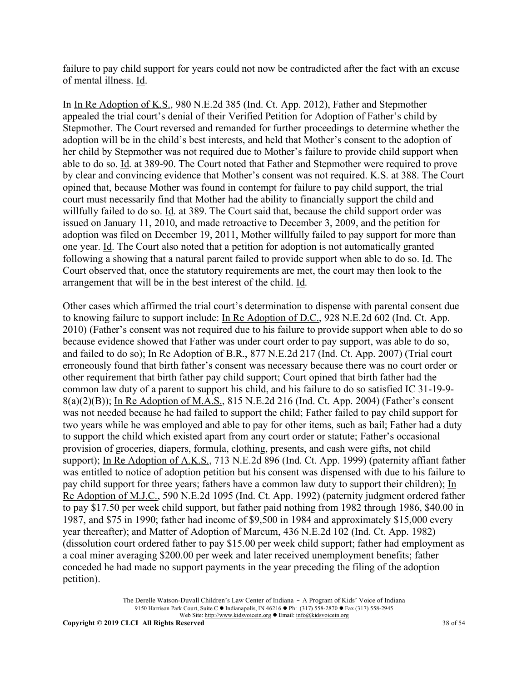failure to pay child support for years could not now be contradicted after the fact with an excuse of mental illness. Id.

In In Re Adoption of K.S., 980 N.E.2d 385 (Ind. Ct. App. 2012), Father and Stepmother appealed the trial court's denial of their Verified Petition for Adoption of Father's child by Stepmother. The Court reversed and remanded for further proceedings to determine whether the adoption will be in the child's best interests, and held that Mother's consent to the adoption of her child by Stepmother was not required due to Mother's failure to provide child support when able to do so. Id. at 389-90. The Court noted that Father and Stepmother were required to prove by clear and convincing evidence that Mother's consent was not required. K.S. at 388. The Court opined that, because Mother was found in contempt for failure to pay child support, the trial court must necessarily find that Mother had the ability to financially support the child and willfully failed to do so. Id. at 389. The Court said that, because the child support order was issued on January 11, 2010, and made retroactive to December 3, 2009, and the petition for adoption was filed on December 19, 2011, Mother willfully failed to pay support for more than one year. Id. The Court also noted that a petition for adoption is not automatically granted following a showing that a natural parent failed to provide support when able to do so. Id. The Court observed that, once the statutory requirements are met, the court may then look to the arrangement that will be in the best interest of the child. Id.

Other cases which affirmed the trial court's determination to dispense with parental consent due to knowing failure to support include: In Re Adoption of D.C., 928 N.E.2d 602 (Ind. Ct. App. 2010) (Father's consent was not required due to his failure to provide support when able to do so because evidence showed that Father was under court order to pay support, was able to do so, and failed to do so); In Re Adoption of B.R., 877 N.E.2d 217 (Ind. Ct. App. 2007) (Trial court erroneously found that birth father's consent was necessary because there was no court order or other requirement that birth father pay child support; Court opined that birth father had the common law duty of a parent to support his child, and his failure to do so satisfied IC 31-19-9- 8(a)(2)(B)); In Re Adoption of M.A.S., 815 N.E.2d 216 (Ind. Ct. App. 2004) (Father's consent was not needed because he had failed to support the child; Father failed to pay child support for two years while he was employed and able to pay for other items, such as bail; Father had a duty to support the child which existed apart from any court order or statute; Father's occasional provision of groceries, diapers, formula, clothing, presents, and cash were gifts, not child support); In Re Adoption of A.K.S., 713 N.E.2d 896 (Ind. Ct. App. 1999) (paternity affiant father was entitled to notice of adoption petition but his consent was dispensed with due to his failure to pay child support for three years; fathers have a common law duty to support their children); In Re Adoption of M.J.C., 590 N.E.2d 1095 (Ind. Ct. App. 1992) (paternity judgment ordered father to pay \$17.50 per week child support, but father paid nothing from 1982 through 1986, \$40.00 in 1987, and \$75 in 1990; father had income of \$9,500 in 1984 and approximately \$15,000 every year thereafter); and Matter of Adoption of Marcum, 436 N.E.2d 102 (Ind. Ct. App. 1982) (dissolution court ordered father to pay \$15.00 per week child support; father had employment as a coal miner averaging \$200.00 per week and later received unemployment benefits; father conceded he had made no support payments in the year preceding the filing of the adoption petition).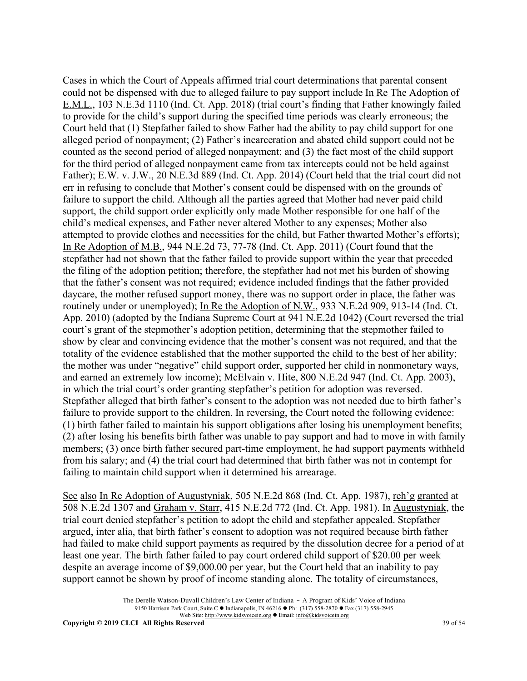Cases in which the Court of Appeals affirmed trial court determinations that parental consent could not be dispensed with due to alleged failure to pay support include In Re The Adoption of E.M.L., 103 N.E.3d 1110 (Ind. Ct. App. 2018) (trial court's finding that Father knowingly failed to provide for the child's support during the specified time periods was clearly erroneous; the Court held that (1) Stepfather failed to show Father had the ability to pay child support for one alleged period of nonpayment; (2) Father's incarceration and abated child support could not be counted as the second period of alleged nonpayment; and (3) the fact most of the child support for the third period of alleged nonpayment came from tax intercepts could not be held against Father); E.W. v. J.W., 20 N.E.3d 889 (Ind. Ct. App. 2014) (Court held that the trial court did not err in refusing to conclude that Mother's consent could be dispensed with on the grounds of failure to support the child. Although all the parties agreed that Mother had never paid child support, the child support order explicitly only made Mother responsible for one half of the child's medical expenses, and Father never altered Mother to any expenses; Mother also attempted to provide clothes and necessities for the child, but Father thwarted Mother's efforts); In Re Adoption of M.B., 944 N.E.2d 73, 77-78 (Ind. Ct. App. 2011) (Court found that the stepfather had not shown that the father failed to provide support within the year that preceded the filing of the adoption petition; therefore, the stepfather had not met his burden of showing that the father's consent was not required; evidence included findings that the father provided daycare, the mother refused support money, there was no support order in place, the father was routinely under or unemployed); In Re the Adoption of N.W., 933 N.E.2d 909, 913-14 (Ind. Ct. App. 2010) (adopted by the Indiana Supreme Court at 941 N.E.2d 1042) (Court reversed the trial court's grant of the stepmother's adoption petition, determining that the stepmother failed to show by clear and convincing evidence that the mother's consent was not required, and that the totality of the evidence established that the mother supported the child to the best of her ability; the mother was under "negative" child support order, supported her child in nonmonetary ways, and earned an extremely low income); McElvain v. Hite, 800 N.E.2d 947 (Ind. Ct. App. 2003), in which the trial court's order granting stepfather's petition for adoption was reversed. Stepfather alleged that birth father's consent to the adoption was not needed due to birth father's failure to provide support to the children. In reversing, the Court noted the following evidence: (1) birth father failed to maintain his support obligations after losing his unemployment benefits; (2) after losing his benefits birth father was unable to pay support and had to move in with family members; (3) once birth father secured part-time employment, he had support payments withheld from his salary; and (4) the trial court had determined that birth father was not in contempt for failing to maintain child support when it determined his arrearage.

See also In Re Adoption of Augustyniak, 505 N.E.2d 868 (Ind. Ct. App. 1987), reh'g granted at 508 N.E.2d 1307 and Graham v. Starr, 415 N.E.2d 772 (Ind. Ct. App. 1981). In Augustyniak, the trial court denied stepfather's petition to adopt the child and stepfather appealed. Stepfather argued, inter alia, that birth father's consent to adoption was not required because birth father had failed to make child support payments as required by the dissolution decree for a period of at least one year. The birth father failed to pay court ordered child support of \$20.00 per week despite an average income of \$9,000.00 per year, but the Court held that an inability to pay support cannot be shown by proof of income standing alone. The totality of circumstances,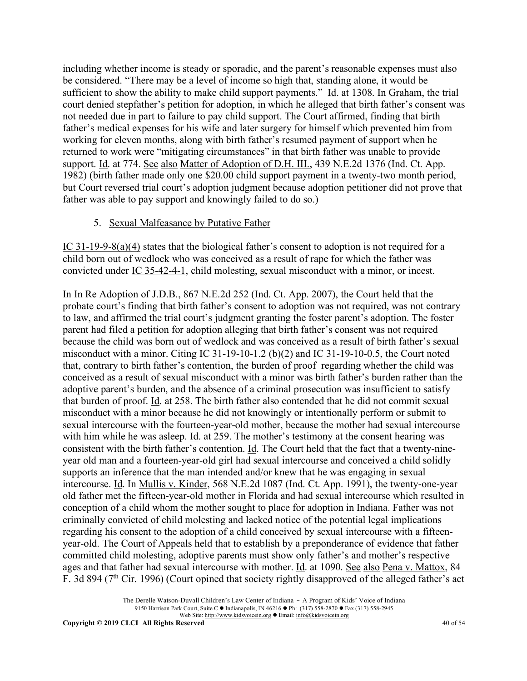including whether income is steady or sporadic, and the parent's reasonable expenses must also be considered. "There may be a level of income so high that, standing alone, it would be sufficient to show the ability to make child support payments." Id. at 1308. In Graham, the trial court denied stepfather's petition for adoption, in which he alleged that birth father's consent was not needed due in part to failure to pay child support. The Court affirmed, finding that birth father's medical expenses for his wife and later surgery for himself which prevented him from working for eleven months, along with birth father's resumed payment of support when he returned to work were "mitigating circumstances" in that birth father was unable to provide support. Id. at 774. See also Matter of Adoption of D.H. III., 439 N.E.2d 1376 (Ind. Ct. App. 1982) (birth father made only one \$20.00 child support payment in a twenty-two month period, but Court reversed trial court's adoption judgment because adoption petitioner did not prove that father was able to pay support and knowingly failed to do so.)

### 5. Sexual Malfeasance by Putative Father

IC 31-19-9-8(a)(4) states that the biological father's consent to adoption is not required for a child born out of wedlock who was conceived as a result of rape for which the father was convicted under IC 35-42-4-1, child molesting, sexual misconduct with a minor, or incest.

In In Re Adoption of J.D.B., 867 N.E.2d 252 (Ind. Ct. App. 2007), the Court held that the probate court's finding that birth father's consent to adoption was not required, was not contrary to law, and affirmed the trial court's judgment granting the foster parent's adoption. The foster parent had filed a petition for adoption alleging that birth father's consent was not required because the child was born out of wedlock and was conceived as a result of birth father's sexual misconduct with a minor. Citing IC 31-19-10-1.2 (b)(2) and IC 31-19-10-0.5, the Court noted that, contrary to birth father's contention, the burden of proof regarding whether the child was conceived as a result of sexual misconduct with a minor was birth father's burden rather than the adoptive parent's burden, and the absence of a criminal prosecution was insufficient to satisfy that burden of proof. Id. at 258. The birth father also contended that he did not commit sexual misconduct with a minor because he did not knowingly or intentionally perform or submit to sexual intercourse with the fourteen-year-old mother, because the mother had sexual intercourse with him while he was asleep. Id. at 259. The mother's testimony at the consent hearing was consistent with the birth father's contention. Id. The Court held that the fact that a twenty-nineyear old man and a fourteen-year-old girl had sexual intercourse and conceived a child solidly supports an inference that the man intended and/or knew that he was engaging in sexual intercourse. Id. In Mullis v. Kinder, 568 N.E.2d 1087 (Ind. Ct. App. 1991), the twenty-one-year old father met the fifteen-year-old mother in Florida and had sexual intercourse which resulted in conception of a child whom the mother sought to place for adoption in Indiana. Father was not criminally convicted of child molesting and lacked notice of the potential legal implications regarding his consent to the adoption of a child conceived by sexual intercourse with a fifteenyear-old. The Court of Appeals held that to establish by a preponderance of evidence that father committed child molesting, adoptive parents must show only father's and mother's respective ages and that father had sexual intercourse with mother. Id. at 1090. See also Pena v. Mattox, 84 F. 3d 894 ( $7<sup>th</sup>$  Cir. 1996) (Court opined that society rightly disapproved of the alleged father's act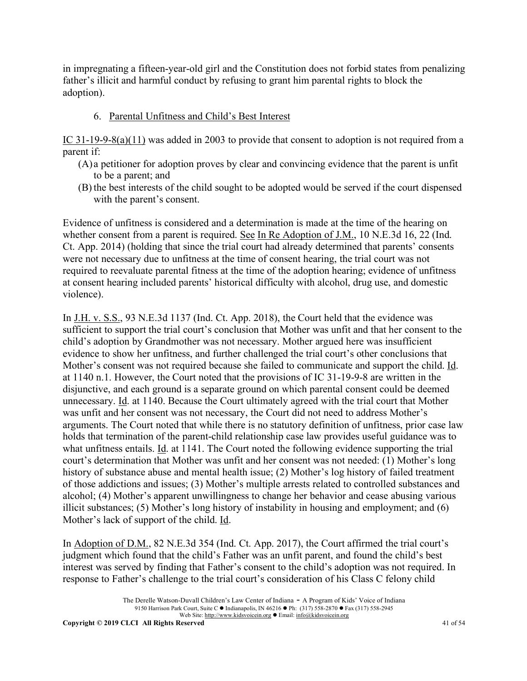in impregnating a fifteen-year-old girl and the Constitution does not forbid states from penalizing father's illicit and harmful conduct by refusing to grant him parental rights to block the adoption).

### 6. Parental Unfitness and Child's Best Interest

IC 31-19-9-8(a)(11) was added in 2003 to provide that consent to adoption is not required from a parent if:

- (A)a petitioner for adoption proves by clear and convincing evidence that the parent is unfit to be a parent; and
- (B) the best interests of the child sought to be adopted would be served if the court dispensed with the parent's consent.

Evidence of unfitness is considered and a determination is made at the time of the hearing on whether consent from a parent is required. See In Re Adoption of J.M., 10 N.E.3d 16, 22 (Ind. Ct. App. 2014) (holding that since the trial court had already determined that parents' consents were not necessary due to unfitness at the time of consent hearing, the trial court was not required to reevaluate parental fitness at the time of the adoption hearing; evidence of unfitness at consent hearing included parents' historical difficulty with alcohol, drug use, and domestic violence).

In J.H. v. S.S., 93 N.E.3d 1137 (Ind. Ct. App. 2018), the Court held that the evidence was sufficient to support the trial court's conclusion that Mother was unfit and that her consent to the child's adoption by Grandmother was not necessary. Mother argued here was insufficient evidence to show her unfitness, and further challenged the trial court's other conclusions that Mother's consent was not required because she failed to communicate and support the child. Id. at 1140 n.1. However, the Court noted that the provisions of IC 31-19-9-8 are written in the disjunctive, and each ground is a separate ground on which parental consent could be deemed unnecessary. Id. at 1140. Because the Court ultimately agreed with the trial court that Mother was unfit and her consent was not necessary, the Court did not need to address Mother's arguments. The Court noted that while there is no statutory definition of unfitness, prior case law holds that termination of the parent-child relationship case law provides useful guidance was to what unfitness entails. Id. at 1141. The Court noted the following evidence supporting the trial court's determination that Mother was unfit and her consent was not needed: (1) Mother's long history of substance abuse and mental health issue; (2) Mother's log history of failed treatment of those addictions and issues; (3) Mother's multiple arrests related to controlled substances and alcohol; (4) Mother's apparent unwillingness to change her behavior and cease abusing various illicit substances; (5) Mother's long history of instability in housing and employment; and (6) Mother's lack of support of the child. Id.

In Adoption of D.M., 82 N.E.3d 354 (Ind. Ct. App. 2017), the Court affirmed the trial court's judgment which found that the child's Father was an unfit parent, and found the child's best interest was served by finding that Father's consent to the child's adoption was not required. In response to Father's challenge to the trial court's consideration of his Class C felony child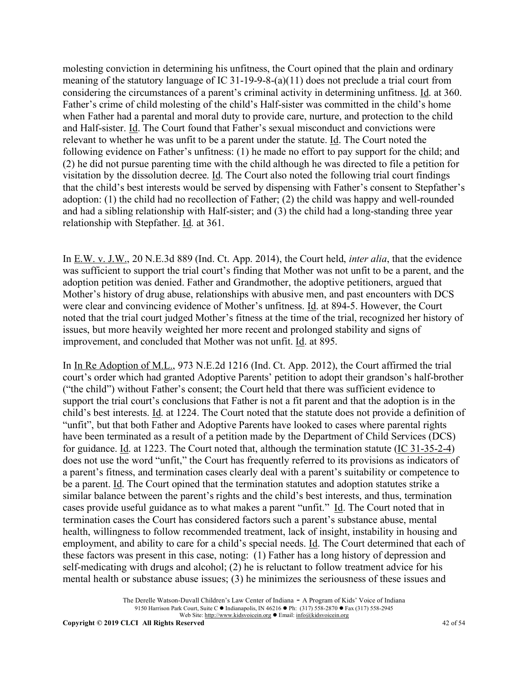molesting conviction in determining his unfitness, the Court opined that the plain and ordinary meaning of the statutory language of IC 31-19-9-8-(a)(11) does not preclude a trial court from considering the circumstances of a parent's criminal activity in determining unfitness. Id. at 360. Father's crime of child molesting of the child's Half-sister was committed in the child's home when Father had a parental and moral duty to provide care, nurture, and protection to the child and Half-sister. Id. The Court found that Father's sexual misconduct and convictions were relevant to whether he was unfit to be a parent under the statute. Id. The Court noted the following evidence on Father's unfitness: (1) he made no effort to pay support for the child; and (2) he did not pursue parenting time with the child although he was directed to file a petition for visitation by the dissolution decree. Id. The Court also noted the following trial court findings that the child's best interests would be served by dispensing with Father's consent to Stepfather's adoption: (1) the child had no recollection of Father; (2) the child was happy and well-rounded and had a sibling relationship with Half-sister; and (3) the child had a long-standing three year relationship with Stepfather. Id. at 361.

In E.W. v. J.W., 20 N.E.3d 889 (Ind. Ct. App. 2014), the Court held, *inter alia*, that the evidence was sufficient to support the trial court's finding that Mother was not unfit to be a parent, and the adoption petition was denied. Father and Grandmother, the adoptive petitioners, argued that Mother's history of drug abuse, relationships with abusive men, and past encounters with DCS were clear and convincing evidence of Mother's unfitness. Id. at 894-5. However, the Court noted that the trial court judged Mother's fitness at the time of the trial, recognized her history of issues, but more heavily weighted her more recent and prolonged stability and signs of improvement, and concluded that Mother was not unfit. Id. at 895.

In In Re Adoption of M.L., 973 N.E.2d 1216 (Ind. Ct. App. 2012), the Court affirmed the trial court's order which had granted Adoptive Parents' petition to adopt their grandson's half-brother ("the child") without Father's consent; the Court held that there was sufficient evidence to support the trial court's conclusions that Father is not a fit parent and that the adoption is in the child's best interests. Id. at 1224. The Court noted that the statute does not provide a definition of "unfit", but that both Father and Adoptive Parents have looked to cases where parental rights have been terminated as a result of a petition made by the Department of Child Services (DCS) for guidance. Id. at 1223. The Court noted that, although the termination statute (IC 31-35-2-4) does not use the word "unfit," the Court has frequently referred to its provisions as indicators of a parent's fitness, and termination cases clearly deal with a parent's suitability or competence to be a parent. Id. The Court opined that the termination statutes and adoption statutes strike a similar balance between the parent's rights and the child's best interests, and thus, termination cases provide useful guidance as to what makes a parent "unfit." Id. The Court noted that in termination cases the Court has considered factors such a parent's substance abuse, mental health, willingness to follow recommended treatment, lack of insight, instability in housing and employment, and ability to care for a child's special needs. Id. The Court determined that each of these factors was present in this case, noting: (1) Father has a long history of depression and self-medicating with drugs and alcohol; (2) he is reluctant to follow treatment advice for his mental health or substance abuse issues; (3) he minimizes the seriousness of these issues and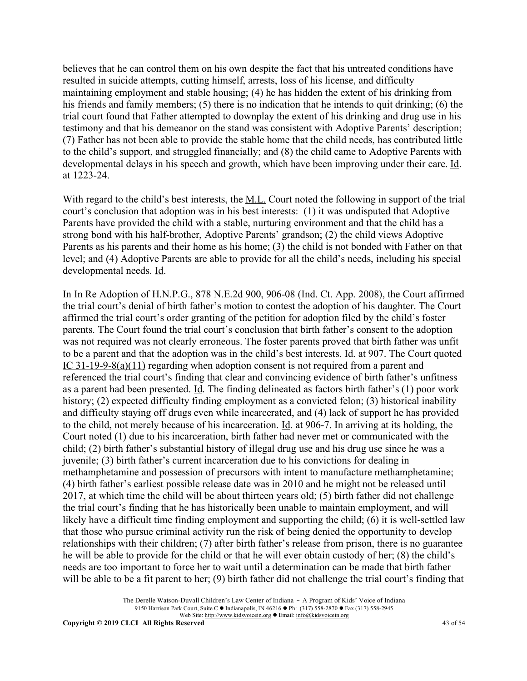believes that he can control them on his own despite the fact that his untreated conditions have resulted in suicide attempts, cutting himself, arrests, loss of his license, and difficulty maintaining employment and stable housing; (4) he has hidden the extent of his drinking from his friends and family members; (5) there is no indication that he intends to quit drinking; (6) the trial court found that Father attempted to downplay the extent of his drinking and drug use in his testimony and that his demeanor on the stand was consistent with Adoptive Parents' description; (7) Father has not been able to provide the stable home that the child needs, has contributed little to the child's support, and struggled financially; and (8) the child came to Adoptive Parents with developmental delays in his speech and growth, which have been improving under their care. Id. at 1223-24.

With regard to the child's best interests, the M.L. Court noted the following in support of the trial court's conclusion that adoption was in his best interests: (1) it was undisputed that Adoptive Parents have provided the child with a stable, nurturing environment and that the child has a strong bond with his half-brother, Adoptive Parents' grandson; (2) the child views Adoptive Parents as his parents and their home as his home; (3) the child is not bonded with Father on that level; and (4) Adoptive Parents are able to provide for all the child's needs, including his special developmental needs. Id.

In In Re Adoption of H.N.P.G., 878 N.E.2d 900, 906-08 (Ind. Ct. App. 2008), the Court affirmed the trial court's denial of birth father's motion to contest the adoption of his daughter. The Court affirmed the trial court's order granting of the petition for adoption filed by the child's foster parents. The Court found the trial court's conclusion that birth father's consent to the adoption was not required was not clearly erroneous. The foster parents proved that birth father was unfit to be a parent and that the adoption was in the child's best interests. Id. at 907. The Court quoted IC 31-19-9-8(a)(11) regarding when adoption consent is not required from a parent and referenced the trial court's finding that clear and convincing evidence of birth father's unfitness as a parent had been presented. Id. The finding delineated as factors birth father's (1) poor work history; (2) expected difficulty finding employment as a convicted felon; (3) historical inability and difficulty staying off drugs even while incarcerated, and (4) lack of support he has provided to the child, not merely because of his incarceration. Id. at 906-7. In arriving at its holding, the Court noted (1) due to his incarceration, birth father had never met or communicated with the child; (2) birth father's substantial history of illegal drug use and his drug use since he was a juvenile; (3) birth father's current incarceration due to his convictions for dealing in methamphetamine and possession of precursors with intent to manufacture methamphetamine; (4) birth father's earliest possible release date was in 2010 and he might not be released until 2017, at which time the child will be about thirteen years old; (5) birth father did not challenge the trial court's finding that he has historically been unable to maintain employment, and will likely have a difficult time finding employment and supporting the child; (6) it is well-settled law that those who pursue criminal activity run the risk of being denied the opportunity to develop relationships with their children; (7) after birth father's release from prison, there is no guarantee he will be able to provide for the child or that he will ever obtain custody of her; (8) the child's needs are too important to force her to wait until a determination can be made that birth father will be able to be a fit parent to her; (9) birth father did not challenge the trial court's finding that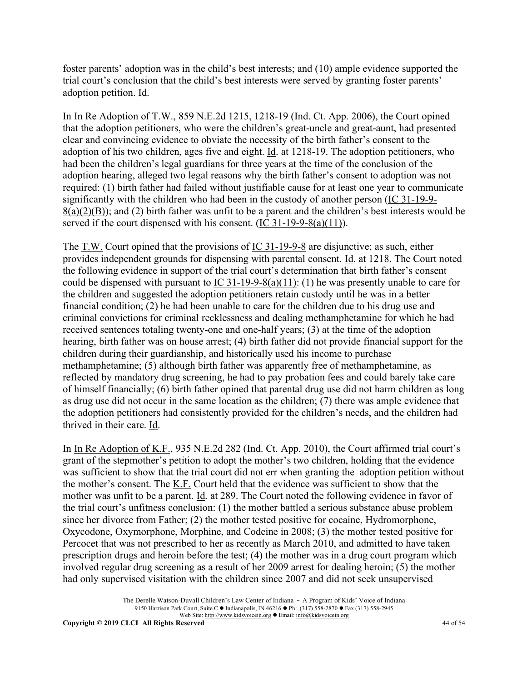foster parents' adoption was in the child's best interests; and (10) ample evidence supported the trial court's conclusion that the child's best interests were served by granting foster parents' adoption petition. Id.

In In Re Adoption of T.W., 859 N.E.2d 1215, 1218-19 (Ind. Ct. App. 2006), the Court opined that the adoption petitioners, who were the children's great-uncle and great-aunt, had presented clear and convincing evidence to obviate the necessity of the birth father's consent to the adoption of his two children, ages five and eight. Id. at 1218-19. The adoption petitioners, who had been the children's legal guardians for three years at the time of the conclusion of the adoption hearing, alleged two legal reasons why the birth father's consent to adoption was not required: (1) birth father had failed without justifiable cause for at least one year to communicate significantly with the children who had been in the custody of another person (IC 31-19-9-  $8(a)(2)(B)$ ; and (2) birth father was unfit to be a parent and the children's best interests would be served if the court dispensed with his consent. (IC 31-19-9-8(a)(11)).

The T.W. Court opined that the provisions of IC 31-19-9-8 are disjunctive; as such, either provides independent grounds for dispensing with parental consent. Id. at 1218. The Court noted the following evidence in support of the trial court's determination that birth father's consent could be dispensed with pursuant to  $\underline{IC}$  31-19-9-8(a)(11): (1) he was presently unable to care for the children and suggested the adoption petitioners retain custody until he was in a better financial condition; (2) he had been unable to care for the children due to his drug use and criminal convictions for criminal recklessness and dealing methamphetamine for which he had received sentences totaling twenty-one and one-half years; (3) at the time of the adoption hearing, birth father was on house arrest; (4) birth father did not provide financial support for the children during their guardianship, and historically used his income to purchase methamphetamine; (5) although birth father was apparently free of methamphetamine, as reflected by mandatory drug screening, he had to pay probation fees and could barely take care of himself financially; (6) birth father opined that parental drug use did not harm children as long as drug use did not occur in the same location as the children; (7) there was ample evidence that the adoption petitioners had consistently provided for the children's needs, and the children had thrived in their care. Id.

In In Re Adoption of K.F., 935 N.E.2d 282 (Ind. Ct. App. 2010), the Court affirmed trial court's grant of the stepmother's petition to adopt the mother's two children, holding that the evidence was sufficient to show that the trial court did not err when granting the adoption petition without the mother's consent. The K.F. Court held that the evidence was sufficient to show that the mother was unfit to be a parent. Id. at 289. The Court noted the following evidence in favor of the trial court's unfitness conclusion: (1) the mother battled a serious substance abuse problem since her divorce from Father; (2) the mother tested positive for cocaine, Hydromorphone, Oxycodone, Oxymorphone, Morphine, and Codeine in 2008; (3) the mother tested positive for Percocet that was not prescribed to her as recently as March 2010, and admitted to have taken prescription drugs and heroin before the test; (4) the mother was in a drug court program which involved regular drug screening as a result of her 2009 arrest for dealing heroin; (5) the mother had only supervised visitation with the children since 2007 and did not seek unsupervised

> The Derelle Watson-Duvall Children's Law Center of Indiana - A Program of Kids' Voice of Indiana 9150 Harrison Park Court, Suite C • Indianapolis, IN 46216 • Ph: (317) 558-2870 • Fax (317) 558-2945 Web Site: http://www.kidsvoicein.org <br>
> • Email: info@kidsvoicein.org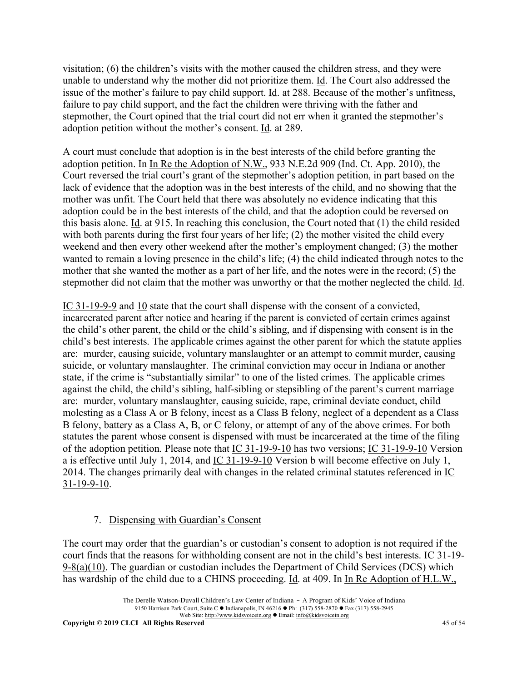visitation; (6) the children's visits with the mother caused the children stress, and they were unable to understand why the mother did not prioritize them. Id. The Court also addressed the issue of the mother's failure to pay child support. Id. at 288. Because of the mother's unfitness, failure to pay child support, and the fact the children were thriving with the father and stepmother, the Court opined that the trial court did not err when it granted the stepmother's adoption petition without the mother's consent. Id. at 289.

A court must conclude that adoption is in the best interests of the child before granting the adoption petition. In In Re the Adoption of N.W., 933 N.E.2d 909 (Ind. Ct. App. 2010), the Court reversed the trial court's grant of the stepmother's adoption petition, in part based on the lack of evidence that the adoption was in the best interests of the child, and no showing that the mother was unfit. The Court held that there was absolutely no evidence indicating that this adoption could be in the best interests of the child, and that the adoption could be reversed on this basis alone. Id. at 915. In reaching this conclusion, the Court noted that (1) the child resided with both parents during the first four years of her life; (2) the mother visited the child every weekend and then every other weekend after the mother's employment changed; (3) the mother wanted to remain a loving presence in the child's life; (4) the child indicated through notes to the mother that she wanted the mother as a part of her life, and the notes were in the record; (5) the stepmother did not claim that the mother was unworthy or that the mother neglected the child. Id.

IC 31-19-9-9 and 10 state that the court shall dispense with the consent of a convicted, incarcerated parent after notice and hearing if the parent is convicted of certain crimes against the child's other parent, the child or the child's sibling, and if dispensing with consent is in the child's best interests. The applicable crimes against the other parent for which the statute applies are: murder, causing suicide, voluntary manslaughter or an attempt to commit murder, causing suicide, or voluntary manslaughter. The criminal conviction may occur in Indiana or another state, if the crime is "substantially similar" to one of the listed crimes. The applicable crimes against the child, the child's sibling, half-sibling or stepsibling of the parent's current marriage are: murder, voluntary manslaughter, causing suicide, rape, criminal deviate conduct, child molesting as a Class A or B felony, incest as a Class B felony, neglect of a dependent as a Class B felony, battery as a Class A, B, or C felony, or attempt of any of the above crimes. For both statutes the parent whose consent is dispensed with must be incarcerated at the time of the filing of the adoption petition. Please note that IC 31-19-9-10 has two versions; IC 31-19-9-10 Version a is effective until July 1, 2014, and IC 31-19-9-10 Version b will become effective on July 1, 2014. The changes primarily deal with changes in the related criminal statutes referenced in IC 31-19-9-10.

### 7. Dispensing with Guardian's Consent

The court may order that the guardian's or custodian's consent to adoption is not required if the court finds that the reasons for withholding consent are not in the child's best interests. IC 31-19- 9-8(a)(10). The guardian or custodian includes the Department of Child Services (DCS) which has wardship of the child due to a CHINS proceeding. Id. at 409. In In Re Adoption of H.L.W.,

The Derelle Watson-Duvall Children's Law Center of Indiana - A Program of Kids' Voice of Indiana 9150 Harrison Park Court, Suite C • Indianapolis, IN 46216 • Ph: (317) 558-2870 • Fax (317) 558-2945 Web Site: http://www.kidsvoicein.org • Email: info@kidsvoicein.org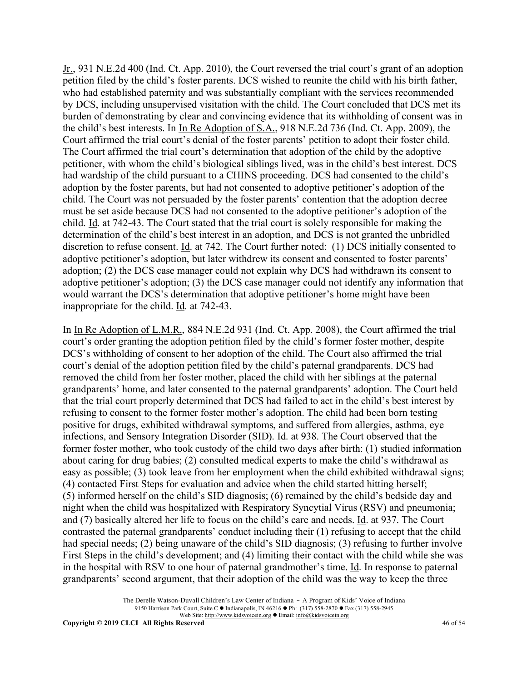Jr., 931 N.E.2d 400 (Ind. Ct. App. 2010), the Court reversed the trial court's grant of an adoption petition filed by the child's foster parents. DCS wished to reunite the child with his birth father, who had established paternity and was substantially compliant with the services recommended by DCS, including unsupervised visitation with the child. The Court concluded that DCS met its burden of demonstrating by clear and convincing evidence that its withholding of consent was in the child's best interests. In In Re Adoption of S.A., 918 N.E.2d 736 (Ind. Ct. App. 2009), the Court affirmed the trial court's denial of the foster parents' petition to adopt their foster child. The Court affirmed the trial court's determination that adoption of the child by the adoptive petitioner, with whom the child's biological siblings lived, was in the child's best interest. DCS had wardship of the child pursuant to a CHINS proceeding. DCS had consented to the child's adoption by the foster parents, but had not consented to adoptive petitioner's adoption of the child. The Court was not persuaded by the foster parents' contention that the adoption decree must be set aside because DCS had not consented to the adoptive petitioner's adoption of the child. Id. at 742-43. The Court stated that the trial court is solely responsible for making the determination of the child's best interest in an adoption, and DCS is not granted the unbridled discretion to refuse consent. Id. at 742. The Court further noted: (1) DCS initially consented to adoptive petitioner's adoption, but later withdrew its consent and consented to foster parents' adoption; (2) the DCS case manager could not explain why DCS had withdrawn its consent to adoptive petitioner's adoption; (3) the DCS case manager could not identify any information that would warrant the DCS's determination that adoptive petitioner's home might have been inappropriate for the child. Id. at 742-43.

In In Re Adoption of L.M.R., 884 N.E.2d 931 (Ind. Ct. App. 2008), the Court affirmed the trial court's order granting the adoption petition filed by the child's former foster mother, despite DCS's withholding of consent to her adoption of the child. The Court also affirmed the trial court's denial of the adoption petition filed by the child's paternal grandparents. DCS had removed the child from her foster mother, placed the child with her siblings at the paternal grandparents' home, and later consented to the paternal grandparents' adoption. The Court held that the trial court properly determined that DCS had failed to act in the child's best interest by refusing to consent to the former foster mother's adoption. The child had been born testing positive for drugs, exhibited withdrawal symptoms, and suffered from allergies, asthma, eye infections, and Sensory Integration Disorder (SID). Id. at 938. The Court observed that the former foster mother, who took custody of the child two days after birth: (1) studied information about caring for drug babies; (2) consulted medical experts to make the child's withdrawal as easy as possible; (3) took leave from her employment when the child exhibited withdrawal signs; (4) contacted First Steps for evaluation and advice when the child started hitting herself; (5) informed herself on the child's SID diagnosis; (6) remained by the child's bedside day and night when the child was hospitalized with Respiratory Syncytial Virus (RSV) and pneumonia; and (7) basically altered her life to focus on the child's care and needs. Id. at 937. The Court contrasted the paternal grandparents' conduct including their (1) refusing to accept that the child had special needs; (2) being unaware of the child's SID diagnosis; (3) refusing to further involve First Steps in the child's development; and (4) limiting their contact with the child while she was in the hospital with RSV to one hour of paternal grandmother's time. Id. In response to paternal grandparents' second argument, that their adoption of the child was the way to keep the three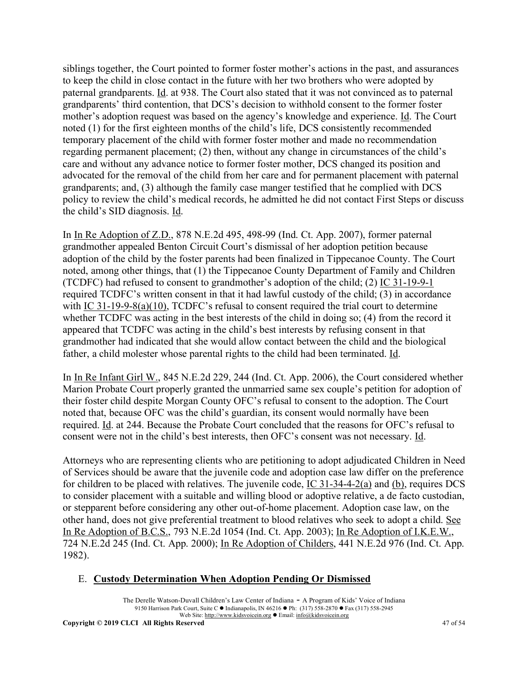siblings together, the Court pointed to former foster mother's actions in the past, and assurances to keep the child in close contact in the future with her two brothers who were adopted by paternal grandparents. Id. at 938. The Court also stated that it was not convinced as to paternal grandparents' third contention, that DCS's decision to withhold consent to the former foster mother's adoption request was based on the agency's knowledge and experience. Id. The Court noted (1) for the first eighteen months of the child's life, DCS consistently recommended temporary placement of the child with former foster mother and made no recommendation regarding permanent placement; (2) then, without any change in circumstances of the child's care and without any advance notice to former foster mother, DCS changed its position and advocated for the removal of the child from her care and for permanent placement with paternal grandparents; and, (3) although the family case manger testified that he complied with DCS policy to review the child's medical records, he admitted he did not contact First Steps or discuss the child's SID diagnosis. Id.

In In Re Adoption of Z.D., 878 N.E.2d 495, 498-99 (Ind. Ct. App. 2007), former paternal grandmother appealed Benton Circuit Court's dismissal of her adoption petition because adoption of the child by the foster parents had been finalized in Tippecanoe County. The Court noted, among other things, that (1) the Tippecanoe County Department of Family and Children (TCDFC) had refused to consent to grandmother's adoption of the child; (2) IC 31-19-9-1 required TCDFC's written consent in that it had lawful custody of the child; (3) in accordance with IC 31-19-9-8(a)(10), TCDFC's refusal to consent required the trial court to determine whether TCDFC was acting in the best interests of the child in doing so; (4) from the record it appeared that TCDFC was acting in the child's best interests by refusing consent in that grandmother had indicated that she would allow contact between the child and the biological father, a child molester whose parental rights to the child had been terminated. Id.

In In Re Infant Girl W., 845 N.E.2d 229, 244 (Ind. Ct. App. 2006), the Court considered whether Marion Probate Court properly granted the unmarried same sex couple's petition for adoption of their foster child despite Morgan County OFC's refusal to consent to the adoption. The Court noted that, because OFC was the child's guardian, its consent would normally have been required. Id. at 244. Because the Probate Court concluded that the reasons for OFC's refusal to consent were not in the child's best interests, then OFC's consent was not necessary. Id.

Attorneys who are representing clients who are petitioning to adopt adjudicated Children in Need of Services should be aware that the juvenile code and adoption case law differ on the preference for children to be placed with relatives. The juvenile code, IC 31-34-4-2(a) and (b), requires DCS to consider placement with a suitable and willing blood or adoptive relative, a de facto custodian, or stepparent before considering any other out-of-home placement. Adoption case law, on the other hand, does not give preferential treatment to blood relatives who seek to adopt a child. See In Re Adoption of B.C.S., 793 N.E.2d 1054 (Ind. Ct. App. 2003); In Re Adoption of I.K.E.W., 724 N.E.2d 245 (Ind. Ct. App. 2000); In Re Adoption of Childers, 441 N.E.2d 976 (Ind. Ct. App. 1982).

# E. **Custody Determination When Adoption Pending Or Dismissed**

The Derelle Watson-Duvall Children's Law Center of Indiana - A Program of Kids' Voice of Indiana 9150 Harrison Park Court, Suite C • Indianapolis, IN 46216 • Ph: (317) 558-2870 • Fax (317) 558-2945 Web Site: http://www.kidsvoicein.org <br>
• Email: info@kidsvoicein.org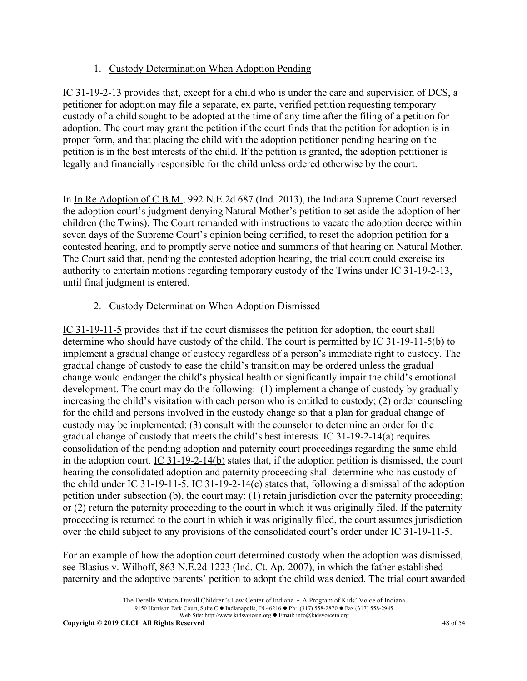# 1. Custody Determination When Adoption Pending

IC 31-19-2-13 provides that, except for a child who is under the care and supervision of DCS, a petitioner for adoption may file a separate, ex parte, verified petition requesting temporary custody of a child sought to be adopted at the time of any time after the filing of a petition for adoption. The court may grant the petition if the court finds that the petition for adoption is in proper form, and that placing the child with the adoption petitioner pending hearing on the petition is in the best interests of the child. If the petition is granted, the adoption petitioner is legally and financially responsible for the child unless ordered otherwise by the court.

In In Re Adoption of C.B.M., 992 N.E.2d 687 (Ind. 2013), the Indiana Supreme Court reversed the adoption court's judgment denying Natural Mother's petition to set aside the adoption of her children (the Twins). The Court remanded with instructions to vacate the adoption decree within seven days of the Supreme Court's opinion being certified, to reset the adoption petition for a contested hearing, and to promptly serve notice and summons of that hearing on Natural Mother. The Court said that, pending the contested adoption hearing, the trial court could exercise its authority to entertain motions regarding temporary custody of the Twins under IC 31-19-2-13, until final judgment is entered.

# 2. Custody Determination When Adoption Dismissed

IC 31-19-11-5 provides that if the court dismisses the petition for adoption, the court shall determine who should have custody of the child. The court is permitted by IC 31-19-11-5(b) to implement a gradual change of custody regardless of a person's immediate right to custody. The gradual change of custody to ease the child's transition may be ordered unless the gradual change would endanger the child's physical health or significantly impair the child's emotional development. The court may do the following: (1) implement a change of custody by gradually increasing the child's visitation with each person who is entitled to custody; (2) order counseling for the child and persons involved in the custody change so that a plan for gradual change of custody may be implemented; (3) consult with the counselor to determine an order for the gradual change of custody that meets the child's best interests. IC 31-19-2-14(a) requires consolidation of the pending adoption and paternity court proceedings regarding the same child in the adoption court. IC 31-19-2-14(b) states that, if the adoption petition is dismissed, the court hearing the consolidated adoption and paternity proceeding shall determine who has custody of the child under IC 31-19-11-5. IC 31-19-2-14(c) states that, following a dismissal of the adoption petition under subsection (b), the court may: (1) retain jurisdiction over the paternity proceeding; or (2) return the paternity proceeding to the court in which it was originally filed. If the paternity proceeding is returned to the court in which it was originally filed, the court assumes jurisdiction over the child subject to any provisions of the consolidated court's order under IC 31-19-11-5.

For an example of how the adoption court determined custody when the adoption was dismissed, see Blasius v. Wilhoff, 863 N.E.2d 1223 (Ind. Ct. Ap. 2007), in which the father established paternity and the adoptive parents' petition to adopt the child was denied. The trial court awarded

The Derelle Watson-Duvall Children's Law Center of Indiana - A Program of Kids' Voice of Indiana 9150 Harrison Park Court, Suite C • Indianapolis, IN 46216 • Ph: (317) 558-2870 • Fax (317) 558-2945 Web Site: http://www.kidsvoicein.org • Email: info@kidsvoicein.org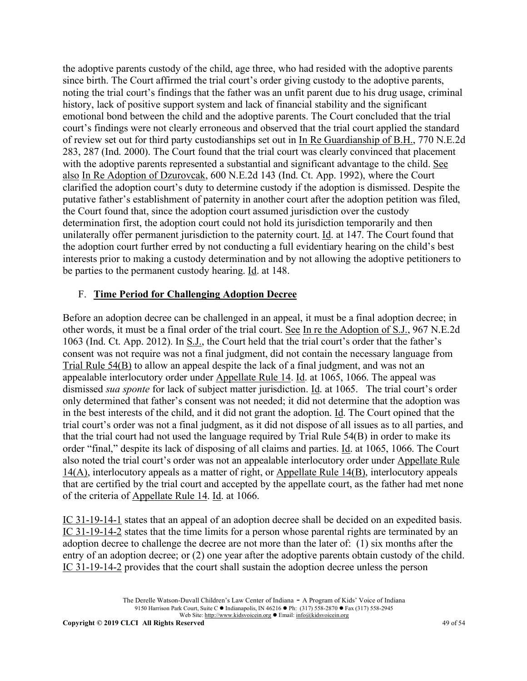the adoptive parents custody of the child, age three, who had resided with the adoptive parents since birth. The Court affirmed the trial court's order giving custody to the adoptive parents, noting the trial court's findings that the father was an unfit parent due to his drug usage, criminal history, lack of positive support system and lack of financial stability and the significant emotional bond between the child and the adoptive parents. The Court concluded that the trial court's findings were not clearly erroneous and observed that the trial court applied the standard of review set out for third party custodianships set out in In Re Guardianship of B.H., 770 N.E.2d 283, 287 (Ind. 2000). The Court found that the trial court was clearly convinced that placement with the adoptive parents represented a substantial and significant advantage to the child. See also In Re Adoption of Dzurovcak, 600 N.E.2d 143 (Ind. Ct. App. 1992), where the Court clarified the adoption court's duty to determine custody if the adoption is dismissed. Despite the putative father's establishment of paternity in another court after the adoption petition was filed, the Court found that, since the adoption court assumed jurisdiction over the custody determination first, the adoption court could not hold its jurisdiction temporarily and then unilaterally offer permanent jurisdiction to the paternity court. Id. at 147. The Court found that the adoption court further erred by not conducting a full evidentiary hearing on the child's best interests prior to making a custody determination and by not allowing the adoptive petitioners to be parties to the permanent custody hearing. Id. at 148.

# F. **Time Period for Challenging Adoption Decree**

Before an adoption decree can be challenged in an appeal, it must be a final adoption decree; in other words, it must be a final order of the trial court. See In re the Adoption of S.J., 967 N.E.2d 1063 (Ind. Ct. App. 2012). In S.J., the Court held that the trial court's order that the father's consent was not require was not a final judgment, did not contain the necessary language from Trial Rule 54(B) to allow an appeal despite the lack of a final judgment, and was not an appealable interlocutory order under Appellate Rule 14. Id. at 1065, 1066. The appeal was dismissed *sua sponte* for lack of subject matter jurisdiction. Id. at 1065. The trial court's order only determined that father's consent was not needed; it did not determine that the adoption was in the best interests of the child, and it did not grant the adoption. Id. The Court opined that the trial court's order was not a final judgment, as it did not dispose of all issues as to all parties, and that the trial court had not used the language required by Trial Rule 54(B) in order to make its order "final," despite its lack of disposing of all claims and parties. Id. at 1065, 1066. The Court also noted the trial court's order was not an appealable interlocutory order under Appellate Rule 14(A), interlocutory appeals as a matter of right, or Appellate Rule 14(B), interlocutory appeals that are certified by the trial court and accepted by the appellate court, as the father had met none of the criteria of Appellate Rule 14. Id. at 1066.

IC 31-19-14-1 states that an appeal of an adoption decree shall be decided on an expedited basis. IC 31-19-14-2 states that the time limits for a person whose parental rights are terminated by an adoption decree to challenge the decree are not more than the later of: (1) six months after the entry of an adoption decree; or (2) one year after the adoptive parents obtain custody of the child. IC 31-19-14-2 provides that the court shall sustain the adoption decree unless the person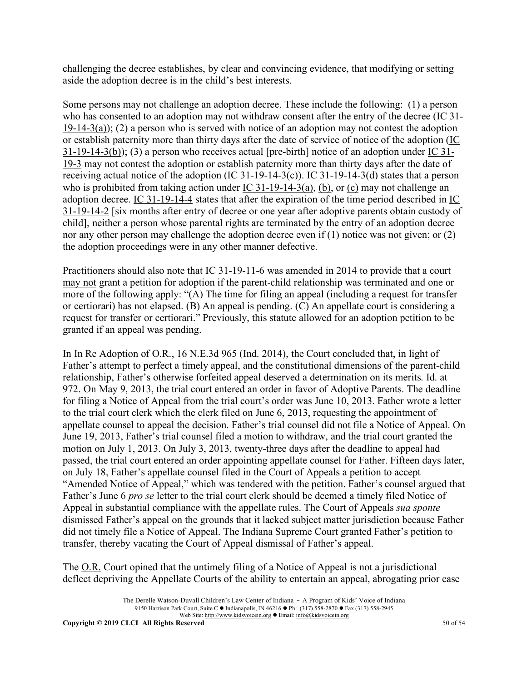challenging the decree establishes, by clear and convincing evidence, that modifying or setting aside the adoption decree is in the child's best interests.

Some persons may not challenge an adoption decree. These include the following: (1) a person who has consented to an adoption may not withdraw consent after the entry of the decree (IC 31- 19-14-3(a)); (2) a person who is served with notice of an adoption may not contest the adoption or establish paternity more than thirty days after the date of service of notice of the adoption (IC 31-19-14-3(b)); (3) a person who receives actual [pre-birth] notice of an adoption under IC 31- 19-3 may not contest the adoption or establish paternity more than thirty days after the date of receiving actual notice of the adoption ( $\underline{IC}$  31-19-14-3(c)).  $\underline{IC}$  31-19-14-3(d) states that a person who is prohibited from taking action under IC 31-19-14-3(a), (b), or (c) may not challenge an adoption decree. IC 31-19-14-4 states that after the expiration of the time period described in IC 31-19-14-2 [six months after entry of decree or one year after adoptive parents obtain custody of child], neither a person whose parental rights are terminated by the entry of an adoption decree nor any other person may challenge the adoption decree even if (1) notice was not given; or (2) the adoption proceedings were in any other manner defective.

Practitioners should also note that IC 31-19-11-6 was amended in 2014 to provide that a court may not grant a petition for adoption if the parent-child relationship was terminated and one or more of the following apply: "(A) The time for filing an appeal (including a request for transfer or certiorari) has not elapsed. (B) An appeal is pending. (C) An appellate court is considering a request for transfer or certiorari." Previously, this statute allowed for an adoption petition to be granted if an appeal was pending.

In In Re Adoption of O.R., 16 N.E.3d 965 (Ind. 2014), the Court concluded that, in light of Father's attempt to perfect a timely appeal, and the constitutional dimensions of the parent-child relationship, Father's otherwise forfeited appeal deserved a determination on its merits. Id. at 972. On May 9, 2013, the trial court entered an order in favor of Adoptive Parents. The deadline for filing a Notice of Appeal from the trial court's order was June 10, 2013. Father wrote a letter to the trial court clerk which the clerk filed on June 6, 2013, requesting the appointment of appellate counsel to appeal the decision. Father's trial counsel did not file a Notice of Appeal. On June 19, 2013, Father's trial counsel filed a motion to withdraw, and the trial court granted the motion on July 1, 2013. On July 3, 2013, twenty-three days after the deadline to appeal had passed, the trial court entered an order appointing appellate counsel for Father. Fifteen days later, on July 18, Father's appellate counsel filed in the Court of Appeals a petition to accept "Amended Notice of Appeal," which was tendered with the petition. Father's counsel argued that Father's June 6 *pro se* letter to the trial court clerk should be deemed a timely filed Notice of Appeal in substantial compliance with the appellate rules. The Court of Appeals *sua sponte* dismissed Father's appeal on the grounds that it lacked subject matter jurisdiction because Father did not timely file a Notice of Appeal. The Indiana Supreme Court granted Father's petition to transfer, thereby vacating the Court of Appeal dismissal of Father's appeal.

The <u>O.R.</u> Court opined that the untimely filing of a Notice of Appeal is not a jurisdictional deflect depriving the Appellate Courts of the ability to entertain an appeal, abrogating prior case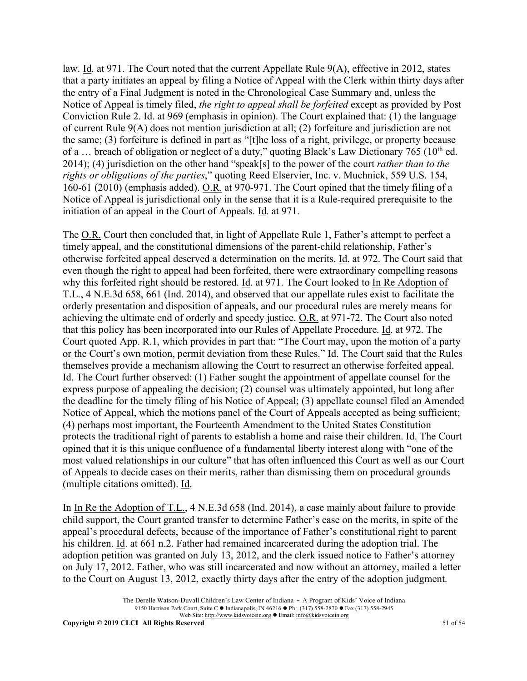law. Id. at 971. The Court noted that the current Appellate Rule 9(A), effective in 2012, states that a party initiates an appeal by filing a Notice of Appeal with the Clerk within thirty days after the entry of a Final Judgment is noted in the Chronological Case Summary and, unless the Notice of Appeal is timely filed, *the right to appeal shall be forfeited* except as provided by Post Conviction Rule 2. Id. at 969 (emphasis in opinion). The Court explained that: (1) the language of current Rule 9(A) does not mention jurisdiction at all; (2) forfeiture and jurisdiction are not the same; (3) forfeiture is defined in part as "[t]he loss of a right, privilege, or property because of a ... breach of obligation or neglect of a duty," quoting Black's Law Dictionary 765 (10<sup>th</sup> ed. 2014); (4) jurisdiction on the other hand "speak[s] to the power of the court *rather than to the rights or obligations of the parties*," quoting Reed Elservier, Inc. v. Muchnick, 559 U.S. 154, 160-61 (2010) (emphasis added). O.R. at 970-971. The Court opined that the timely filing of a Notice of Appeal is jurisdictional only in the sense that it is a Rule-required prerequisite to the initiation of an appeal in the Court of Appeals. Id. at 971.

The O.R. Court then concluded that, in light of Appellate Rule 1, Father's attempt to perfect a timely appeal, and the constitutional dimensions of the parent-child relationship, Father's otherwise forfeited appeal deserved a determination on the merits. Id. at 972. The Court said that even though the right to appeal had been forfeited, there were extraordinary compelling reasons why this forfeited right should be restored. Id. at 971. The Court looked to In Re Adoption of T.L., 4 N.E.3d 658, 661 (Ind. 2014), and observed that our appellate rules exist to facilitate the orderly presentation and disposition of appeals, and our procedural rules are merely means for achieving the ultimate end of orderly and speedy justice. O.R. at 971-72. The Court also noted that this policy has been incorporated into our Rules of Appellate Procedure. Id. at 972. The Court quoted App. R.1, which provides in part that: "The Court may, upon the motion of a party or the Court's own motion, permit deviation from these Rules." Id. The Court said that the Rules themselves provide a mechanism allowing the Court to resurrect an otherwise forfeited appeal. Id. The Court further observed: (1) Father sought the appointment of appellate counsel for the express purpose of appealing the decision; (2) counsel was ultimately appointed, but long after the deadline for the timely filing of his Notice of Appeal; (3) appellate counsel filed an Amended Notice of Appeal, which the motions panel of the Court of Appeals accepted as being sufficient; (4) perhaps most important, the Fourteenth Amendment to the United States Constitution protects the traditional right of parents to establish a home and raise their children. Id. The Court opined that it is this unique confluence of a fundamental liberty interest along with "one of the most valued relationships in our culture" that has often influenced this Court as well as our Court of Appeals to decide cases on their merits, rather than dismissing them on procedural grounds (multiple citations omitted). Id.

In In Re the Adoption of T.L., 4 N.E.3d 658 (Ind. 2014), a case mainly about failure to provide child support, the Court granted transfer to determine Father's case on the merits, in spite of the appeal's procedural defects, because of the importance of Father's constitutional right to parent his children. Id. at 661 n.2. Father had remained incarcerated during the adoption trial. The adoption petition was granted on July 13, 2012, and the clerk issued notice to Father's attorney on July 17, 2012. Father, who was still incarcerated and now without an attorney, mailed a letter to the Court on August 13, 2012, exactly thirty days after the entry of the adoption judgment.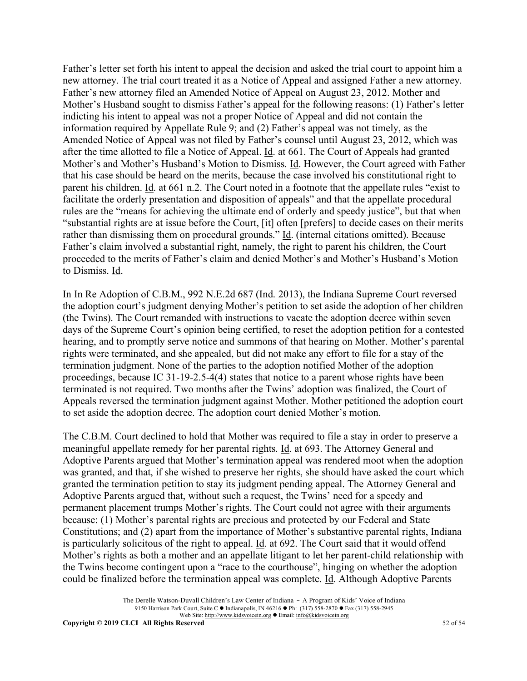Father's letter set forth his intent to appeal the decision and asked the trial court to appoint him a new attorney. The trial court treated it as a Notice of Appeal and assigned Father a new attorney. Father's new attorney filed an Amended Notice of Appeal on August 23, 2012. Mother and Mother's Husband sought to dismiss Father's appeal for the following reasons: (1) Father's letter indicting his intent to appeal was not a proper Notice of Appeal and did not contain the information required by Appellate Rule 9; and (2) Father's appeal was not timely, as the Amended Notice of Appeal was not filed by Father's counsel until August 23, 2012, which was after the time allotted to file a Notice of Appeal. Id. at 661. The Court of Appeals had granted Mother's and Mother's Husband's Motion to Dismiss. Id. However, the Court agreed with Father that his case should be heard on the merits, because the case involved his constitutional right to parent his children. Id. at 661 n.2. The Court noted in a footnote that the appellate rules "exist to facilitate the orderly presentation and disposition of appeals" and that the appellate procedural rules are the "means for achieving the ultimate end of orderly and speedy justice", but that when "substantial rights are at issue before the Court, [it] often [prefers] to decide cases on their merits rather than dismissing them on procedural grounds." Id. (internal citations omitted). Because Father's claim involved a substantial right, namely, the right to parent his children, the Court proceeded to the merits of Father's claim and denied Mother's and Mother's Husband's Motion to Dismiss. Id.

In In Re Adoption of C.B.M., 992 N.E.2d 687 (Ind. 2013), the Indiana Supreme Court reversed the adoption court's judgment denying Mother's petition to set aside the adoption of her children (the Twins). The Court remanded with instructions to vacate the adoption decree within seven days of the Supreme Court's opinion being certified, to reset the adoption petition for a contested hearing, and to promptly serve notice and summons of that hearing on Mother. Mother's parental rights were terminated, and she appealed, but did not make any effort to file for a stay of the termination judgment. None of the parties to the adoption notified Mother of the adoption proceedings, because  $\underline{IC}$  31-19-2.5-4(4) states that notice to a parent whose rights have been terminated is not required. Two months after the Twins' adoption was finalized, the Court of Appeals reversed the termination judgment against Mother. Mother petitioned the adoption court to set aside the adoption decree. The adoption court denied Mother's motion.

The C.B.M. Court declined to hold that Mother was required to file a stay in order to preserve a meaningful appellate remedy for her parental rights. Id. at 693. The Attorney General and Adoptive Parents argued that Mother's termination appeal was rendered moot when the adoption was granted, and that, if she wished to preserve her rights, she should have asked the court which granted the termination petition to stay its judgment pending appeal. The Attorney General and Adoptive Parents argued that, without such a request, the Twins' need for a speedy and permanent placement trumps Mother's rights. The Court could not agree with their arguments because: (1) Mother's parental rights are precious and protected by our Federal and State Constitutions; and (2) apart from the importance of Mother's substantive parental rights, Indiana is particularly solicitous of the right to appeal. Id. at 692. The Court said that it would offend Mother's rights as both a mother and an appellate litigant to let her parent-child relationship with the Twins become contingent upon a "race to the courthouse", hinging on whether the adoption could be finalized before the termination appeal was complete. Id. Although Adoptive Parents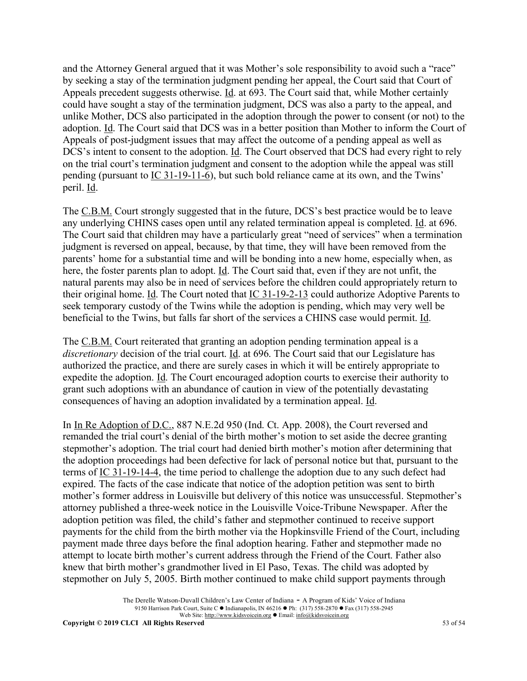and the Attorney General argued that it was Mother's sole responsibility to avoid such a "race" by seeking a stay of the termination judgment pending her appeal, the Court said that Court of Appeals precedent suggests otherwise. Id. at 693. The Court said that, while Mother certainly could have sought a stay of the termination judgment, DCS was also a party to the appeal, and unlike Mother, DCS also participated in the adoption through the power to consent (or not) to the adoption. Id. The Court said that DCS was in a better position than Mother to inform the Court of Appeals of post-judgment issues that may affect the outcome of a pending appeal as well as DCS's intent to consent to the adoption. Id. The Court observed that DCS had every right to rely on the trial court's termination judgment and consent to the adoption while the appeal was still pending (pursuant to IC 31-19-11-6), but such bold reliance came at its own, and the Twins' peril. Id.

The C.B.M. Court strongly suggested that in the future, DCS's best practice would be to leave any underlying CHINS cases open until any related termination appeal is completed. Id. at 696. The Court said that children may have a particularly great "need of services" when a termination judgment is reversed on appeal, because, by that time, they will have been removed from the parents' home for a substantial time and will be bonding into a new home, especially when, as here, the foster parents plan to adopt. Id. The Court said that, even if they are not unfit, the natural parents may also be in need of services before the children could appropriately return to their original home. Id. The Court noted that IC 31-19-2-13 could authorize Adoptive Parents to seek temporary custody of the Twins while the adoption is pending, which may very well be beneficial to the Twins, but falls far short of the services a CHINS case would permit. Id.

The C.B.M. Court reiterated that granting an adoption pending termination appeal is a *discretionary* decision of the trial court. Id. at 696. The Court said that our Legislature has authorized the practice, and there are surely cases in which it will be entirely appropriate to expedite the adoption. Id. The Court encouraged adoption courts to exercise their authority to grant such adoptions with an abundance of caution in view of the potentially devastating consequences of having an adoption invalidated by a termination appeal. Id.

In In Re Adoption of D.C., 887 N.E.2d 950 (Ind. Ct. App. 2008), the Court reversed and remanded the trial court's denial of the birth mother's motion to set aside the decree granting stepmother's adoption. The trial court had denied birth mother's motion after determining that the adoption proceedings had been defective for lack of personal notice but that, pursuant to the terms of IC 31-19-14-4, the time period to challenge the adoption due to any such defect had expired. The facts of the case indicate that notice of the adoption petition was sent to birth mother's former address in Louisville but delivery of this notice was unsuccessful. Stepmother's attorney published a three-week notice in the Louisville Voice-Tribune Newspaper. After the adoption petition was filed, the child's father and stepmother continued to receive support payments for the child from the birth mother via the Hopkinsville Friend of the Court, including payment made three days before the final adoption hearing. Father and stepmother made no attempt to locate birth mother's current address through the Friend of the Court. Father also knew that birth mother's grandmother lived in El Paso, Texas. The child was adopted by stepmother on July 5, 2005. Birth mother continued to make child support payments through